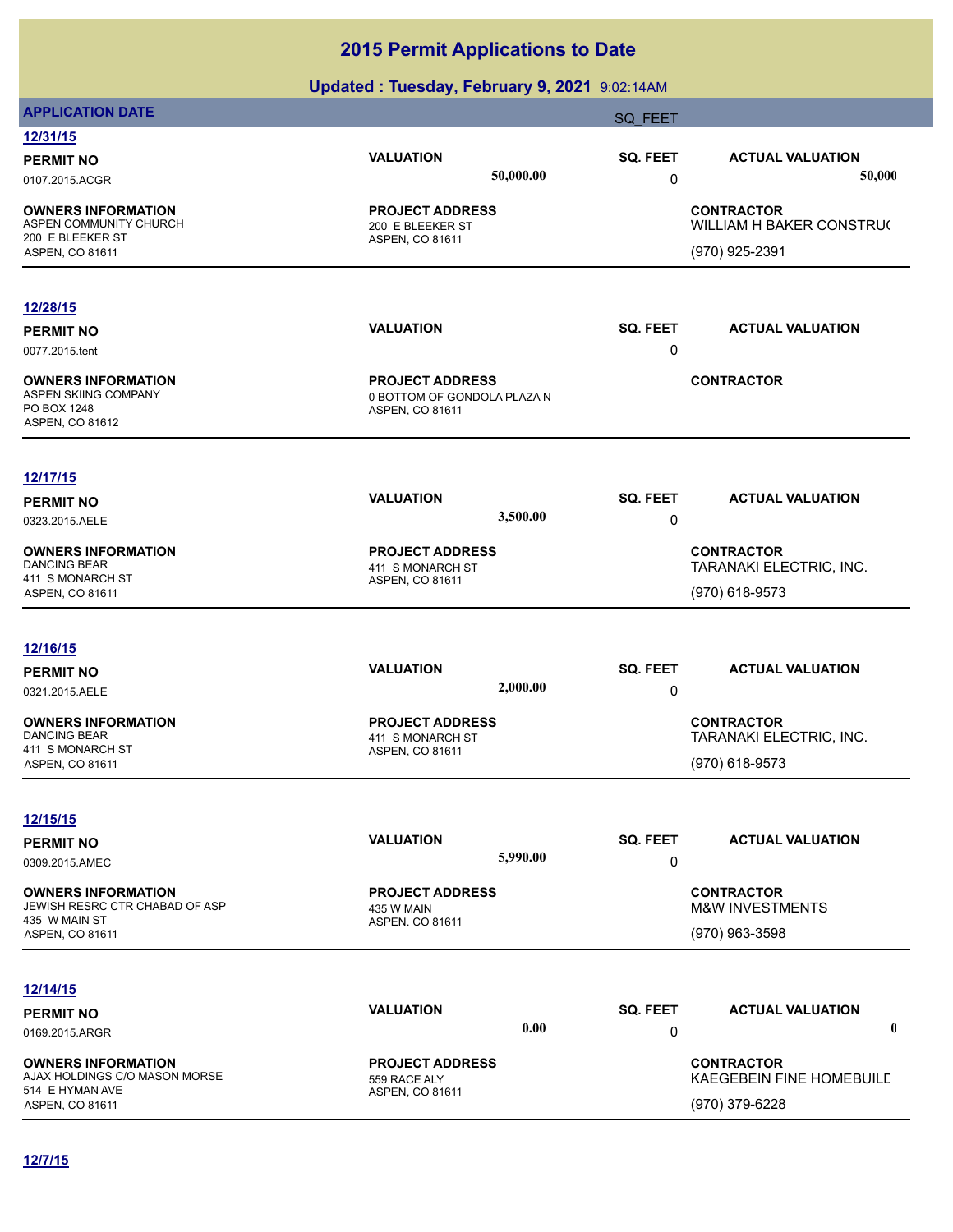| <b>APPLICATION DATE</b>                          | . .                             | - -       | <b>SQ FEET</b>          |                                             |
|--------------------------------------------------|---------------------------------|-----------|-------------------------|---------------------------------------------|
| 12/31/15                                         |                                 |           |                         |                                             |
| <b>PERMIT NO</b>                                 | <b>VALUATION</b>                |           | SQ. FEET                | <b>ACTUAL VALUATION</b>                     |
| 0107.2015.ACGR                                   |                                 | 50,000.00 | 0                       | 50,000                                      |
| <b>OWNERS INFORMATION</b>                        | <b>PROJECT ADDRESS</b>          |           |                         | <b>CONTRACTOR</b>                           |
| ASPEN COMMUNITY CHURCH                           | 200 E BLEEKER ST                |           |                         | WILLIAM H BAKER CONSTRU(                    |
| 200 E BLEEKER ST<br>ASPEN, CO 81611              | ASPEN, CO 81611                 |           |                         | (970) 925-2391                              |
|                                                  |                                 |           |                         |                                             |
| 12/28/15                                         |                                 |           |                         |                                             |
| <b>PERMIT NO</b>                                 | <b>VALUATION</b>                |           | SQ. FEET                | <b>ACTUAL VALUATION</b>                     |
| 0077.2015.tent                                   |                                 |           | 0                       |                                             |
| <b>OWNERS INFORMATION</b>                        | <b>PROJECT ADDRESS</b>          |           |                         | <b>CONTRACTOR</b>                           |
| ASPEN SKIING COMPANY                             | 0 BOTTOM OF GONDOLA PLAZA N     |           |                         |                                             |
| PO BOX 1248                                      | ASPEN, CO 81611                 |           |                         |                                             |
| ASPEN, CO 81612                                  |                                 |           |                         |                                             |
| 12/17/15                                         |                                 |           |                         |                                             |
| <b>PERMIT NO</b>                                 | <b>VALUATION</b>                |           | SQ. FEET                | <b>ACTUAL VALUATION</b>                     |
| 0323.2015.AELE                                   |                                 | 3,500.00  | $\pmb{0}$               |                                             |
| <b>OWNERS INFORMATION</b>                        | <b>PROJECT ADDRESS</b>          |           |                         | <b>CONTRACTOR</b>                           |
| <b>DANCING BEAR</b>                              | 411 S MONARCH ST                |           | TARANAKI ELECTRIC, INC. |                                             |
| 411 S MONARCH ST<br>ASPEN, CO 81611              | ASPEN, CO 81611                 |           |                         | (970) 618-9573                              |
|                                                  |                                 |           |                         |                                             |
| 12/16/15                                         |                                 |           |                         |                                             |
| <b>PERMIT NO</b>                                 | <b>VALUATION</b>                |           | SQ. FEET                | <b>ACTUAL VALUATION</b>                     |
| 0321.2015.AELE                                   |                                 | 2,000.00  | $\pmb{0}$               |                                             |
| <b>OWNERS INFORMATION</b>                        | <b>PROJECT ADDRESS</b>          |           |                         | <b>CONTRACTOR</b>                           |
| <b>DANCING BEAR</b><br>411 S MONARCH ST          | 411 S MONARCH ST                |           |                         | TARANAKI ELECTRIC, INC.                     |
| ASPEN, CO 81611                                  | ASPEN, CO 81611                 |           |                         | (970) 618-9573                              |
|                                                  |                                 |           |                         |                                             |
| 12/15/15                                         |                                 |           |                         |                                             |
| <b>PERMIT NO</b>                                 | <b>VALUATION</b>                |           | SQ. FEET                | <b>ACTUAL VALUATION</b>                     |
| 0309.2015.AMEC                                   |                                 | 5,990.00  | 0                       |                                             |
| <b>OWNERS INFORMATION</b>                        | <b>PROJECT ADDRESS</b>          |           |                         | <b>CONTRACTOR</b>                           |
| JEWISH RESRC CTR CHABAD OF ASP<br>435 W MAIN ST  | 435 W MAIN<br>ASPEN, CO 81611   |           |                         | <b>M&amp;W INVESTMENTS</b>                  |
| ASPEN, CO 81611                                  |                                 |           |                         | (970) 963-3598                              |
|                                                  |                                 |           |                         |                                             |
| 12/14/15                                         |                                 |           |                         |                                             |
| <b>PERMIT NO</b>                                 | <b>VALUATION</b>                | 0.00      | SQ. FEET                | <b>ACTUAL VALUATION</b><br>$\boldsymbol{0}$ |
| 0169.2015.ARGR                                   |                                 |           | 0                       |                                             |
| <b>OWNERS INFORMATION</b>                        | <b>PROJECT ADDRESS</b>          |           |                         | <b>CONTRACTOR</b>                           |
| AJAX HOLDINGS C/O MASON MORSE<br>514 E HYMAN AVE | 559 RACE ALY<br>ASPEN, CO 81611 |           |                         | KAEGEBEIN FINE HOMEBUILD                    |
| ASPEN, CO 81611                                  |                                 |           |                         | (970) 379-6228                              |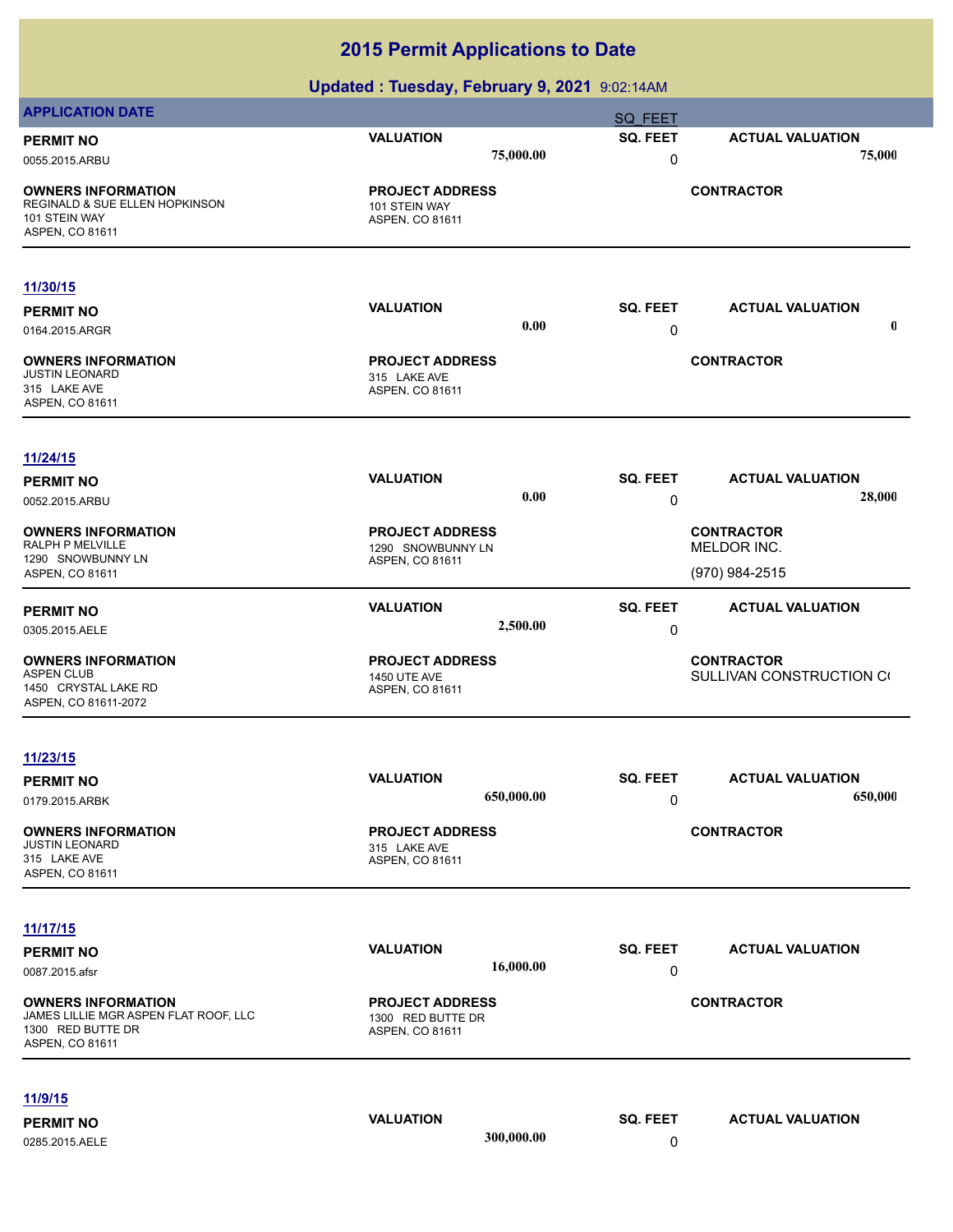| <b>APPLICATION DATE</b>                                                                                    |                                                                |            | SQ FEET         |                                               |
|------------------------------------------------------------------------------------------------------------|----------------------------------------------------------------|------------|-----------------|-----------------------------------------------|
| <b>PERMIT NO</b>                                                                                           | <b>VALUATION</b>                                               |            | SQ. FEET        | <b>ACTUAL VALUATION</b>                       |
| 0055.2015.ARBU                                                                                             |                                                                | 75,000.00  | 0               | 75,000                                        |
| <b>OWNERS INFORMATION</b><br>REGINALD & SUE ELLEN HOPKINSON<br>101 STEIN WAY<br>ASPEN, CO 81611            | <b>PROJECT ADDRESS</b><br>101 STEIN WAY<br>ASPEN, CO 81611     |            |                 | <b>CONTRACTOR</b>                             |
| 11/30/15                                                                                                   |                                                                |            |                 |                                               |
| <b>PERMIT NO</b>                                                                                           | <b>VALUATION</b>                                               |            | SQ. FEET        | <b>ACTUAL VALUATION</b>                       |
| 0164.2015.ARGR                                                                                             |                                                                | 0.00       | 0               | $\mathbf 0$                                   |
| <b>OWNERS INFORMATION</b><br><b>JUSTIN LEONARD</b><br>315 LAKE AVE<br>ASPEN, CO 81611                      | <b>PROJECT ADDRESS</b><br>315 LAKE AVE<br>ASPEN, CO 81611      |            |                 | <b>CONTRACTOR</b>                             |
| 11/24/15                                                                                                   |                                                                |            |                 |                                               |
| <b>PERMIT NO</b>                                                                                           | <b>VALUATION</b>                                               |            | <b>SQ. FEET</b> | <b>ACTUAL VALUATION</b>                       |
| 0052.2015.ARBU                                                                                             |                                                                | 0.00       | 0               | 28,000                                        |
| <b>OWNERS INFORMATION</b>                                                                                  | <b>PROJECT ADDRESS</b>                                         |            |                 | <b>CONTRACTOR</b>                             |
| RALPH P MELVILLE<br>1290 SNOWBUNNY LN                                                                      | 1290 SNOWBUNNY LN                                              |            |                 | MELDOR INC.                                   |
| ASPEN, CO 81611                                                                                            | ASPEN, CO 81611                                                |            |                 | (970) 984-2515                                |
|                                                                                                            | <b>VALUATION</b>                                               |            | <b>SQ. FEET</b> | <b>ACTUAL VALUATION</b>                       |
| <b>PERMIT NO</b><br>0305.2015.AELE                                                                         |                                                                | 2,500.00   | 0               |                                               |
|                                                                                                            |                                                                |            |                 |                                               |
| <b>OWNERS INFORMATION</b><br><b>ASPEN CLUB</b>                                                             | <b>PROJECT ADDRESS</b><br><b>1450 UTE AVE</b>                  |            |                 | <b>CONTRACTOR</b><br>SULLIVAN CONSTRUCTION CO |
| 1450 CRYSTAL LAKE RD<br>ASPEN, CO 81611-2072                                                               | ASPEN, CO 81611                                                |            |                 |                                               |
|                                                                                                            |                                                                |            |                 |                                               |
| 11/23/15                                                                                                   |                                                                |            |                 |                                               |
| <b>PERMIT NO</b>                                                                                           | <b>VALUATION</b>                                               |            | SQ. FEET        | <b>ACTUAL VALUATION</b>                       |
| 0179.2015.ARBK                                                                                             |                                                                | 650,000.00 | 0               | 650,000                                       |
|                                                                                                            |                                                                |            |                 |                                               |
| <b>OWNERS INFORMATION</b><br><b>JUSTIN LEONARD</b>                                                         | <b>PROJECT ADDRESS</b><br>315 LAKE AVE                         |            |                 | <b>CONTRACTOR</b>                             |
| 315 LAKE AVE                                                                                               | ASPEN, CO 81611                                                |            |                 |                                               |
| ASPEN, CO 81611                                                                                            |                                                                |            |                 |                                               |
| 11/17/15                                                                                                   |                                                                |            |                 |                                               |
| <b>PERMIT NO</b>                                                                                           | <b>VALUATION</b>                                               |            | SQ. FEET        | <b>ACTUAL VALUATION</b>                       |
| 0087.2015.afsr                                                                                             |                                                                | 16,000.00  | 0               |                                               |
|                                                                                                            |                                                                |            |                 |                                               |
| <b>OWNERS INFORMATION</b><br>JAMES LILLIE MGR ASPEN FLAT ROOF, LLC<br>1300 RED BUTTE DR<br>ASPEN, CO 81611 | <b>PROJECT ADDRESS</b><br>1300 RED BUTTE DR<br>ASPEN, CO 81611 |            |                 | <b>CONTRACTOR</b>                             |
| <u>11/9/15</u>                                                                                             |                                                                |            |                 |                                               |
| <b>PERMIT NO</b>                                                                                           | <b>VALUATION</b>                                               |            | SQ. FEET        | <b>ACTUAL VALUATION</b>                       |
| 0285.2015.AELE                                                                                             |                                                                | 300,000.00 | 0               |                                               |
|                                                                                                            |                                                                |            |                 |                                               |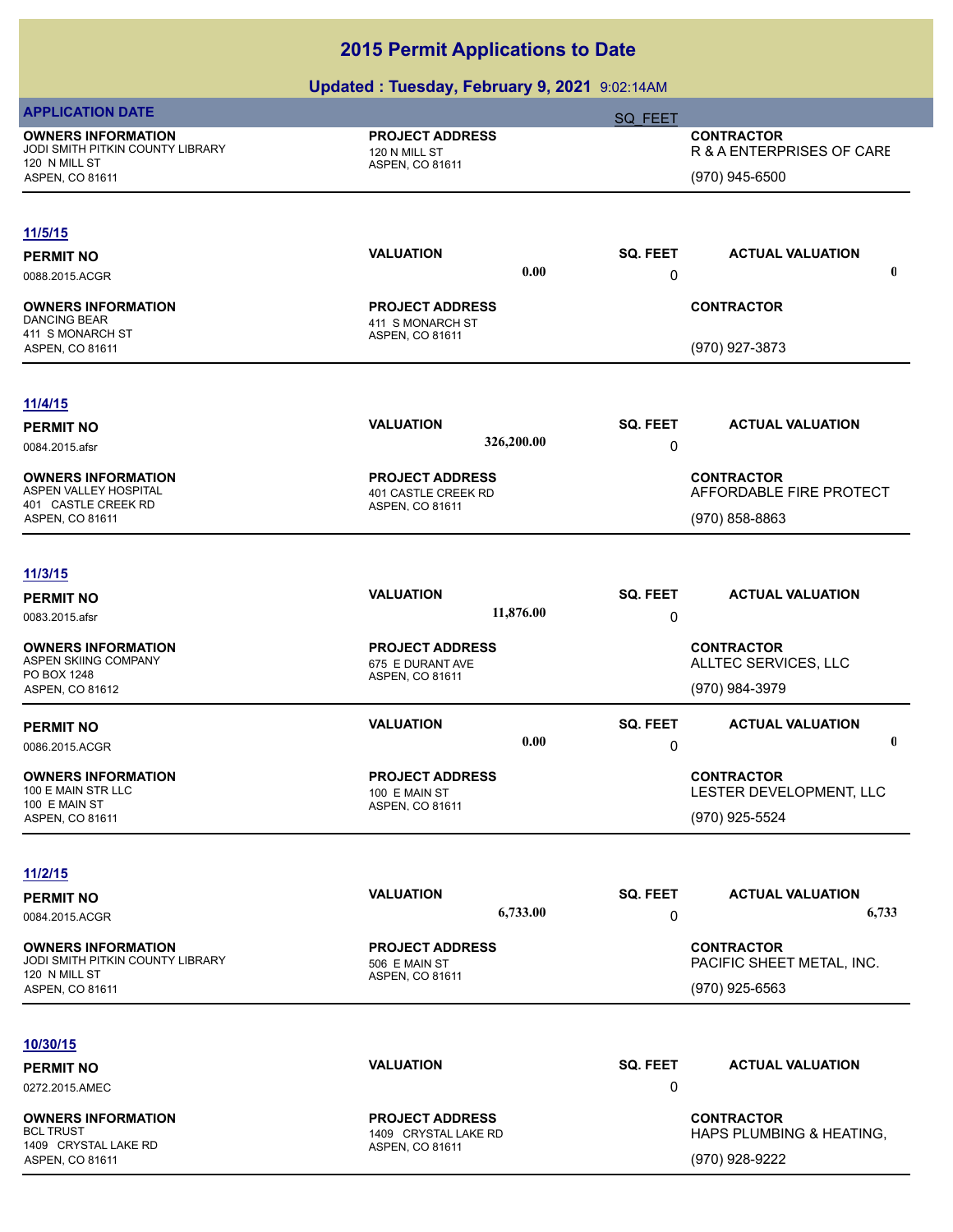| <b>APPLICATION DATE</b>                                       |                                            | <b>SQ FEET</b>  |                                             |
|---------------------------------------------------------------|--------------------------------------------|-----------------|---------------------------------------------|
| <b>OWNERS INFORMATION</b><br>JODI SMITH PITKIN COUNTY LIBRARY | <b>PROJECT ADDRESS</b>                     |                 | <b>CONTRACTOR</b>                           |
| 120 N MILL ST                                                 | 120 N MILL ST<br>ASPEN, CO 81611           |                 | R & A ENTERPRISES OF CARE                   |
| ASPEN, CO 81611                                               |                                            |                 | (970) 945-6500                              |
|                                                               |                                            |                 |                                             |
| 11/5/15                                                       |                                            |                 |                                             |
| <b>PERMIT NO</b>                                              | <b>VALUATION</b><br>0.00                   | <b>SQ. FEET</b> | <b>ACTUAL VALUATION</b><br>$\boldsymbol{0}$ |
| 0088.2015.ACGR                                                |                                            | 0               |                                             |
| <b>OWNERS INFORMATION</b>                                     | <b>PROJECT ADDRESS</b>                     |                 | <b>CONTRACTOR</b>                           |
| <b>DANCING BEAR</b><br>411 S MONARCH ST                       | 411 S MONARCH ST<br>ASPEN, CO 81611        |                 |                                             |
| ASPEN, CO 81611                                               |                                            |                 | (970) 927-3873                              |
|                                                               |                                            |                 |                                             |
| 11/4/15                                                       | <b>VALUATION</b>                           | <b>SQ. FEET</b> | <b>ACTUAL VALUATION</b>                     |
| <b>PERMIT NO</b><br>0084.2015.afsr                            | 326,200.00                                 | 0               |                                             |
|                                                               |                                            |                 |                                             |
| <b>OWNERS INFORMATION</b><br>ASPEN VALLEY HOSPITAL            | <b>PROJECT ADDRESS</b>                     |                 | <b>CONTRACTOR</b>                           |
| 401 CASTLE CREEK RD                                           | 401 CASTLE CREEK RD<br>ASPEN, CO 81611     |                 | AFFORDABLE FIRE PROTECT                     |
| ASPEN, CO 81611                                               |                                            |                 | (970) 858-8863                              |
| 11/3/15                                                       |                                            |                 |                                             |
| <b>PERMIT NO</b>                                              | <b>VALUATION</b>                           | <b>SQ. FEET</b> | <b>ACTUAL VALUATION</b>                     |
| 0083.2015.afsr                                                | 11,876.00                                  | 0               |                                             |
|                                                               |                                            |                 |                                             |
| <b>OWNERS INFORMATION</b><br>ASPEN SKIING COMPANY             | <b>PROJECT ADDRESS</b><br>675 E DURANT AVE |                 | <b>CONTRACTOR</b><br>ALLTEC SERVICES, LLC   |
| PO BOX 1248                                                   | ASPEN, CO 81611                            |                 |                                             |
| ASPEN, CO 81612                                               |                                            |                 | (970) 984-3979                              |
| <b>PERMIT NO</b>                                              | <b>VALUATION</b>                           | <b>SQ. FEET</b> | <b>ACTUAL VALUATION</b>                     |
| 0086.2015.ACGR                                                | 0.00                                       | 0               | 0                                           |
| <b>OWNERS INFORMATION</b>                                     | <b>PROJECT ADDRESS</b>                     |                 | <b>CONTRACTOR</b>                           |
| 100 E MAIN STR LLC                                            | 100 E MAIN ST                              |                 | LESTER DEVELOPMENT, LLC                     |
| 100 E MAIN ST<br><b>ASPEN, CO 81611</b>                       | ASPEN, CO 81611                            |                 | (970) 925-5524                              |
|                                                               |                                            |                 |                                             |
| 11/2/15                                                       |                                            |                 |                                             |
| <b>PERMIT NO</b>                                              | <b>VALUATION</b>                           | <b>SQ. FEET</b> | <b>ACTUAL VALUATION</b>                     |
| 0084.2015.ACGR                                                | 6,733.00                                   | 0               | 6,733                                       |
| <b>OWNERS INFORMATION</b>                                     | <b>PROJECT ADDRESS</b>                     |                 | <b>CONTRACTOR</b>                           |
| JODI SMITH PITKIN COUNTY LIBRARY                              | 506 E MAIN ST                              |                 | PACIFIC SHEET METAL, INC.                   |
| 120 N MILL ST<br>ASPEN, CO 81611                              | ASPEN, CO 81611                            |                 | (970) 925-6563                              |
|                                                               |                                            |                 |                                             |
| 10/30/15                                                      |                                            |                 |                                             |
| <b>PERMIT NO</b>                                              | <b>VALUATION</b>                           | <b>SQ. FEET</b> | <b>ACTUAL VALUATION</b>                     |
| 0272.2015.AMEC                                                |                                            | 0               |                                             |
| <b>OWNERS INFORMATION</b>                                     | <b>PROJECT ADDRESS</b>                     |                 | <b>CONTRACTOR</b>                           |
| <b>BCL TRUST</b>                                              | 1409 CRYSTAL LAKE RD                       |                 | HAPS PLUMBING & HEATING,                    |
| 1409 CRYSTAL LAKE RD<br>ASPEN, CO 81611                       | ASPEN, CO 81611                            |                 | (970) 928-9222                              |
|                                                               |                                            |                 |                                             |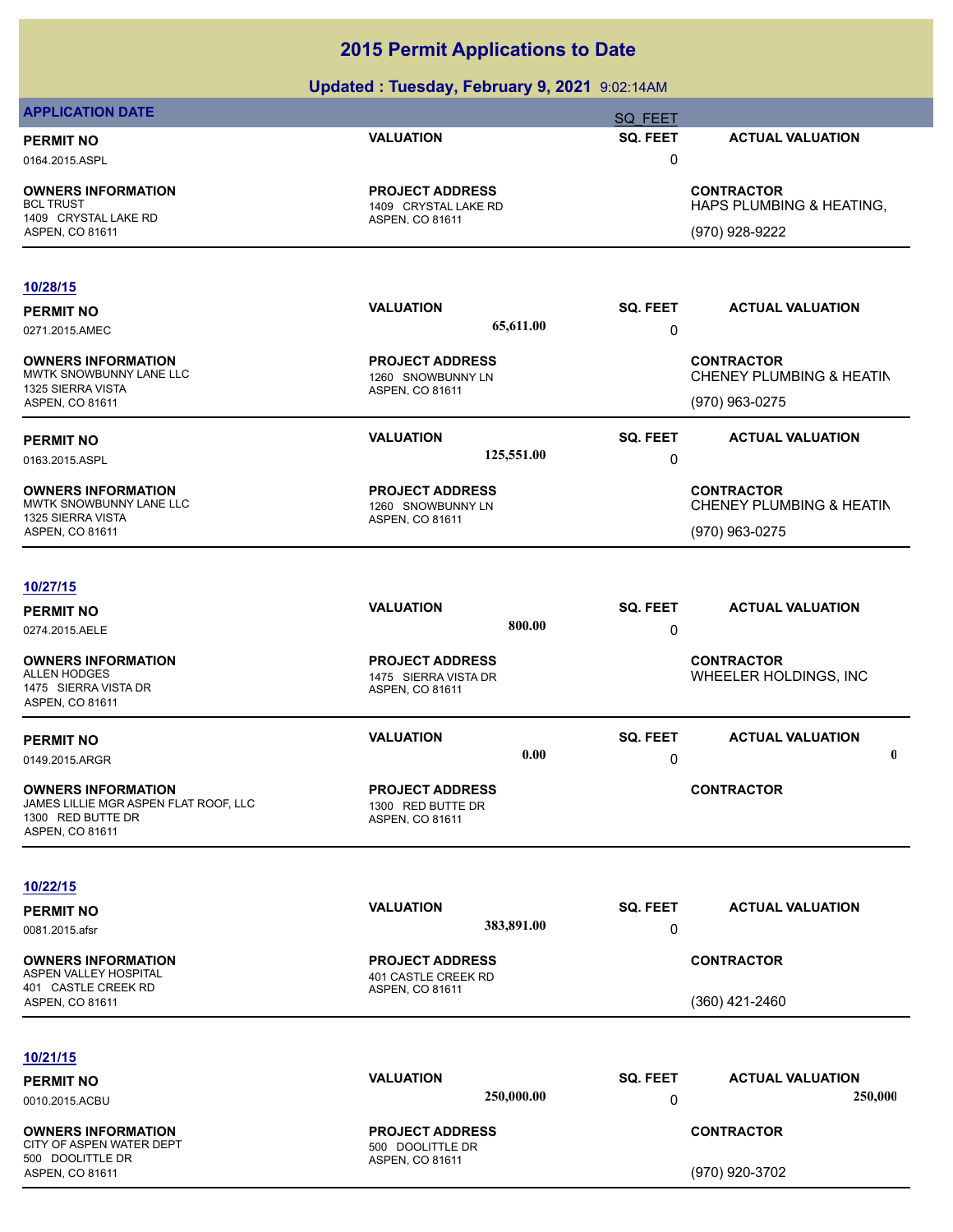|                                                                    | Updated: Tuesday, February 9, 2021 9:02:14AM |                 |                                               |
|--------------------------------------------------------------------|----------------------------------------------|-----------------|-----------------------------------------------|
| <b>APPLICATION DATE</b>                                            |                                              | <b>SQ FEET</b>  |                                               |
| <b>PERMIT NO</b>                                                   | <b>VALUATION</b>                             | SQ. FEET        | <b>ACTUAL VALUATION</b>                       |
| 0164.2015.ASPL                                                     |                                              | 0               |                                               |
| <b>OWNERS INFORMATION</b>                                          | <b>PROJECT ADDRESS</b>                       |                 | <b>CONTRACTOR</b>                             |
| <b>BCL TRUST</b><br>1409 CRYSTAL LAKE RD                           | 1409 CRYSTAL LAKE RD<br>ASPEN, CO 81611      |                 | HAPS PLUMBING & HEATING,                      |
| ASPEN, CO 81611                                                    |                                              |                 | (970) 928-9222                                |
| 10/28/15                                                           |                                              |                 |                                               |
| <b>PERMIT NO</b>                                                   | <b>VALUATION</b>                             | SQ. FEET        | <b>ACTUAL VALUATION</b>                       |
| 0271.2015.AMEC                                                     | 65,611.00                                    | 0               |                                               |
| <b>OWNERS INFORMATION</b><br>MWTK SNOWBUNNY LANE LLC               | <b>PROJECT ADDRESS</b><br>1260 SNOWBUNNY LN  |                 | <b>CONTRACTOR</b><br>CHENEY PLUMBING & HEATIN |
| 1325 SIERRA VISTA                                                  | ASPEN, CO 81611                              |                 |                                               |
| ASPEN, CO 81611                                                    |                                              |                 | (970) 963-0275                                |
| <b>PERMIT NO</b>                                                   | <b>VALUATION</b>                             | SQ. FEET        | <b>ACTUAL VALUATION</b>                       |
| 0163.2015.ASPL                                                     | 125,551.00                                   | 0               |                                               |
| <b>OWNERS INFORMATION</b><br>MWTK SNOWBUNNY LANE LLC               | <b>PROJECT ADDRESS</b><br>1260 SNOWBUNNY LN  |                 | <b>CONTRACTOR</b><br>CHENEY PLUMBING & HEATIN |
| 1325 SIERRA VISTA<br>ASPEN, CO 81611                               | ASPEN, CO 81611                              |                 | (970) 963-0275                                |
|                                                                    |                                              |                 |                                               |
| 10/27/15                                                           |                                              |                 |                                               |
| <b>PERMIT NO</b>                                                   | <b>VALUATION</b>                             | SQ. FEET        | <b>ACTUAL VALUATION</b>                       |
| 0274.2015.AELE                                                     | 800.00                                       | 0               |                                               |
| <b>OWNERS INFORMATION</b>                                          | <b>PROJECT ADDRESS</b>                       |                 | <b>CONTRACTOR</b>                             |
| <b>ALLEN HODGES</b>                                                | 1475 SIERRA VISTA DR                         |                 | WHEELER HOLDINGS, INC                         |
| 1475 SIERRA VISTA DR<br>ASPEN, CO 81611                            | ASPEN, CO 81611                              |                 |                                               |
| <b>PERMIT NO</b>                                                   | <b>VALUATION</b>                             | SQ. FEET        | <b>ACTUAL VALUATION</b>                       |
| 0149.2015.ARGR                                                     | 0.00                                         | 0               | $\mathbf 0$                                   |
|                                                                    |                                              |                 |                                               |
| <b>OWNERS INFORMATION</b><br>JAMES LILLIE MGR ASPEN FLAT ROOF, LLC | <b>PROJECT ADDRESS</b><br>1300 RED BUTTE DR  |                 | <b>CONTRACTOR</b>                             |
| 1300 RED BUTTE DR                                                  | ASPEN, CO 81611                              |                 |                                               |
| ASPEN, CO 81611                                                    |                                              |                 |                                               |
| 10/22/15                                                           |                                              |                 |                                               |
| <b>PERMIT NO</b>                                                   | <b>VALUATION</b>                             | SQ. FEET        | <b>ACTUAL VALUATION</b>                       |
| 0081.2015.afsr                                                     | 383,891.00                                   | 0               |                                               |
| <b>OWNERS INFORMATION</b>                                          | <b>PROJECT ADDRESS</b>                       |                 | <b>CONTRACTOR</b>                             |
| ASPEN VALLEY HOSPITAL<br>401 CASTLE CREEK RD                       | 401 CASTLE CREEK RD<br>ASPEN, CO 81611       |                 |                                               |
| ASPEN, CO 81611                                                    |                                              |                 | $(360)$ 421-2460                              |
|                                                                    |                                              |                 |                                               |
| 10/21/15                                                           |                                              |                 |                                               |
| <b>PERMIT NO</b>                                                   | <b>VALUATION</b>                             | <b>SQ. FEET</b> | <b>ACTUAL VALUATION</b>                       |
| 0010.2015.ACBU                                                     | 250,000.00                                   | 0               | 250,000                                       |
| <b>OWNERS INFORMATION</b><br>CITY OF ASPEN WATER DEPT              | <b>PROJECT ADDRESS</b><br>500 DOOLITTLE DR   |                 | <b>CONTRACTOR</b>                             |
| 500 DOOLITTLE DR<br>ASPEN, CO 81611                                | ASPEN, CO 81611                              |                 | (970) 920-3702                                |
|                                                                    |                                              |                 |                                               |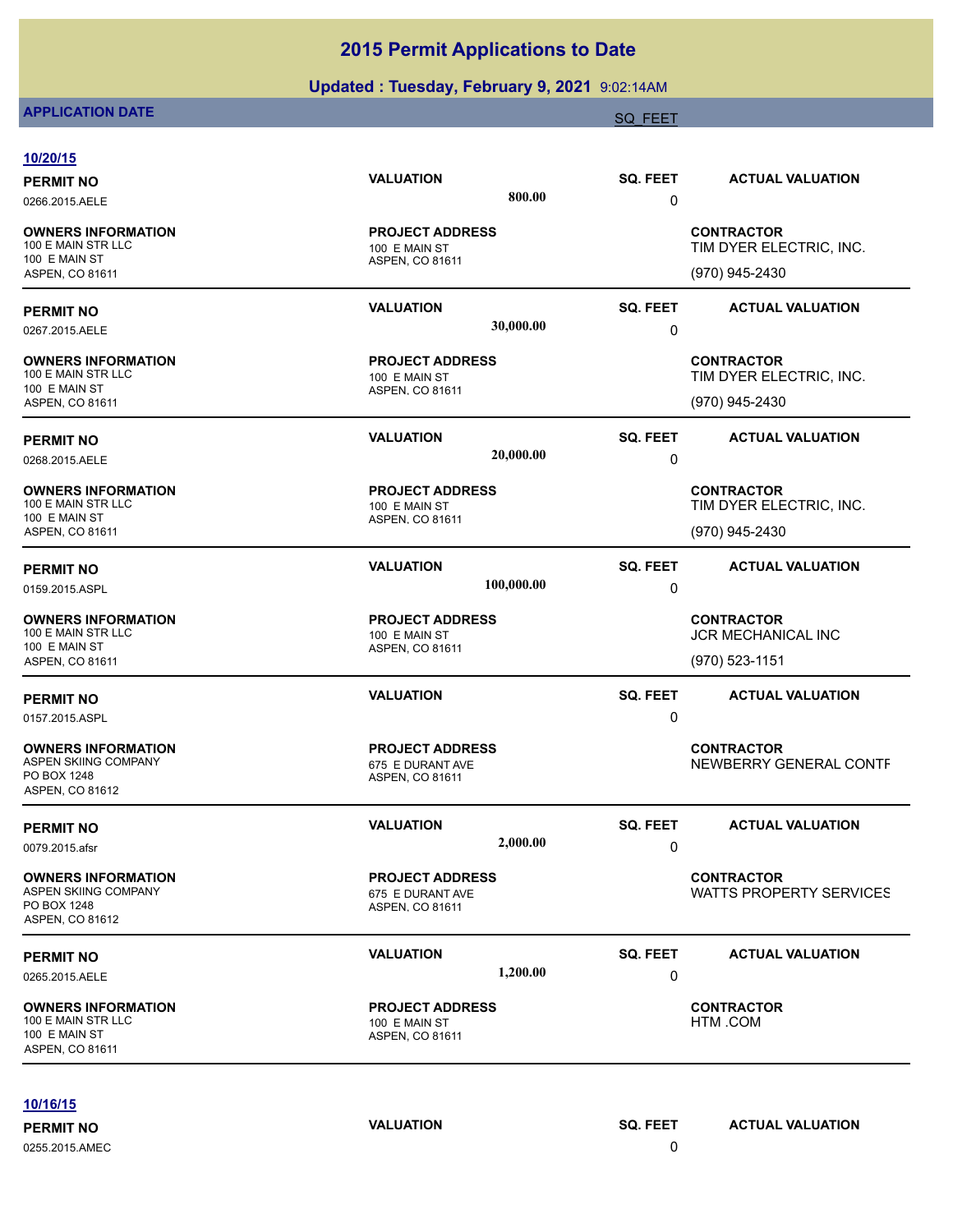## **Updated : Tuesday, February 9, 2021** 9:02:14AM

## **APPLICATION DATE** SQ\_FEET SOLUTION OF THE SQ\_FEET SQ\_FEET SQ\_FEET SQ\_FEET

| 10/20/15                                                                                   |                                                               |                 |                                              |
|--------------------------------------------------------------------------------------------|---------------------------------------------------------------|-----------------|----------------------------------------------|
| <b>PERMIT NO</b>                                                                           | <b>VALUATION</b>                                              | <b>SQ. FEET</b> | <b>ACTUAL VALUATION</b>                      |
| 0266.2015.AELE                                                                             | 800.00                                                        | 0               |                                              |
| <b>OWNERS INFORMATION</b><br>100 E MAIN STR LLC<br>100 E MAIN ST                           | <b>PROJECT ADDRESS</b><br>100 E MAIN ST<br>ASPEN, CO 81611    |                 | <b>CONTRACTOR</b><br>TIM DYER ELECTRIC, INC. |
| ASPEN, CO 81611                                                                            |                                                               |                 | (970) 945-2430                               |
| <b>PERMIT NO</b>                                                                           | <b>VALUATION</b><br>30,000.00                                 | <b>SQ. FEET</b> | <b>ACTUAL VALUATION</b>                      |
| 0267.2015.AELE                                                                             |                                                               | 0               |                                              |
| <b>OWNERS INFORMATION</b><br>100 E MAIN STR LLC<br>100 E MAIN ST                           | <b>PROJECT ADDRESS</b><br>100 E MAIN ST                       |                 | <b>CONTRACTOR</b><br>TIM DYER ELECTRIC, INC. |
| ASPEN, CO 81611                                                                            | ASPEN, CO 81611                                               |                 | (970) 945-2430                               |
| <b>PERMIT NO</b>                                                                           | <b>VALUATION</b><br>20,000.00                                 | SQ. FEET        | <b>ACTUAL VALUATION</b>                      |
| 0268.2015.AELE                                                                             |                                                               | 0               |                                              |
| <b>OWNERS INFORMATION</b><br>100 E MAIN STR LLC                                            | <b>PROJECT ADDRESS</b><br>100 E MAIN ST                       |                 | <b>CONTRACTOR</b><br>TIM DYER ELECTRIC, INC. |
| 100 E MAIN ST<br>ASPEN, CO 81611                                                           | ASPEN, CO 81611                                               |                 | (970) 945-2430                               |
| <b>PERMIT NO</b>                                                                           | <b>VALUATION</b>                                              | <b>SQ. FEET</b> | <b>ACTUAL VALUATION</b>                      |
| 0159.2015.ASPL                                                                             | 100,000.00                                                    | 0               |                                              |
| <b>OWNERS INFORMATION</b><br>100 E MAIN STR LLC                                            | <b>PROJECT ADDRESS</b><br>100 E MAIN ST                       |                 | <b>CONTRACTOR</b><br>JCR MECHANICAL INC      |
| 100 E MAIN ST<br>ASPEN, CO 81611                                                           | ASPEN, CO 81611                                               |                 | (970) 523-1151                               |
| <b>PERMIT NO</b>                                                                           | <b>VALUATION</b>                                              | <b>SQ. FEET</b> | <b>ACTUAL VALUATION</b>                      |
| 0157.2015.ASPL                                                                             |                                                               | 0               |                                              |
| <b>OWNERS INFORMATION</b><br><b>ASPEN SKIING COMPANY</b><br>PO BOX 1248<br>ASPEN, CO 81612 | <b>PROJECT ADDRESS</b><br>675 E DURANT AVE<br>ASPEN, CO 81611 |                 | <b>CONTRACTOR</b><br>NEWBERRY GENERAL CONTF  |
| <b>PERMIT NO</b>                                                                           | <b>VALUATION</b>                                              | SQ. FEET        | <b>ACTUAL VALUATION</b>                      |
| 0079.2015.afsr                                                                             | 2,000.00                                                      | 0               |                                              |
| <b>OWNERS INFORMATION</b><br><b>ASPEN SKIING COMPANY</b><br>PO BOX 1248<br>ASPEN, CO 81612 | <b>PROJECT ADDRESS</b><br>675 E DURANT AVE<br>ASPEN, CO 81611 |                 | <b>CONTRACTOR</b><br>WATTS PROPERTY SERVICES |
| <b>PERMIT NO</b>                                                                           | <b>VALUATION</b>                                              | <b>SQ. FEET</b> | <b>ACTUAL VALUATION</b>                      |
| 0265.2015.AELE                                                                             | 1,200.00                                                      | 0               |                                              |
| <b>OWNERS INFORMATION</b><br>100 E MAIN STR LLC<br>100 E MAIN ST<br>ASPEN, CO 81611        | <b>PROJECT ADDRESS</b><br>100 E MAIN ST<br>ASPEN, CO 81611    |                 | <b>CONTRACTOR</b><br>HTM .COM                |

#### **10/16/15**

0255.2015.AMEC 0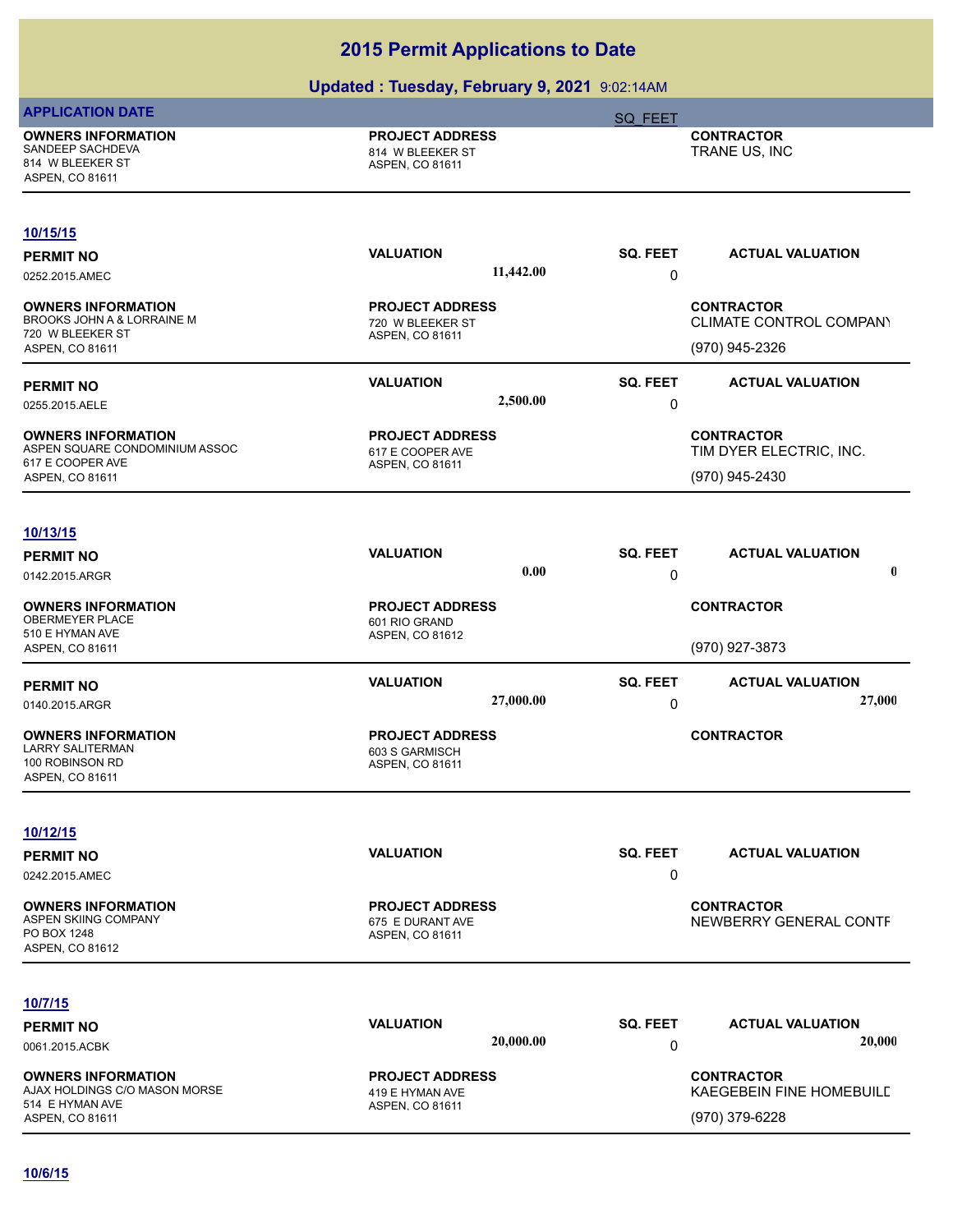| <b>APPLICATION DATE</b>                                                                                      | ,,<br>.                                                       | SQ FEET                                                         |
|--------------------------------------------------------------------------------------------------------------|---------------------------------------------------------------|-----------------------------------------------------------------|
| <b>OWNERS INFORMATION</b><br>SANDEEP SACHDEVA<br>814 W BLEEKER ST<br>ASPEN, CO 81611                         | <b>PROJECT ADDRESS</b><br>814 W BLEEKER ST<br>ASPEN, CO 81611 | <b>CONTRACTOR</b><br>TRANE US, INC                              |
| 10/15/15<br><b>PERMIT NO</b>                                                                                 | <b>VALUATION</b>                                              | SQ. FEET<br><b>ACTUAL VALUATION</b>                             |
| 0252.2015.AMEC                                                                                               | 11,442.00                                                     | 0                                                               |
| <b>OWNERS INFORMATION</b><br>BROOKS JOHN A & LORRAINE M<br>720 W BLEEKER ST<br>ASPEN, CO 81611               | <b>PROJECT ADDRESS</b><br>720 W BLEEKER ST<br>ASPEN, CO 81611 | <b>CONTRACTOR</b><br>CLIMATE CONTROL COMPANY<br>(970) 945-2326  |
| <b>PERMIT NO</b><br>0255.2015.AELE                                                                           | <b>VALUATION</b><br>2,500.00                                  | <b>SQ. FEET</b><br><b>ACTUAL VALUATION</b><br>0                 |
| <b>OWNERS INFORMATION</b><br>ASPEN SQUARE CONDOMINIUM ASSOC<br>617 E COOPER AVE<br>ASPEN, CO 81611           | <b>PROJECT ADDRESS</b><br>617 E COOPER AVE<br>ASPEN, CO 81611 | <b>CONTRACTOR</b><br>TIM DYER ELECTRIC, INC.<br>(970) 945-2430  |
| 10/13/15                                                                                                     |                                                               |                                                                 |
| <b>PERMIT NO</b><br>0142.2015.ARGR                                                                           | <b>VALUATION</b><br>0.00                                      | <b>SQ. FEET</b><br><b>ACTUAL VALUATION</b><br>$\mathbf 0$<br>0  |
| <b>OWNERS INFORMATION</b><br>OBERMEYER PLACE<br>510 E HYMAN AVE<br>ASPEN, CO 81611                           | <b>PROJECT ADDRESS</b><br>601 RIO GRAND<br>ASPEN, CO 81612    | <b>CONTRACTOR</b><br>(970) 927-3873                             |
| <b>PERMIT NO</b>                                                                                             | <b>VALUATION</b><br>27,000.00                                 | <b>SQ. FEET</b><br><b>ACTUAL VALUATION</b><br>27,000<br>0       |
| 0140.2015.ARGR<br><b>OWNERS INFORMATION</b><br><b>LARRY SALITERMAN</b><br>100 ROBINSON RD<br>ASPEN, CO 81611 | <b>PROJECT ADDRESS</b><br>603 S GARMISCH<br>ASPEN, CO 81611   | <b>CONTRACTOR</b>                                               |
| 10/12/15                                                                                                     |                                                               |                                                                 |
| <b>PERMIT NO</b><br>0242.2015.AMEC                                                                           | <b>VALUATION</b>                                              | SQ. FEET<br><b>ACTUAL VALUATION</b><br>0                        |
| <b>OWNERS INFORMATION</b><br>ASPEN SKIING COMPANY<br>PO BOX 1248<br>ASPEN, CO 81612                          | <b>PROJECT ADDRESS</b><br>675 E DURANT AVE<br>ASPEN, CO 81611 | <b>CONTRACTOR</b><br>NEWBERRY GENERAL CONTF                     |
| 10/7/15                                                                                                      |                                                               |                                                                 |
| <b>PERMIT NO</b><br>0061.2015.ACBK                                                                           | <b>VALUATION</b><br>20,000.00                                 | SQ. FEET<br><b>ACTUAL VALUATION</b><br>20,000<br>0              |
| <b>OWNERS INFORMATION</b><br>AJAX HOLDINGS C/O MASON MORSE<br>514 E HYMAN AVE<br>ASPEN, CO 81611             | <b>PROJECT ADDRESS</b><br>419 E HYMAN AVE<br>ASPEN, CO 81611  | <b>CONTRACTOR</b><br>KAEGEBEIN FINE HOMEBUILD<br>(970) 379-6228 |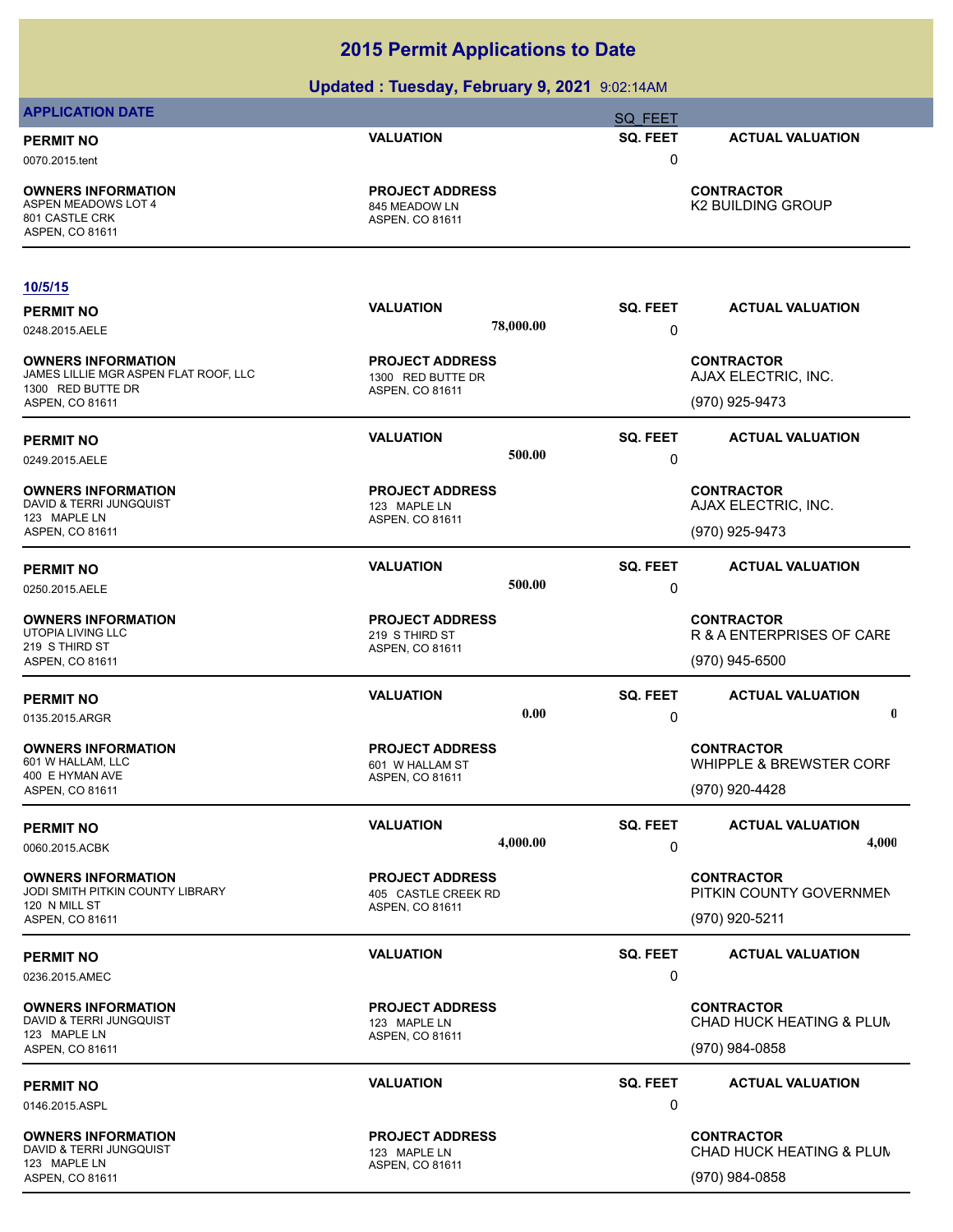|                                                                                                            | Opualtu . Tutsuay, I tufual y J, ZUZT 9.02.14AM                |                                  |                                                            |
|------------------------------------------------------------------------------------------------------------|----------------------------------------------------------------|----------------------------------|------------------------------------------------------------|
| <b>APPLICATION DATE</b>                                                                                    |                                                                | <b>SQ FEET</b>                   |                                                            |
| <b>PERMIT NO</b><br>0070.2015.tent                                                                         | <b>VALUATION</b>                                               | SQ. FEET<br>0                    | <b>ACTUAL VALUATION</b>                                    |
| <b>OWNERS INFORMATION</b><br><b>ASPEN MEADOWS LOT 4</b><br>801 CASTLE CRK<br>ASPEN, CO 81611               | <b>PROJECT ADDRESS</b><br>845 MEADOW LN<br>ASPEN, CO 81611     |                                  | <b>CONTRACTOR</b><br><b>K2 BUILDING GROUP</b>              |
| <u>10/5/15</u>                                                                                             |                                                                |                                  |                                                            |
| <b>PERMIT NO</b>                                                                                           | <b>VALUATION</b>                                               | SQ. FEET                         | <b>ACTUAL VALUATION</b>                                    |
| 0248.2015.AELE                                                                                             |                                                                | 78,000.00<br>0                   |                                                            |
| <b>OWNERS INFORMATION</b><br>JAMES LILLIE MGR ASPEN FLAT ROOF, LLC<br>1300 RED BUTTE DR<br>ASPEN, CO 81611 | <b>PROJECT ADDRESS</b><br>1300 RED BUTTE DR<br>ASPEN, CO 81611 |                                  | <b>CONTRACTOR</b><br>AJAX ELECTRIC, INC.<br>(970) 925-9473 |
|                                                                                                            |                                                                |                                  |                                                            |
| <b>PERMIT NO</b><br>0249.2015.AELE                                                                         | <b>VALUATION</b>                                               | <b>SQ. FEET</b><br>500.00<br>0   | <b>ACTUAL VALUATION</b>                                    |
| <b>OWNERS INFORMATION</b>                                                                                  | <b>PROJECT ADDRESS</b>                                         |                                  | <b>CONTRACTOR</b>                                          |
| DAVID & TERRI JUNGQUIST<br>123 MAPLE LN                                                                    | 123 MAPLE LN<br>ASPEN, CO 81611                                |                                  | AJAX ELECTRIC, INC.                                        |
| ASPEN, CO 81611                                                                                            |                                                                |                                  | (970) 925-9473                                             |
| <b>PERMIT NO</b>                                                                                           | <b>VALUATION</b>                                               | <b>SQ. FEET</b>                  | <b>ACTUAL VALUATION</b>                                    |
| 0250.2015.AELE                                                                                             |                                                                | 500.00<br>0                      |                                                            |
| <b>OWNERS INFORMATION</b><br><b>UTOPIA LIVING LLC</b>                                                      | <b>PROJECT ADDRESS</b><br>219 S THIRD ST                       |                                  | <b>CONTRACTOR</b><br>R & A ENTERPRISES OF CARE             |
| 219 S THIRD ST                                                                                             | ASPEN, CO 81611                                                |                                  | (970) 945-6500                                             |
| ASPEN, CO 81611                                                                                            |                                                                |                                  |                                                            |
| <b>PERMIT NO</b>                                                                                           | <b>VALUATION</b>                                               | <b>SQ. FEET</b><br>0.00          | <b>ACTUAL VALUATION</b><br>$\mathbf 0$                     |
| 0135.2015.ARGR                                                                                             |                                                                | 0                                |                                                            |
| <b>OWNERS INFORMATION</b><br>601 W HALLAM, LLC                                                             | <b>PROJECT ADDRESS</b><br>601 W HALLAM ST                      |                                  | <b>CONTRACTOR</b><br>WHIPPLE & BREWSTER CORF               |
| 400 E HYMAN AVE<br>ASPEN, CO 81611                                                                         | ASPEN, CO 81611                                                |                                  | (970) 920-4428                                             |
|                                                                                                            |                                                                |                                  |                                                            |
| <b>PERMIT NO</b><br>0060.2015.ACBK                                                                         | <b>VALUATION</b>                                               | <b>SQ. FEET</b><br>4,000.00<br>0 | <b>ACTUAL VALUATION</b><br>4,000                           |
| <b>OWNERS INFORMATION</b>                                                                                  | <b>PROJECT ADDRESS</b>                                         |                                  | <b>CONTRACTOR</b>                                          |
| JODI SMITH PITKIN COUNTY LIBRARY<br>120 N MILL ST<br>ASPEN, CO 81611                                       | 405 CASTLE CREEK RD<br>ASPEN, CO 81611                         |                                  | PITKIN COUNTY GOVERNMEN<br>(970) 920-5211                  |
| <b>PERMIT NO</b><br>0236.2015.AMEC                                                                         | <b>VALUATION</b>                                               | SQ. FEET<br>0                    | <b>ACTUAL VALUATION</b>                                    |
| <b>OWNERS INFORMATION</b><br>DAVID & TERRI JUNGQUIST                                                       | <b>PROJECT ADDRESS</b><br>123 MAPLE LN                         |                                  | <b>CONTRACTOR</b><br>CHAD HUCK HEATING & PLUM              |
| 123 MAPLE LN<br>ASPEN, CO 81611                                                                            | ASPEN, CO 81611                                                |                                  | (970) 984-0858                                             |
| <b>PERMIT NO</b>                                                                                           | <b>VALUATION</b>                                               | <b>SQ. FEET</b><br>0             | <b>ACTUAL VALUATION</b>                                    |
| 0146.2015.ASPL                                                                                             |                                                                |                                  |                                                            |
| <b>OWNERS INFORMATION</b><br>DAVID & TERRI JUNGQUIST<br>123 MAPLE LN                                       | <b>PROJECT ADDRESS</b><br>123 MAPLE LN<br>ASPEN, CO 81611      |                                  | <b>CONTRACTOR</b><br>CHAD HUCK HEATING & PLUM              |
| ASPEN, CO 81611                                                                                            |                                                                |                                  | (970) 984-0858                                             |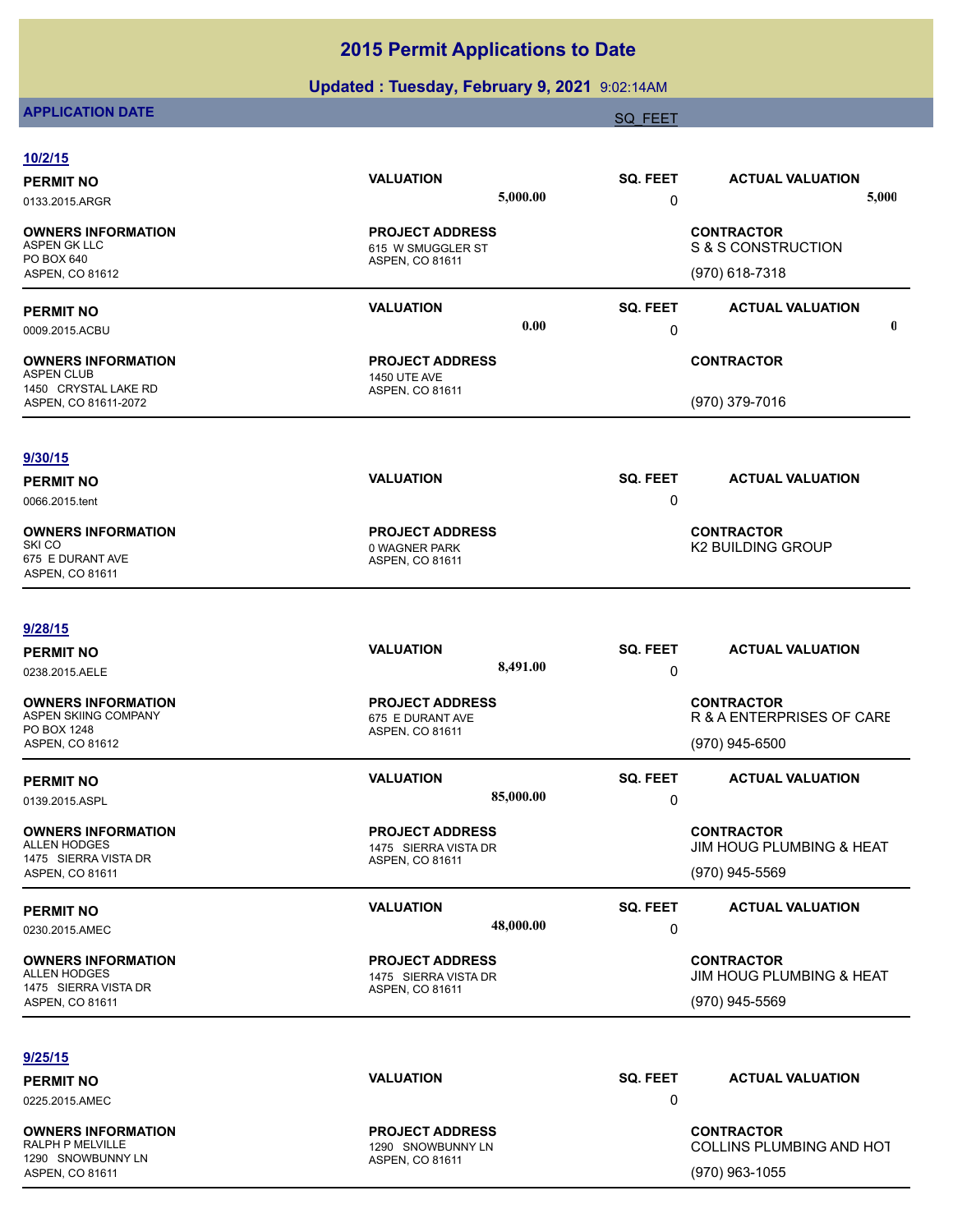## **Updated : Tuesday, February 9, 2021** 9:02:14AM

# **APPLICATION DATE** SOLUTION CONTINUES AND A SOLUTION OF THE SAME SOLUTION OF THE SAME SOLUTION OF THE SAME SOLUTION

| 10/2/15                                                                              |                                                                   |                 |                                                                 |
|--------------------------------------------------------------------------------------|-------------------------------------------------------------------|-----------------|-----------------------------------------------------------------|
| <b>PERMIT NO</b>                                                                     | <b>VALUATION</b>                                                  | <b>SQ. FEET</b> | <b>ACTUAL VALUATION</b>                                         |
| 0133.2015.ARGR                                                                       | 5,000.00                                                          | 0               | 5,000                                                           |
| <b>OWNERS INFORMATION</b><br>ASPEN GK LLC<br>PO BOX 640                              | <b>PROJECT ADDRESS</b><br>615 W SMUGGLER ST                       |                 | <b>CONTRACTOR</b><br>S & S CONSTRUCTION                         |
| ASPEN, CO 81612                                                                      | ASPEN, CO 81611                                                   |                 | (970) 618-7318                                                  |
| <b>PERMIT NO</b>                                                                     | <b>VALUATION</b>                                                  | SQ. FEET        | <b>ACTUAL VALUATION</b>                                         |
| 0009.2015.ACBU                                                                       | 0.00                                                              | 0               | $\mathbf 0$                                                     |
| <b>OWNERS INFORMATION</b><br>ASPEN CLUB                                              | <b>PROJECT ADDRESS</b><br><b>1450 UTE AVE</b>                     |                 | <b>CONTRACTOR</b>                                               |
| 1450 CRYSTAL LAKE RD<br>ASPEN, CO 81611-2072                                         | ASPEN, CO 81611                                                   |                 | (970) 379-7016                                                  |
| 9/30/15                                                                              |                                                                   |                 |                                                                 |
| <b>PERMIT NO</b>                                                                     | <b>VALUATION</b>                                                  | SQ. FEET        | <b>ACTUAL VALUATION</b>                                         |
| 0066.2015.tent                                                                       |                                                                   | 0               |                                                                 |
| <b>OWNERS INFORMATION</b><br>SKI CO<br>675 E DURANT AVE<br>ASPEN, CO 81611           | <b>PROJECT ADDRESS</b><br>0 WAGNER PARK<br>ASPEN, CO 81611        |                 | <b>CONTRACTOR</b><br>K2 BUILDING GROUP                          |
| 9/28/15                                                                              |                                                                   |                 |                                                                 |
| <b>PERMIT NO</b>                                                                     | <b>VALUATION</b>                                                  | SQ. FEET        | <b>ACTUAL VALUATION</b>                                         |
| 0238.2015.AELE                                                                       | 8,491.00                                                          | 0               |                                                                 |
| <b>OWNERS INFORMATION</b><br>ASPEN SKIING COMPANY<br>PO BOX 1248                     | <b>PROJECT ADDRESS</b><br>675 E DURANT AVE                        |                 | <b>CONTRACTOR</b><br>R & A ENTERPRISES OF CARE                  |
| ASPEN, CO 81612                                                                      | ASPEN, CO 81611                                                   |                 | (970) 945-6500                                                  |
| <b>PERMIT NO</b>                                                                     | <b>VALUATION</b>                                                  | <b>SQ. FEET</b> | <b>ACTUAL VALUATION</b>                                         |
| 0139.2015.ASPL                                                                       | 85,000.00                                                         | 0               |                                                                 |
| <b>OWNERS INFORMATION</b><br>ALLEN HODGES<br>1475 SIERRA VISTA DR<br>ASPEN, CO 81611 | <b>PROJECT ADDRESS</b><br>1475 SIERRA VISTA DR<br>ASPEN, CO 81611 |                 | <b>CONTRACTOR</b><br>JIM HOUG PLUMBING & HEAT<br>(970) 945-5569 |
|                                                                                      | <b>VALUATION</b>                                                  | SQ. FEET        | <b>ACTUAL VALUATION</b>                                         |
| <b>PERMIT NO</b><br>0230.2015.AMEC                                                   | 48,000.00                                                         | 0               |                                                                 |
| <b>OWNERS INFORMATION</b><br>ALLEN HODGES<br>1475 SIERRA VISTA DR                    | <b>PROJECT ADDRESS</b><br>1475 SIERRA VISTA DR<br>ASPEN, CO 81611 |                 | <b>CONTRACTOR</b><br>JIM HOUG PLUMBING & HEAT                   |
| ASPEN, CO 81611                                                                      |                                                                   |                 | (970) 945-5569                                                  |
| 9/25/15                                                                              |                                                                   |                 |                                                                 |
| <b>PERMIT NO</b>                                                                     | <b>VALUATION</b>                                                  | <b>SQ. FEET</b> | <b>ACTUAL VALUATION</b>                                         |
| 0225.2015.AMEC                                                                       |                                                                   | 0               |                                                                 |
| <b>OWNERS INFORMATION</b><br>RALPH P MELVILLE                                        | <b>PROJECT ADDRESS</b><br>1290 SNOWBUNNY LN                       |                 | <b>CONTRACTOR</b><br>COLLINS PLUMBING AND HOT                   |
| 1290 SNOWBUNNY LN<br>ASPEN, CO 81611                                                 | ASPEN, CO 81611                                                   |                 | (970) 963-1055                                                  |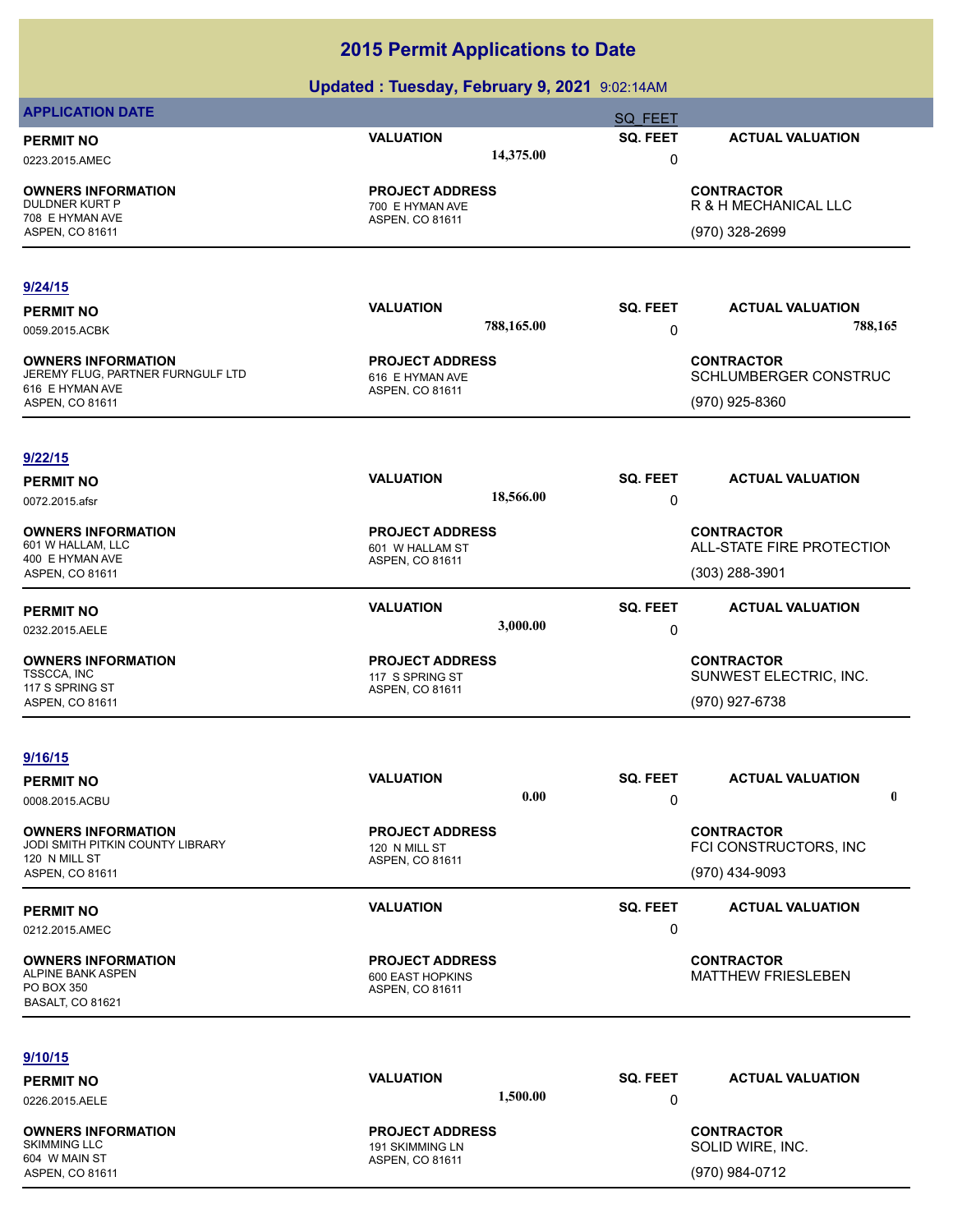|                                                                | $m$ . The case $m$ , $m$ and $m$ and $m$ and $m$ |                 |                                                |
|----------------------------------------------------------------|--------------------------------------------------|-----------------|------------------------------------------------|
| <b>APPLICATION DATE</b>                                        |                                                  | <b>SQ FEET</b>  |                                                |
| <b>PERMIT NO</b>                                               | <b>VALUATION</b>                                 | SQ. FEET        | <b>ACTUAL VALUATION</b>                        |
| 0223.2015.AMEC                                                 | 14,375.00                                        | $\mathbf 0$     |                                                |
| <b>OWNERS INFORMATION</b>                                      | <b>PROJECT ADDRESS</b>                           |                 | <b>CONTRACTOR</b>                              |
| <b>DULDNER KURT P</b>                                          | 700 E HYMAN AVE                                  |                 | R & H MECHANICAL LLC                           |
| 708 E HYMAN AVE<br>ASPEN, CO 81611                             | ASPEN, CO 81611                                  |                 | (970) 328-2699                                 |
|                                                                |                                                  |                 |                                                |
| 9/24/15                                                        |                                                  |                 |                                                |
| <b>PERMIT NO</b>                                               | <b>VALUATION</b>                                 | SQ. FEET        | <b>ACTUAL VALUATION</b>                        |
| 0059.2015.ACBK                                                 | 788,165.00                                       | 0               | 788,165                                        |
|                                                                |                                                  |                 |                                                |
| <b>OWNERS INFORMATION</b><br>JEREMY FLUG, PARTNER FURNGULF LTD | <b>PROJECT ADDRESS</b><br>616 E HYMAN AVE        |                 | <b>CONTRACTOR</b><br>SCHLUMBERGER CONSTRUC     |
| 616 E HYMAN AVE                                                | ASPEN, CO 81611                                  |                 |                                                |
| ASPEN, CO 81611                                                |                                                  |                 | (970) 925-8360                                 |
| 9/22/15                                                        |                                                  |                 |                                                |
|                                                                | <b>VALUATION</b>                                 | SQ. FEET        | <b>ACTUAL VALUATION</b>                        |
| <b>PERMIT NO</b>                                               | 18,566.00                                        | 0               |                                                |
| 0072.2015.afsr                                                 |                                                  |                 |                                                |
| <b>OWNERS INFORMATION</b>                                      | <b>PROJECT ADDRESS</b>                           |                 | <b>CONTRACTOR</b>                              |
| 601 W HALLAM, LLC<br>400 E HYMAN AVE                           | 601 W HALLAM ST<br>ASPEN, CO 81611               |                 | ALL-STATE FIRE PROTECTION                      |
| ASPEN, CO 81611                                                |                                                  |                 | $(303)$ 288-3901                               |
| <b>PERMIT NO</b>                                               | <b>VALUATION</b>                                 | <b>SQ. FEET</b> | <b>ACTUAL VALUATION</b>                        |
| 0232.2015.AELE                                                 | 3,000.00                                         | 0               |                                                |
| <b>OWNERS INFORMATION</b>                                      | <b>PROJECT ADDRESS</b>                           |                 | <b>CONTRACTOR</b>                              |
| TSSCCA, INC                                                    | 117 S SPRING ST                                  |                 | SUNWEST ELECTRIC, INC.                         |
| 117 S SPRING ST<br>ASPEN, CO 81611                             | ASPEN, CO 81611                                  |                 | (970) 927-6738                                 |
|                                                                |                                                  |                 |                                                |
| 9/16/15                                                        |                                                  |                 |                                                |
| <b>PERMIT NO</b>                                               | <b>VALUATION</b>                                 | SQ. FEET        | <b>ACTUAL VALUATION</b>                        |
| 0008.2015.ACBU                                                 | 0.00                                             | 0               | 0                                              |
|                                                                |                                                  |                 |                                                |
| <b>OWNERS INFORMATION</b><br>JODI SMITH PITKIN COUNTY LIBRARY  | <b>PROJECT ADDRESS</b><br>120 N MILL ST          |                 | <b>CONTRACTOR</b><br>FCI CONSTRUCTORS, INC     |
| 120 N MILL ST                                                  | ASPEN, CO 81611                                  |                 |                                                |
| ASPEN, CO 81611                                                |                                                  |                 | (970) 434-9093                                 |
| <b>PERMIT NO</b>                                               | <b>VALUATION</b>                                 | SQ. FEET        | <b>ACTUAL VALUATION</b>                        |
| 0212.2015.AMEC                                                 |                                                  | 0               |                                                |
|                                                                |                                                  |                 |                                                |
| <b>OWNERS INFORMATION</b><br>ALPINE BANK ASPEN                 | <b>PROJECT ADDRESS</b><br>600 EAST HOPKINS       |                 | <b>CONTRACTOR</b><br><b>MATTHEW FRIESLEBEN</b> |
| PO BOX 350                                                     | ASPEN, CO 81611                                  |                 |                                                |
| <b>BASALT, CO 81621</b>                                        |                                                  |                 |                                                |
|                                                                |                                                  |                 |                                                |
| 9/10/15                                                        |                                                  |                 |                                                |
| <b>PERMIT NO</b>                                               | <b>VALUATION</b>                                 | SQ. FEET        | <b>ACTUAL VALUATION</b>                        |
| 0226.2015.AELE                                                 | 1,500.00                                         | 0               |                                                |
| <b>OWNERS INFORMATION</b>                                      | <b>PROJECT ADDRESS</b>                           |                 | <b>CONTRACTOR</b>                              |
| <b>SKIMMING LLC</b>                                            | 191 SKIMMING LN                                  |                 | SOLID WIRE, INC.                               |
| 604 W MAIN ST<br>ASPEN, CO 81611                               | ASPEN, CO 81611                                  |                 | (970) 984-0712                                 |
|                                                                |                                                  |                 |                                                |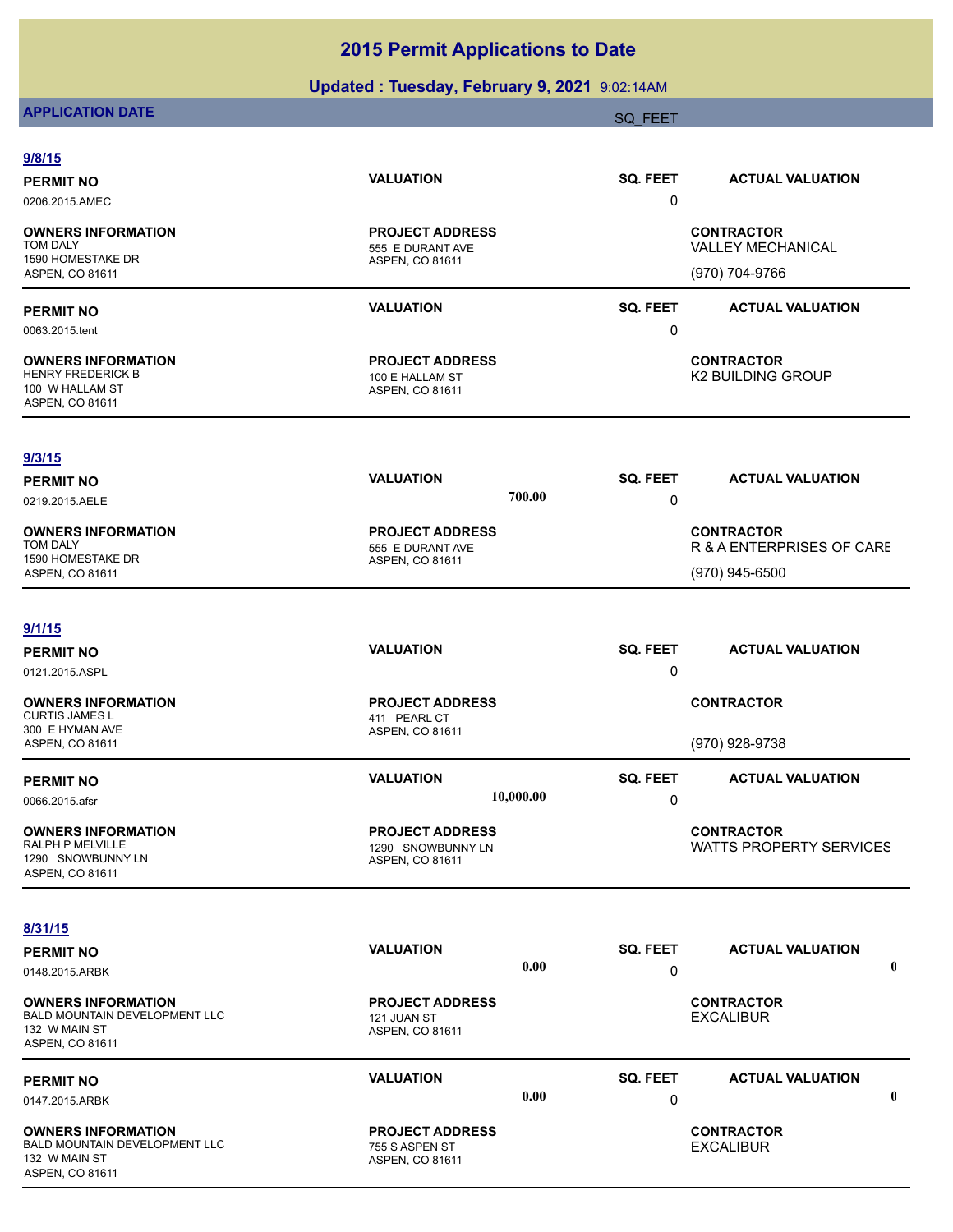## **Updated : Tuesday, February 9, 2021** 9:02:14AM

# **APPLICATION DATE** SOLUTION CONTINUES AND A SOLUTION OF THE SAME SOLUTION OF THE SAME SOLUTION OF THE SAME SOLUTION

| 9/8/15                                                                                                           |                                                                |                         |                                                                  |
|------------------------------------------------------------------------------------------------------------------|----------------------------------------------------------------|-------------------------|------------------------------------------------------------------|
| <b>PERMIT NO</b><br>0206.2015.AMEC                                                                               | <b>VALUATION</b>                                               | SQ. FEET<br>0           | <b>ACTUAL VALUATION</b>                                          |
| <b>OWNERS INFORMATION</b><br><b>TOM DALY</b><br>1590 HOMESTAKE DR<br>ASPEN, CO 81611                             | <b>PROJECT ADDRESS</b><br>555 E DURANT AVE<br>ASPEN, CO 81611  |                         | <b>CONTRACTOR</b><br><b>VALLEY MECHANICAL</b><br>(970) 704-9766  |
| <b>PERMIT NO</b><br>0063.2015.tent                                                                               | <b>VALUATION</b>                                               | <b>SQ. FEET</b><br>0    | <b>ACTUAL VALUATION</b>                                          |
| <b>OWNERS INFORMATION</b><br><b>HENRY FREDERICK B</b><br>100 W HALLAM ST<br>ASPEN, CO 81611                      | <b>PROJECT ADDRESS</b><br>100 E HALLAM ST<br>ASPEN, CO 81611   |                         | <b>CONTRACTOR</b><br><b>K2 BUILDING GROUP</b>                    |
| 9/3/15<br><b>PERMIT NO</b><br>0219.2015.AELE                                                                     | <b>VALUATION</b>                                               | SQ. FEET<br>700.00<br>0 | <b>ACTUAL VALUATION</b>                                          |
| <b>OWNERS INFORMATION</b><br><b>TOM DALY</b><br>1590 HOMESTAKE DR<br>ASPEN, CO 81611                             | <b>PROJECT ADDRESS</b><br>555 E DURANT AVE<br>ASPEN, CO 81611  |                         | <b>CONTRACTOR</b><br>R & A ENTERPRISES OF CARE<br>(970) 945-6500 |
| 9/1/15<br><b>PERMIT NO</b><br>0121.2015.ASPL                                                                     | <b>VALUATION</b>                                               | SQ. FEET<br>0           | <b>ACTUAL VALUATION</b>                                          |
| <b>OWNERS INFORMATION</b><br><b>CURTIS JAMES L</b><br>300 E HYMAN AVE<br>ASPEN, CO 81611                         | <b>PROJECT ADDRESS</b><br>411 PEARL CT<br>ASPEN, CO 81611      |                         | <b>CONTRACTOR</b><br>(970) 928-9738                              |
| <b>PERMIT NO</b><br>0066.2015.afsr                                                                               | <b>VALUATION</b><br>10,000.00                                  | SQ. FEET<br>0           | <b>ACTUAL VALUATION</b>                                          |
| <b>OWNERS INFORMATION</b><br>RALPH P MELVILLE<br>1290 SNOWBUNNY LN<br><b>ASPEN, CO 81611</b>                     | <b>PROJECT ADDRESS</b><br>1290 SNOWBUNNY LN<br>ASPEN, CO 81611 |                         | <b>CONTRACTOR</b><br>WATTS PROPERTY SERVICES                     |
| 8/31/15<br><b>PERMIT NO</b>                                                                                      | <b>VALUATION</b>                                               | SQ. FEET                | <b>ACTUAL VALUATION</b>                                          |
| 0148.2015.ARBK<br><b>OWNERS INFORMATION</b><br>BALD MOUNTAIN DEVELOPMENT LLC<br>132 W MAIN ST<br>ASPEN, CO 81611 | <b>PROJECT ADDRESS</b><br>121 JUAN ST<br>ASPEN, CO 81611       | 0.00<br>0               | $\mathbf 0$<br><b>CONTRACTOR</b><br><b>EXCALIBUR</b>             |
| <b>PERMIT NO</b><br>0147.2015.ARBK                                                                               | <b>VALUATION</b>                                               | SQ. FEET<br>0.00<br>0   | <b>ACTUAL VALUATION</b><br>$\mathbf 0$                           |
| <b>OWNERS INFORMATION</b><br>BALD MOUNTAIN DEVELOPMENT LLC<br>132 W MAIN ST<br>ASPEN, CO 81611                   | <b>PROJECT ADDRESS</b><br>755 S ASPEN ST<br>ASPEN, CO 81611    |                         | <b>CONTRACTOR</b><br><b>EXCALIBUR</b>                            |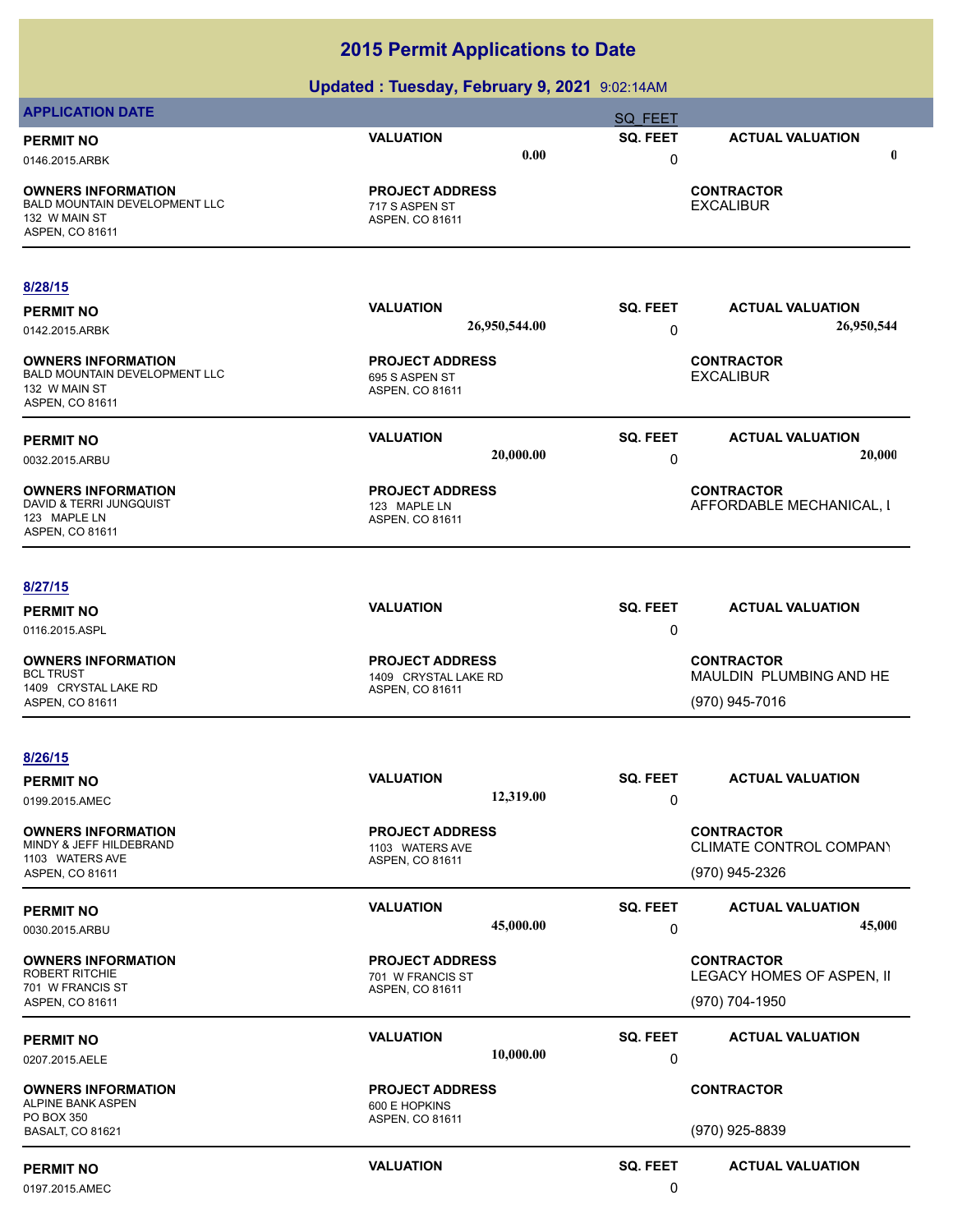|                                                                                                       | . .<br>- -                                                  |                 |                                               |
|-------------------------------------------------------------------------------------------------------|-------------------------------------------------------------|-----------------|-----------------------------------------------|
| <b>APPLICATION DATE</b>                                                                               |                                                             | <b>SQ FEET</b>  |                                               |
| <b>PERMIT NO</b>                                                                                      | <b>VALUATION</b>                                            | <b>SQ. FEET</b> | <b>ACTUAL VALUATION</b>                       |
| 0146.2015.ARBK                                                                                        | 0.00                                                        | 0               | $\mathbf 0$                                   |
| <b>OWNERS INFORMATION</b><br><b>BALD MOUNTAIN DEVELOPMENT LLC</b><br>132 W MAIN ST<br>ASPEN, CO 81611 | <b>PROJECT ADDRESS</b><br>717 S ASPEN ST<br>ASPEN, CO 81611 |                 | <b>CONTRACTOR</b><br><b>EXCALIBUR</b>         |
|                                                                                                       |                                                             |                 |                                               |
| 8/28/15                                                                                               |                                                             |                 |                                               |
| <b>PERMIT NO</b>                                                                                      | <b>VALUATION</b>                                            | <b>SQ. FEET</b> | <b>ACTUAL VALUATION</b>                       |
| 0142.2015.ARBK                                                                                        | 26,950,544.00                                               | 0               | 26,950,544                                    |
| <b>OWNERS INFORMATION</b><br><b>BALD MOUNTAIN DEVELOPMENT LLC</b><br>132 W MAIN ST<br>ASPEN, CO 81611 | <b>PROJECT ADDRESS</b><br>695 S ASPEN ST<br>ASPEN, CO 81611 |                 | <b>CONTRACTOR</b><br><b>EXCALIBUR</b>         |
| <b>PERMIT NO</b>                                                                                      | <b>VALUATION</b>                                            | <b>SQ. FEET</b> | <b>ACTUAL VALUATION</b>                       |
| 0032.2015.ARBU                                                                                        | 20,000.00                                                   | 0               | 20,000                                        |
| <b>OWNERS INFORMATION</b><br>DAVID & TERRI JUNGQUIST<br>123 MAPLE LN<br>ASPEN, CO 81611               | <b>PROJECT ADDRESS</b><br>123 MAPLE LN<br>ASPEN, CO 81611   |                 | <b>CONTRACTOR</b><br>AFFORDABLE MECHANICAL, I |
| 8/27/15                                                                                               |                                                             |                 |                                               |
| <b>PERMIT NO</b>                                                                                      | <b>VALUATION</b>                                            | <b>SQ. FEET</b> | <b>ACTUAL VALUATION</b>                       |
| 0116.2015.ASPL                                                                                        |                                                             | 0               |                                               |
|                                                                                                       |                                                             |                 |                                               |
| <b>OWNERS INFORMATION</b><br><b>BCL TRUST</b>                                                         | <b>PROJECT ADDRESS</b><br>1409 CRYSTAL LAKE RD              |                 | <b>CONTRACTOR</b><br>MAULDIN PLUMBING AND HE  |
| 1409 CRYSTAL LAKE RD                                                                                  | ASPEN, CO 81611                                             |                 | (970) 945-7016                                |
| ASPEN, CO 81611                                                                                       |                                                             |                 |                                               |
| 8/26/15                                                                                               |                                                             |                 |                                               |
| <b>PERMIT NO</b>                                                                                      | <b>VALUATION</b>                                            | SQ. FEET        | <b>ACTUAL VALUATION</b>                       |
| 0199.2015.AMEC                                                                                        | 12,319.00                                                   | 0               |                                               |
|                                                                                                       |                                                             |                 |                                               |
| <b>OWNERS INFORMATION</b><br>MINDY & JEFF HILDEBRAND                                                  | <b>PROJECT ADDRESS</b><br>1103 WATERS AVE                   |                 | <b>CONTRACTOR</b><br>CLIMATE CONTROL COMPANY  |
| 1103 WATERS AVE<br>ASPEN, CO 81611                                                                    | ASPEN, CO 81611                                             |                 | (970) 945-2326                                |
|                                                                                                       |                                                             |                 |                                               |
| <b>PERMIT NO</b>                                                                                      | <b>VALUATION</b>                                            | <b>SQ. FEET</b> | <b>ACTUAL VALUATION</b>                       |
| 0030.2015.ARBU                                                                                        | 45,000.00                                                   | 0               | 45,000                                        |
| <b>OWNERS INFORMATION</b>                                                                             | <b>PROJECT ADDRESS</b>                                      |                 | <b>CONTRACTOR</b>                             |
| <b>ROBERT RITCHIE</b><br>701 W FRANCIS ST                                                             | 701 W FRANCIS ST<br>ASPEN, CO 81611                         |                 | LEGACY HOMES OF ASPEN, II                     |
| ASPEN, CO 81611                                                                                       |                                                             |                 | (970) 704-1950                                |
|                                                                                                       | <b>VALUATION</b>                                            | <b>SQ. FEET</b> | <b>ACTUAL VALUATION</b>                       |
| <b>PERMIT NO</b><br>0207.2015.AELE                                                                    | 10,000.00                                                   | 0               |                                               |
|                                                                                                       |                                                             |                 |                                               |
| <b>OWNERS INFORMATION</b><br>ALPINE BANK ASPEN                                                        | <b>PROJECT ADDRESS</b><br>600 E HOPKINS                     |                 | <b>CONTRACTOR</b>                             |
| PO BOX 350<br><b>BASALT, CO 81621</b>                                                                 | ASPEN, CO 81611                                             |                 | (970) 925-8839                                |
|                                                                                                       |                                                             |                 |                                               |
| <b>PERMIT NO</b>                                                                                      | <b>VALUATION</b>                                            | <b>SQ. FEET</b> | <b>ACTUAL VALUATION</b>                       |
| 0197.2015.AMEC                                                                                        |                                                             | 0               |                                               |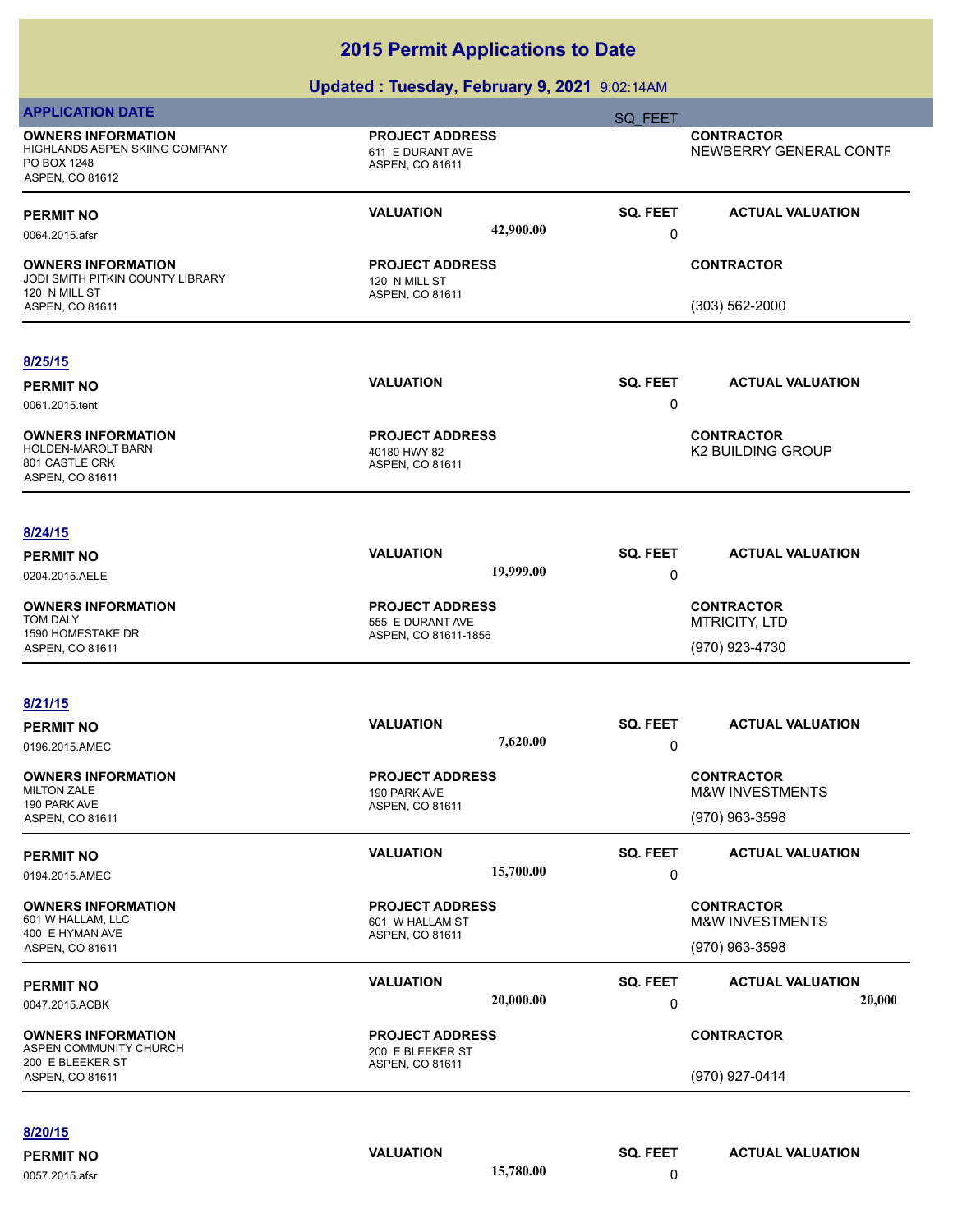#### **Updated : Tuesday, February 9, 2021** 9:02:14AM

| <b>APPLICATION DATE</b>                                                                       |                                                               | SQ FEET              |                                                 |
|-----------------------------------------------------------------------------------------------|---------------------------------------------------------------|----------------------|-------------------------------------------------|
| <b>OWNERS INFORMATION</b><br>HIGHLANDS ASPEN SKIING COMPANY<br>PO BOX 1248<br>ASPEN, CO 81612 | <b>PROJECT ADDRESS</b><br>611 E DURANT AVE<br>ASPEN, CO 81611 |                      | <b>CONTRACTOR</b><br>NEWBERRY GENERAL CONTF     |
| <b>PERMIT NO</b><br>0064.2015.afsr                                                            | <b>VALUATION</b><br>42,900.00                                 | SQ. FEET<br>0        | <b>ACTUAL VALUATION</b>                         |
| <b>OWNERS INFORMATION</b><br>JODI SMITH PITKIN COUNTY LIBRARY<br>120 N MILL ST                | <b>PROJECT ADDRESS</b><br>120 N MILL ST<br>ASPEN, CO 81611    |                      | <b>CONTRACTOR</b>                               |
| ASPEN, CO 81611                                                                               |                                                               |                      | (303) 562-2000                                  |
| 8/25/15                                                                                       |                                                               |                      |                                                 |
| <b>PERMIT NO</b><br>0061.2015.tent                                                            | <b>VALUATION</b>                                              | SQ. FEET<br>0        | <b>ACTUAL VALUATION</b>                         |
| <b>OWNERS INFORMATION</b><br>HOLDEN-MAROLT BARN<br>801 CASTLE CRK<br>ASPEN, CO 81611          | <b>PROJECT ADDRESS</b><br>40180 HWY 82<br>ASPEN, CO 81611     |                      | <b>CONTRACTOR</b><br><b>K2 BUILDING GROUP</b>   |
| 8/24/15                                                                                       |                                                               |                      |                                                 |
| <b>PERMIT NO</b><br>0204.2015.AELE                                                            | <b>VALUATION</b><br>19,999.00                                 | SQ. FEET<br>0        | <b>ACTUAL VALUATION</b>                         |
| <b>OWNERS INFORMATION</b><br>TOM DALY                                                         | <b>PROJECT ADDRESS</b><br>555 E DURANT AVE                    |                      | <b>CONTRACTOR</b><br><b>MTRICITY, LTD</b>       |
| 1590 HOMESTAKE DR<br>ASPEN, CO 81611                                                          | ASPEN, CO 81611-1856                                          |                      | (970) 923-4730                                  |
| 8/21/15                                                                                       |                                                               |                      |                                                 |
| <b>PERMIT NO</b>                                                                              | <b>VALUATION</b>                                              | <b>SQ. FEET</b>      | <b>ACTUAL VALUATION</b>                         |
| 0196.2015.AMEC                                                                                | 7,620.00                                                      | 0                    |                                                 |
| <b>OWNERS INFORMATION</b><br><b>MILTON ZALE</b>                                               | <b>PROJECT ADDRESS</b><br>190 PARK AVE                        |                      | <b>CONTRACTOR</b><br>M&W INVESTMENTS            |
| 190 PARK AVE<br>ASPEN, CO 81611                                                               | ASPEN, CO 81611                                               |                      | (970) 963-3598                                  |
| <b>PERMIT NO</b><br>0194.2015.AMEC                                                            | <b>VALUATION</b><br>15,700.00                                 | <b>SQ. FEET</b><br>0 | <b>ACTUAL VALUATION</b>                         |
| <b>OWNERS INFORMATION</b><br>601 W HALLAM, LLC                                                | <b>PROJECT ADDRESS</b><br>601 W HALLAM ST                     |                      | <b>CONTRACTOR</b><br><b>M&amp;W INVESTMENTS</b> |
| 400 E HYMAN AVE<br>ASPEN, CO 81611                                                            | ASPEN, CO 81611                                               |                      | (970) 963-3598                                  |
| <b>PERMIT NO</b>                                                                              | <b>VALUATION</b><br>20,000.00                                 | SQ. FEET             | <b>ACTUAL VALUATION</b><br>20,000               |
| 0047.2015.ACBK                                                                                |                                                               | 0                    |                                                 |
| <b>OWNERS INFORMATION</b><br>ASPEN COMMUNITY CHURCH<br>200 E BLEEKER ST                       | <b>PROJECT ADDRESS</b><br>200 E BLEEKER ST<br>ASPEN, CO 81611 |                      | <b>CONTRACTOR</b>                               |
| ASPEN, CO 81611                                                                               |                                                               |                      | (970) 927-0414                                  |

**PERMIT NO CONSISTENT OF CONSISTING CONSISTING VALUATION**<br>  $\begin{array}{ccc}\n 0.657.2015. afsr & & \\
 & & 0.572015. afsr & \\
\end{array}$ 

0057.2015.afsr **15,780.00** 0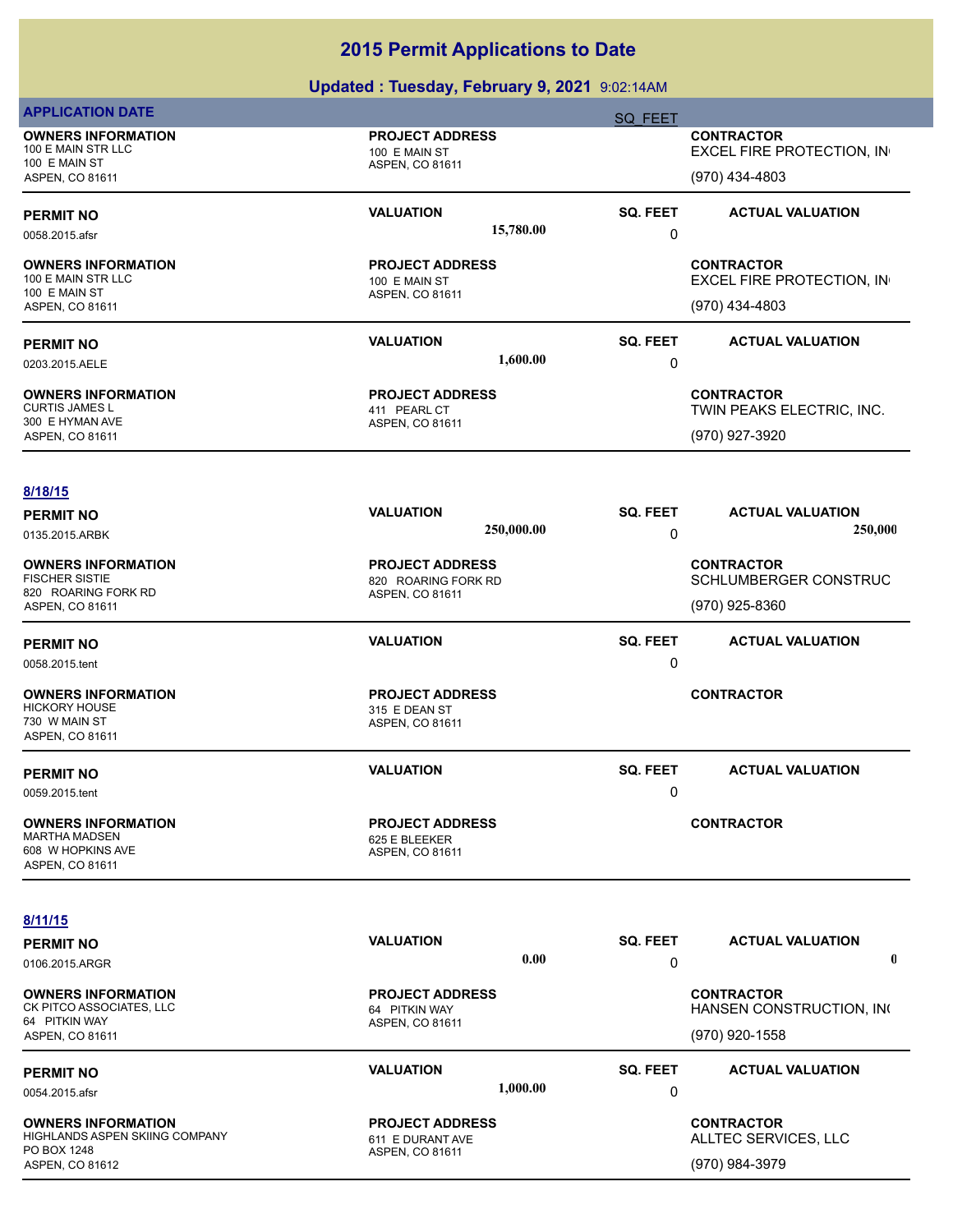| <b>APPLICATION DATE</b>                                                                         |                                                                  | SQ FEET                                                          |
|-------------------------------------------------------------------------------------------------|------------------------------------------------------------------|------------------------------------------------------------------|
| <b>OWNERS INFORMATION</b><br>100 E MAIN STR LLC<br>100 E MAIN ST<br>ASPEN, CO 81611             | <b>PROJECT ADDRESS</b><br>100 E MAIN ST<br>ASPEN, CO 81611       | <b>CONTRACTOR</b><br>EXCEL FIRE PROTECTION, IN<br>(970) 434-4803 |
| <b>PERMIT NO</b><br>0058.2015.afsr                                                              | <b>VALUATION</b><br>15,780.00                                    | SQ. FEET<br><b>ACTUAL VALUATION</b><br>0                         |
| <b>OWNERS INFORMATION</b><br>100 E MAIN STR LLC<br>100 E MAIN ST<br>ASPEN, CO 81611             | <b>PROJECT ADDRESS</b><br>100 E MAIN ST<br>ASPEN, CO 81611       | <b>CONTRACTOR</b><br>EXCEL FIRE PROTECTION, IN<br>(970) 434-4803 |
| <b>PERMIT NO</b><br>0203.2015.AELE                                                              | <b>VALUATION</b><br>1,600.00                                     | SQ. FEET<br><b>ACTUAL VALUATION</b><br>0                         |
| <b>OWNERS INFORMATION</b><br><b>CURTIS JAMES L</b><br>300 E HYMAN AVE<br><b>ASPEN, CO 81611</b> | <b>PROJECT ADDRESS</b><br>411 PEARL CT<br>ASPEN, CO 81611        | <b>CONTRACTOR</b><br>TWIN PEAKS ELECTRIC, INC.<br>(970) 927-3920 |
| 8/18/15<br><b>PERMIT NO</b><br>0135.2015.ARBK                                                   | <b>VALUATION</b><br>250,000.00                                   | SQ. FEET<br><b>ACTUAL VALUATION</b><br>250,000<br>0              |
| <b>OWNERS INFORMATION</b><br><b>FISCHER SISTIE</b><br>820 ROARING FORK RD<br>ASPEN, CO 81611    | <b>PROJECT ADDRESS</b><br>820 ROARING FORK RD<br>ASPEN, CO 81611 | <b>CONTRACTOR</b><br>SCHLUMBERGER CONSTRUC<br>(970) 925-8360     |
| <b>PERMIT NO</b><br>0058.2015.tent                                                              | <b>VALUATION</b>                                                 | SQ. FEET<br><b>ACTUAL VALUATION</b><br>0                         |
| <b>OWNERS INFORMATION</b><br><b>HICKORY HOUSE</b><br>730 W MAIN ST<br>ASPEN, CO 81611           | <b>PROJECT ADDRESS</b><br>315 E DEAN ST<br>ASPEN, CO 81611       | <b>CONTRACTOR</b>                                                |
| <b>PERMIT NO</b><br>0059.2015.tent                                                              | <b>VALUATION</b>                                                 | SQ. FEET<br><b>ACTUAL VALUATION</b><br>$\mathbf{0}$              |
| <b>OWNERS INFORMATION</b><br><b>MARTHA MADSEN</b><br>608 W HOPKINS AVE<br>ASPEN, CO 81611       | <b>PROJECT ADDRESS</b><br>625 E BLEEKER<br>ASPEN, CO 81611       | <b>CONTRACTOR</b>                                                |
| 8/11/15<br><b>PERMIT NO</b><br>0106.2015.ARGR                                                   | <b>VALUATION</b><br>0.00                                         | SQ. FEET<br><b>ACTUAL VALUATION</b><br>0                         |
| <b>OWNERS INFORMATION</b><br>CK PITCO ASSOCIATES, LLC<br>64 PITKIN WAY<br>ASPEN, CO 81611       | <b>PROJECT ADDRESS</b><br>64 PITKIN WAY<br>ASPEN, CO 81611       | <b>CONTRACTOR</b><br>HANSEN CONSTRUCTION, INC<br>(970) 920-1558  |
| <b>PERMIT NO</b><br>0054.2015.afsr                                                              | <b>VALUATION</b><br>1,000.00                                     | SQ. FEET<br><b>ACTUAL VALUATION</b><br>0                         |
| <b>OWNERS INFORMATION</b><br>HIGHLANDS ASPEN SKIING COMPANY<br>PO BOX 1248<br>ASPEN, CO 81612   | <b>PROJECT ADDRESS</b><br>611 E DURANT AVE<br>ASPEN, CO 81611    | <b>CONTRACTOR</b><br>ALLTEC SERVICES, LLC<br>(970) 984-3979      |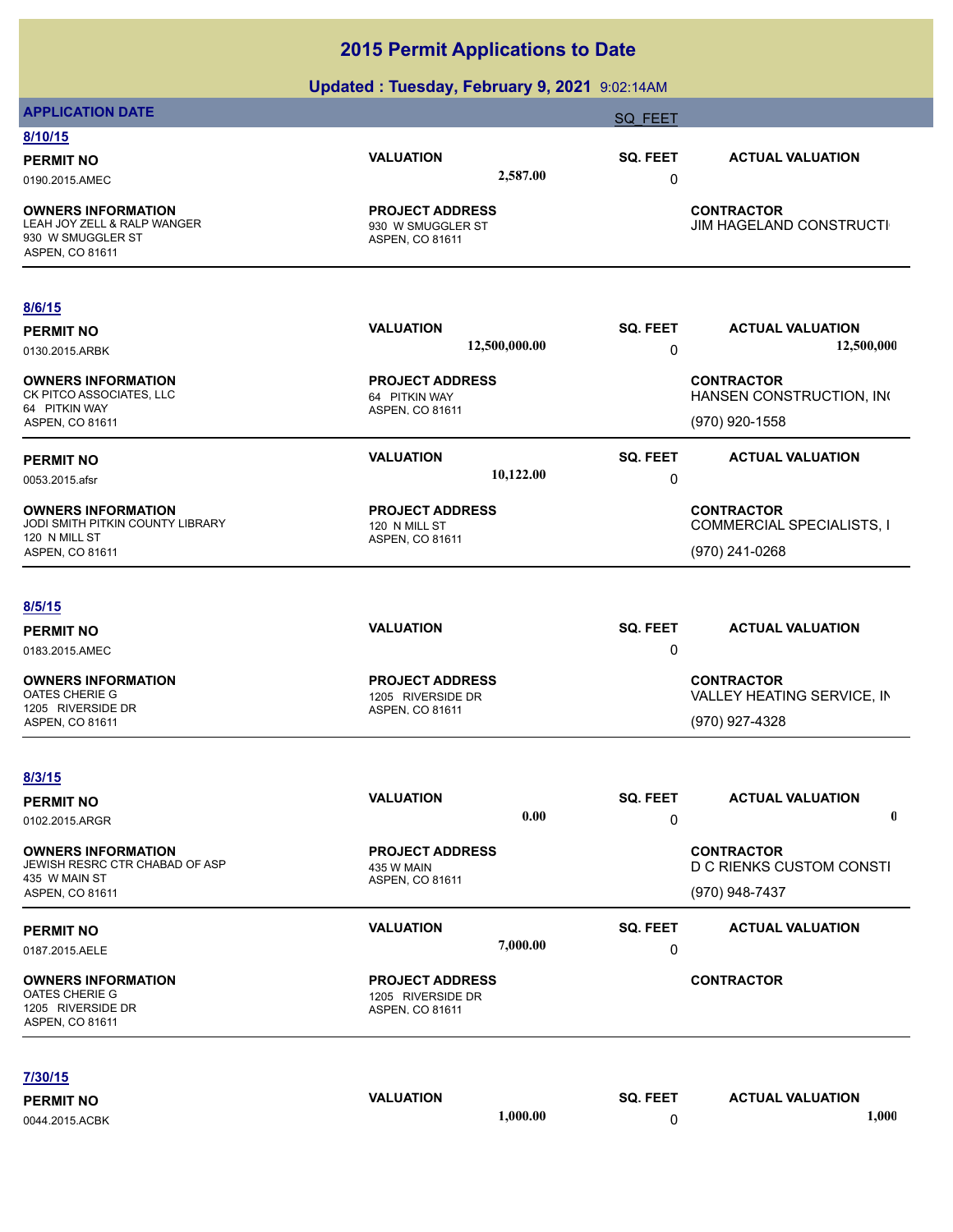|                                                                                                  | Updated: Tuesday, February 9, 2021 9:02:14AM                   |                       |                                                                   |
|--------------------------------------------------------------------------------------------------|----------------------------------------------------------------|-----------------------|-------------------------------------------------------------------|
| <b>APPLICATION DATE</b>                                                                          |                                                                | <b>SQ FEET</b>        |                                                                   |
| 8/10/15                                                                                          |                                                                |                       |                                                                   |
| <b>PERMIT NO</b><br>0190.2015.AMEC                                                               | <b>VALUATION</b><br>2,587.00                                   | SQ. FEET<br>0         | <b>ACTUAL VALUATION</b>                                           |
| <b>OWNERS INFORMATION</b><br>LEAH JOY ZELL & RALP WANGER<br>930 W SMUGGLER ST<br>ASPEN, CO 81611 | <b>PROJECT ADDRESS</b><br>930 W SMUGGLER ST<br>ASPEN, CO 81611 |                       | <b>CONTRACTOR</b><br>JIM HAGELAND CONSTRUCTI                      |
| 8/6/15                                                                                           |                                                                |                       |                                                                   |
| <b>PERMIT NO</b><br>0130.2015.ARBK                                                               | <b>VALUATION</b><br>12,500,000.00                              | SQ. FEET<br>$\pmb{0}$ | <b>ACTUAL VALUATION</b><br>12,500,000                             |
| <b>OWNERS INFORMATION</b><br>CK PITCO ASSOCIATES, LLC<br>64 PITKIN WAY                           | <b>PROJECT ADDRESS</b><br>64 PITKIN WAY<br>ASPEN, CO 81611     |                       | <b>CONTRACTOR</b><br>HANSEN CONSTRUCTION, INC                     |
| ASPEN, CO 81611                                                                                  |                                                                |                       | (970) 920-1558                                                    |
| <b>PERMIT NO</b><br>0053.2015.afsr                                                               | <b>VALUATION</b><br>10,122.00                                  | SQ. FEET<br>$\pmb{0}$ | <b>ACTUAL VALUATION</b>                                           |
| <b>OWNERS INFORMATION</b><br>JODI SMITH PITKIN COUNTY LIBRARY                                    | <b>PROJECT ADDRESS</b><br>120 N MILL ST                        |                       | <b>CONTRACTOR</b><br><b>COMMERCIAL SPECIALISTS, I</b>             |
| 120 N MILL ST<br>ASPEN, CO 81611                                                                 | ASPEN, CO 81611                                                |                       | (970) 241-0268                                                    |
| 8/5/15                                                                                           |                                                                |                       |                                                                   |
| <b>PERMIT NO</b><br>0183.2015.AMEC                                                               | <b>VALUATION</b>                                               | SQ. FEET<br>0         | <b>ACTUAL VALUATION</b>                                           |
| <b>OWNERS INFORMATION</b><br>OATES CHERIE G<br>1205 RIVERSIDE DR<br>ASPEN, CO 81611              | <b>PROJECT ADDRESS</b><br>1205 RIVERSIDE DR<br>ASPEN, CO 81611 |                       | <b>CONTRACTOR</b><br>VALLEY HEATING SERVICE, IN<br>(970) 927-4328 |
| 8/3/15                                                                                           |                                                                |                       |                                                                   |
| <b>PERMIT NO</b><br>0102.2015.ARGR                                                               | <b>VALUATION</b><br>0.00                                       | SQ. FEET<br>0         | <b>ACTUAL VALUATION</b><br>$\mathbf 0$                            |
| <b>OWNERS INFORMATION</b><br>JEWISH RESRC CTR CHABAD OF ASP<br>435 W MAIN ST<br>ASPEN, CO 81611  | <b>PROJECT ADDRESS</b><br>435 W MAIN<br>ASPEN, CO 81611        |                       | <b>CONTRACTOR</b><br>D C RIENKS CUSTOM CONSTI<br>(970) 948-7437   |
| <b>PERMIT NO</b><br>0187.2015.AELE                                                               | <b>VALUATION</b><br>7,000.00                                   | SQ. FEET<br>0         | <b>ACTUAL VALUATION</b>                                           |
| <b>OWNERS INFORMATION</b><br>OATES CHERIE G<br>1205 RIVERSIDE DR<br>ASPEN, CO 81611              | <b>PROJECT ADDRESS</b><br>1205 RIVERSIDE DR<br>ASPEN, CO 81611 |                       | <b>CONTRACTOR</b>                                                 |
| 7/30/15                                                                                          |                                                                |                       |                                                                   |
| <b>PERMIT NO</b>                                                                                 | <b>VALUATION</b>                                               | SQ. FEET              | <b>ACTUAL VALUATION</b>                                           |
| 0044.2015.ACBK                                                                                   | 1,000.00                                                       | 0                     | 1,000                                                             |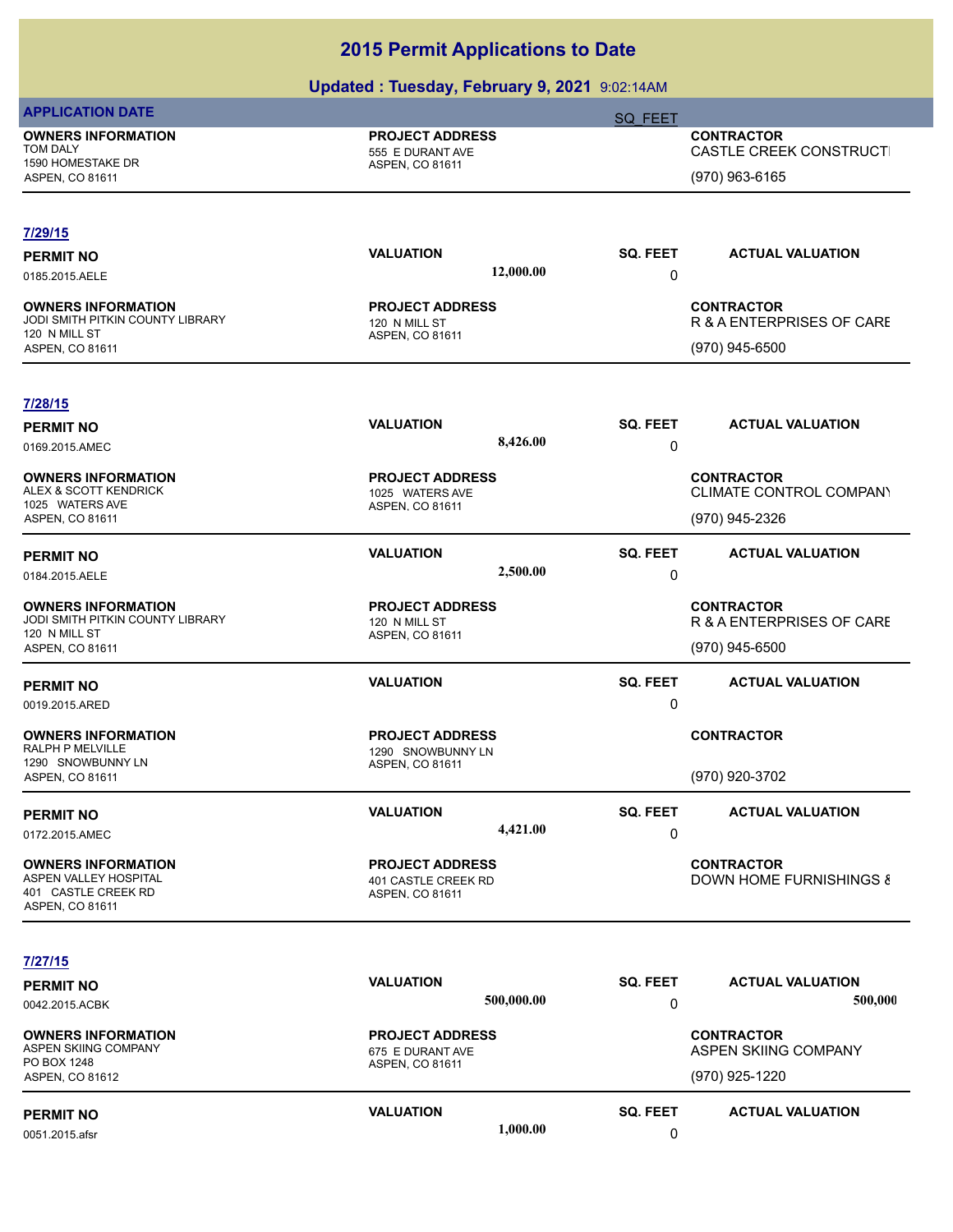|                                                                                | <u>2000 - 2000 Augustus III et al. (2000 - 2000 - 2000 - 2000 - 2000 - 2000 - 2000 - 2000 - 2000 - 2000 - 2000 - </u> |                 |                                                     |
|--------------------------------------------------------------------------------|-----------------------------------------------------------------------------------------------------------------------|-----------------|-----------------------------------------------------|
| <b>APPLICATION DATE</b>                                                        |                                                                                                                       | <b>SQ FEET</b>  |                                                     |
| <b>OWNERS INFORMATION</b><br>TOM DALY<br>1590 HOMESTAKE DR                     | <b>PROJECT ADDRESS</b><br>555 E DURANT AVE<br>ASPEN, CO 81611                                                         |                 | <b>CONTRACTOR</b><br><b>CASTLE CREEK CONSTRUCTI</b> |
| ASPEN, CO 81611                                                                |                                                                                                                       |                 | (970) 963-6165                                      |
| 7/29/15                                                                        |                                                                                                                       |                 |                                                     |
| <b>PERMIT NO</b>                                                               | <b>VALUATION</b>                                                                                                      | SQ. FEET        | <b>ACTUAL VALUATION</b>                             |
| 0185.2015.AELE                                                                 | 12,000.00                                                                                                             | 0               |                                                     |
| <b>OWNERS INFORMATION</b><br>JODI SMITH PITKIN COUNTY LIBRARY<br>120 N MILL ST | <b>PROJECT ADDRESS</b><br>120 N MILL ST<br>ASPEN, CO 81611                                                            |                 | <b>CONTRACTOR</b><br>R & A ENTERPRISES OF CARE      |
| ASPEN, CO 81611                                                                |                                                                                                                       |                 | (970) 945-6500                                      |
| 7/28/15                                                                        |                                                                                                                       |                 |                                                     |
| <b>PERMIT NO</b>                                                               | <b>VALUATION</b>                                                                                                      | SQ. FEET        | <b>ACTUAL VALUATION</b>                             |
| 0169.2015.AMEC                                                                 | 8,426.00                                                                                                              | 0               |                                                     |
| <b>OWNERS INFORMATION</b>                                                      | <b>PROJECT ADDRESS</b>                                                                                                |                 | <b>CONTRACTOR</b>                                   |
| ALEX & SCOTT KENDRICK<br>1025 WATERS AVE                                       | 1025 WATERS AVE<br>ASPEN, CO 81611                                                                                    |                 | CLIMATE CONTROL COMPANY                             |
| ASPEN, CO 81611                                                                |                                                                                                                       |                 | (970) 945-2326                                      |
| <b>PERMIT NO</b>                                                               | <b>VALUATION</b>                                                                                                      | SQ. FEET        | <b>ACTUAL VALUATION</b>                             |
| 0184.2015.AELE                                                                 | 2,500.00                                                                                                              | 0               |                                                     |
| <b>OWNERS INFORMATION</b>                                                      | <b>PROJECT ADDRESS</b>                                                                                                |                 | <b>CONTRACTOR</b>                                   |
| JODI SMITH PITKIN COUNTY LIBRARY<br>120 N MILL ST                              | 120 N MILL ST<br>ASPEN, CO 81611                                                                                      |                 | R & A ENTERPRISES OF CARE                           |
| ASPEN, CO 81611                                                                |                                                                                                                       |                 | (970) 945-6500                                      |
| <b>PERMIT NO</b>                                                               | <b>VALUATION</b>                                                                                                      | SQ. FEET        | <b>ACTUAL VALUATION</b>                             |
| 0019.2015.ARED                                                                 |                                                                                                                       | $\mathbf 0$     |                                                     |
| <b>OWNERS INFORMATION</b><br>RALPH P MELVILLE                                  | <b>PROJECT ADDRESS</b>                                                                                                |                 | <b>CONTRACTOR</b>                                   |
| 1290 SNOWBUNNY LN                                                              | 1290 SNOWBUNNY LN<br>ASPEN, CO 81611                                                                                  |                 |                                                     |
| ASPEN, CO 81611                                                                |                                                                                                                       |                 | (970) 920-3702                                      |
| <b>PERMIT NO</b>                                                               | <b>VALUATION</b>                                                                                                      | <b>SQ. FEET</b> | <b>ACTUAL VALUATION</b>                             |
| 0172.2015.AMEC                                                                 | 4,421.00                                                                                                              | 0               |                                                     |
| <b>OWNERS INFORMATION</b>                                                      | <b>PROJECT ADDRESS</b>                                                                                                |                 | <b>CONTRACTOR</b>                                   |
| ASPEN VALLEY HOSPITAL<br>401 CASTLE CREEK RD                                   | 401 CASTLE CREEK RD<br>ASPEN, CO 81611                                                                                |                 | <b>DOWN HOME FURNISHINGS &amp;</b>                  |
| ASPEN, CO 81611                                                                |                                                                                                                       |                 |                                                     |
| <u>7/27/15</u>                                                                 |                                                                                                                       |                 |                                                     |
| <b>PERMIT NO</b>                                                               | <b>VALUATION</b>                                                                                                      | SQ. FEET        | <b>ACTUAL VALUATION</b>                             |
| 0042.2015.ACBK                                                                 | 500,000.00                                                                                                            | 0               | 500,000                                             |
| <b>OWNERS INFORMATION</b>                                                      | <b>PROJECT ADDRESS</b>                                                                                                |                 | <b>CONTRACTOR</b>                                   |
| ASPEN SKIING COMPANY<br>PO BOX 1248                                            | 675 E DURANT AVE<br>ASPEN, CO 81611                                                                                   |                 | ASPEN SKIING COMPANY                                |
| ASPEN, CO 81612                                                                |                                                                                                                       |                 | (970) 925-1220                                      |
| <b>PERMIT NO</b>                                                               | <b>VALUATION</b>                                                                                                      | <b>SQ. FEET</b> | <b>ACTUAL VALUATION</b>                             |
| 0051.2015.afsr                                                                 | 1,000.00                                                                                                              | $\mathbf 0$     |                                                     |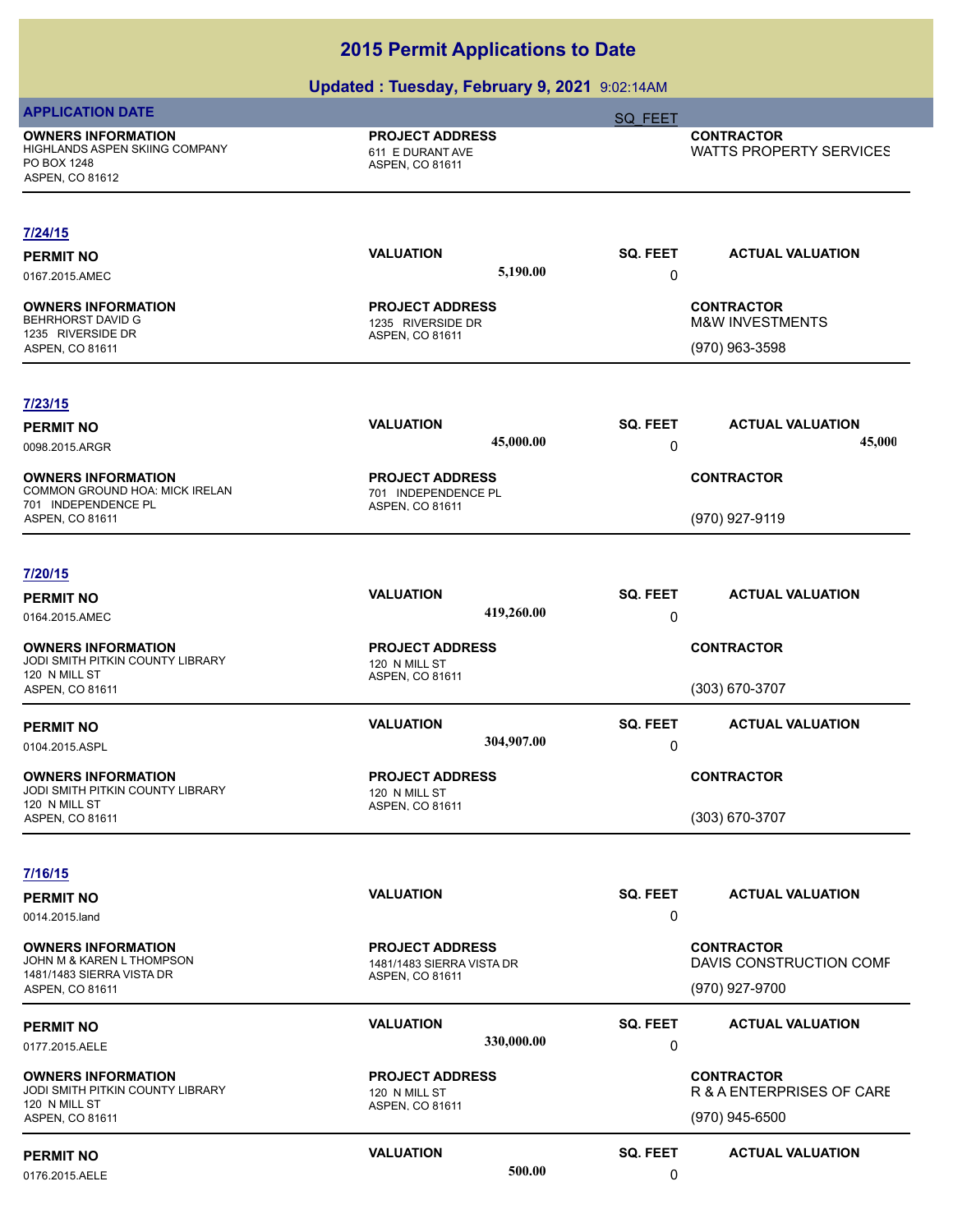|                                                                                               | $m$ and $m$ is a company of the same $m$ and $m$ and $m$ and $m$ |                      |                                                                   |
|-----------------------------------------------------------------------------------------------|------------------------------------------------------------------|----------------------|-------------------------------------------------------------------|
| <b>APPLICATION DATE</b>                                                                       |                                                                  | <b>SQ FEET</b>       |                                                                   |
| <b>OWNERS INFORMATION</b><br>HIGHLANDS ASPEN SKIING COMPANY<br>PO BOX 1248<br>ASPEN, CO 81612 | <b>PROJECT ADDRESS</b><br>611 E DURANT AVE<br>ASPEN, CO 81611    |                      | <b>CONTRACTOR</b><br>WATTS PROPERTY SERVICES                      |
| 7/24/15                                                                                       |                                                                  |                      |                                                                   |
| <b>PERMIT NO</b><br>0167.2015.AMEC                                                            | <b>VALUATION</b><br>5,190.00                                     | <b>SQ. FEET</b><br>0 | <b>ACTUAL VALUATION</b>                                           |
| <b>OWNERS INFORMATION</b><br><b>BEHRHORST DAVID G</b><br>1235 RIVERSIDE DR<br>ASPEN, CO 81611 | <b>PROJECT ADDRESS</b><br>1235 RIVERSIDE DR<br>ASPEN, CO 81611   |                      | <b>CONTRACTOR</b><br><b>M&amp;W INVESTMENTS</b><br>(970) 963-3598 |
| 7/23/15<br><b>PERMIT NO</b>                                                                   | <b>VALUATION</b>                                                 | <b>SQ. FEET</b>      | <b>ACTUAL VALUATION</b>                                           |
| 0098.2015.ARGR                                                                                | 45,000.00                                                        | 0                    | 45,000                                                            |
| <b>OWNERS INFORMATION</b><br>COMMON GROUND HOA: MICK IRELAN                                   | <b>PROJECT ADDRESS</b><br>701 INDEPENDENCE PL                    |                      | <b>CONTRACTOR</b>                                                 |
| 701 INDEPENDENCE PL<br>ASPEN, CO 81611                                                        | ASPEN, CO 81611                                                  |                      | (970) 927-9119                                                    |
| 7/20/15                                                                                       |                                                                  |                      |                                                                   |
| <b>PERMIT NO</b><br>0164.2015.AMEC                                                            | <b>VALUATION</b><br>419,260.00                                   | <b>SQ. FEET</b><br>0 | <b>ACTUAL VALUATION</b>                                           |
| <b>OWNERS INFORMATION</b><br>JODI SMITH PITKIN COUNTY LIBRARY                                 | <b>PROJECT ADDRESS</b><br>120 N MILL ST                          |                      | <b>CONTRACTOR</b>                                                 |
| 120 N MILL ST<br>ASPEN, CO 81611                                                              | ASPEN, CO 81611                                                  |                      | (303) 670-3707                                                    |
| <b>PERMIT NO</b><br>0104.2015.ASPL                                                            | <b>VALUATION</b><br>304,907.00                                   | <b>SQ. FEET</b><br>0 | <b>ACTUAL VALUATION</b>                                           |
| <b>OWNERS INFORMATION</b><br>JODI SMITH PITKIN COUNTY LIBRARY                                 | <b>PROJECT ADDRESS</b><br>120 N MILL ST                          |                      | <b>CONTRACTOR</b>                                                 |
| 120 N MILL ST<br>ASPEN, CO 81611                                                              | ASPEN, CO 81611                                                  |                      | (303) 670-3707                                                    |
| 7/16/15                                                                                       |                                                                  |                      |                                                                   |
| <b>PERMIT NO</b><br>0014.2015.land                                                            | <b>VALUATION</b>                                                 | <b>SQ. FEET</b><br>0 | <b>ACTUAL VALUATION</b>                                           |
| <b>OWNERS INFORMATION</b><br>JOHN M & KAREN L THOMPSON                                        | <b>PROJECT ADDRESS</b><br>1481/1483 SIERRA VISTA DR              |                      | <b>CONTRACTOR</b><br>DAVIS CONSTRUCTION COMF                      |
| 1481/1483 SIERRA VISTA DR<br>ASPEN, CO 81611                                                  | ASPEN, CO 81611                                                  |                      | (970) 927-9700                                                    |
| <b>PERMIT NO</b><br>0177.2015.AELE                                                            | <b>VALUATION</b><br>330,000.00                                   | <b>SQ. FEET</b><br>0 | <b>ACTUAL VALUATION</b>                                           |
| <b>OWNERS INFORMATION</b><br>JODI SMITH PITKIN COUNTY LIBRARY<br>120 N MILL ST                | <b>PROJECT ADDRESS</b><br>120 N MILL ST<br>ASPEN, CO 81611       |                      | <b>CONTRACTOR</b><br>R & A ENTERPRISES OF CARE                    |
| ASPEN, CO 81611<br><b>PERMIT NO</b>                                                           | <b>VALUATION</b>                                                 | <b>SQ. FEET</b>      | (970) 945-6500<br><b>ACTUAL VALUATION</b>                         |
| 0176.2015.AELE                                                                                | 500.00                                                           | 0                    |                                                                   |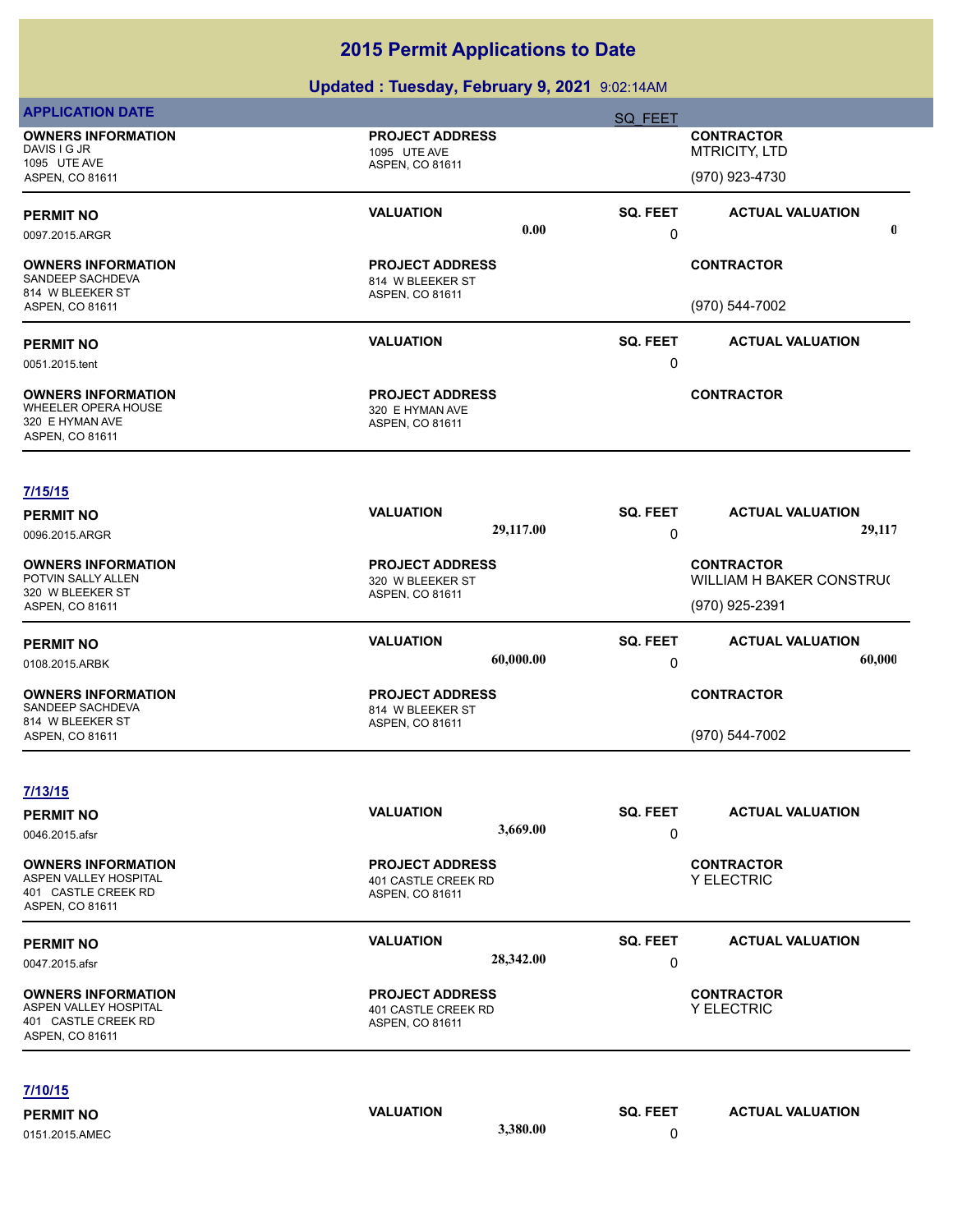| <b>OWNERS INFORMATION</b><br><b>PROJECT ADDRESS</b><br><b>CONTRACTOR</b><br>DAVIS I G JR<br><b>MTRICITY, LTD</b><br>1095 UTE AVE<br>1095 UTE AVE<br>ASPEN, CO 81611<br>(970) 923-4730<br>ASPEN, CO 81611<br><b>VALUATION</b><br>SQ. FEET<br><b>ACTUAL VALUATION</b><br>0.00<br>0<br>0097.2015.ARGR<br><b>CONTRACTOR</b><br><b>OWNERS INFORMATION</b><br><b>PROJECT ADDRESS</b><br>SANDEEP SACHDEVA<br>814 W BLEEKER ST<br>814 W BLEEKER ST<br>ASPEN, CO 81611<br>(970) 544-7002<br>ASPEN, CO 81611<br><b>VALUATION</b><br><b>SQ. FEET</b><br><b>ACTUAL VALUATION</b><br><b>PERMIT NO</b><br>0<br>0051.2015.tent<br><b>PROJECT ADDRESS</b><br><b>CONTRACTOR</b><br><b>OWNERS INFORMATION</b><br>WHEELER OPERA HOUSE<br>320 E HYMAN AVE<br>320 E HYMAN AVE<br>ASPEN, CO 81611<br>ASPEN, CO 81611<br>7/15/15<br><b>VALUATION</b><br><b>SQ. FEET</b><br><b>ACTUAL VALUATION</b><br><b>PERMIT NO</b><br>29,117.00<br>29,117<br>0<br>0096.2015.ARGR<br><b>OWNERS INFORMATION</b><br><b>CONTRACTOR</b><br><b>PROJECT ADDRESS</b><br>POTVIN SALLY ALLEN<br>WILLIAM H BAKER CONSTRU(<br>320 W BLEEKER ST<br>320 W BLEEKER ST<br>ASPEN, CO 81611<br>(970) 925-2391<br>ASPEN, CO 81611<br><b>VALUATION</b><br>SQ. FEET<br><b>ACTUAL VALUATION</b><br><b>PERMIT NO</b><br>60,000.00<br>60,000<br>0<br>0108.2015.ARBK<br><b>PROJECT ADDRESS</b><br><b>CONTRACTOR</b><br><b>OWNERS INFORMATION</b><br>SANDEEP SACHDEVA<br>814 W BLEEKER ST<br>814 W BLEEKER ST<br>ASPEN, CO 81611<br>(970) 544-7002<br>ASPEN, CO 81611<br>7/13/15<br><b>VALUATION</b><br>SQ. FEET<br><b>ACTUAL VALUATION</b><br><b>PERMIT NO</b><br>3,669.00<br>0<br>0046.2015.afsr<br><b>OWNERS INFORMATION</b><br><b>PROJECT ADDRESS</b><br><b>CONTRACTOR</b><br>ASPEN VALLEY HOSPITAL<br>Y ELECTRIC<br>401 CASTLE CREEK RD<br>401 CASTLE CREEK RD<br>ASPEN, CO 81611<br>ASPEN, CO 81611<br><b>VALUATION</b><br>SQ. FEET<br><b>ACTUAL VALUATION</b><br><b>PERMIT NO</b><br>28,342.00<br>0<br>0047.2015.afsr<br><b>CONTRACTOR</b><br><b>OWNERS INFORMATION</b><br><b>PROJECT ADDRESS</b><br>ASPEN VALLEY HOSPITAL<br>Y ELECTRIC<br>401 CASTLE CREEK RD<br>401 CASTLE CREEK RD<br>ASPEN, CO 81611<br>ASPEN, CO 81611<br>7/10/15 | <b>APPLICATION DATE</b> |                  | SQ FEET  |                         |             |
|-----------------------------------------------------------------------------------------------------------------------------------------------------------------------------------------------------------------------------------------------------------------------------------------------------------------------------------------------------------------------------------------------------------------------------------------------------------------------------------------------------------------------------------------------------------------------------------------------------------------------------------------------------------------------------------------------------------------------------------------------------------------------------------------------------------------------------------------------------------------------------------------------------------------------------------------------------------------------------------------------------------------------------------------------------------------------------------------------------------------------------------------------------------------------------------------------------------------------------------------------------------------------------------------------------------------------------------------------------------------------------------------------------------------------------------------------------------------------------------------------------------------------------------------------------------------------------------------------------------------------------------------------------------------------------------------------------------------------------------------------------------------------------------------------------------------------------------------------------------------------------------------------------------------------------------------------------------------------------------------------------------------------------------------------------------------------------------------------------------------------------------------------------------------------------------|-------------------------|------------------|----------|-------------------------|-------------|
| <b>PERMIT NO</b>                                                                                                                                                                                                                                                                                                                                                                                                                                                                                                                                                                                                                                                                                                                                                                                                                                                                                                                                                                                                                                                                                                                                                                                                                                                                                                                                                                                                                                                                                                                                                                                                                                                                                                                                                                                                                                                                                                                                                                                                                                                                                                                                                                  |                         |                  |          |                         |             |
|                                                                                                                                                                                                                                                                                                                                                                                                                                                                                                                                                                                                                                                                                                                                                                                                                                                                                                                                                                                                                                                                                                                                                                                                                                                                                                                                                                                                                                                                                                                                                                                                                                                                                                                                                                                                                                                                                                                                                                                                                                                                                                                                                                                   |                         |                  |          |                         |             |
|                                                                                                                                                                                                                                                                                                                                                                                                                                                                                                                                                                                                                                                                                                                                                                                                                                                                                                                                                                                                                                                                                                                                                                                                                                                                                                                                                                                                                                                                                                                                                                                                                                                                                                                                                                                                                                                                                                                                                                                                                                                                                                                                                                                   |                         |                  |          |                         | $\mathbf 0$ |
|                                                                                                                                                                                                                                                                                                                                                                                                                                                                                                                                                                                                                                                                                                                                                                                                                                                                                                                                                                                                                                                                                                                                                                                                                                                                                                                                                                                                                                                                                                                                                                                                                                                                                                                                                                                                                                                                                                                                                                                                                                                                                                                                                                                   |                         |                  |          |                         |             |
|                                                                                                                                                                                                                                                                                                                                                                                                                                                                                                                                                                                                                                                                                                                                                                                                                                                                                                                                                                                                                                                                                                                                                                                                                                                                                                                                                                                                                                                                                                                                                                                                                                                                                                                                                                                                                                                                                                                                                                                                                                                                                                                                                                                   |                         |                  |          |                         |             |
|                                                                                                                                                                                                                                                                                                                                                                                                                                                                                                                                                                                                                                                                                                                                                                                                                                                                                                                                                                                                                                                                                                                                                                                                                                                                                                                                                                                                                                                                                                                                                                                                                                                                                                                                                                                                                                                                                                                                                                                                                                                                                                                                                                                   |                         |                  |          |                         |             |
|                                                                                                                                                                                                                                                                                                                                                                                                                                                                                                                                                                                                                                                                                                                                                                                                                                                                                                                                                                                                                                                                                                                                                                                                                                                                                                                                                                                                                                                                                                                                                                                                                                                                                                                                                                                                                                                                                                                                                                                                                                                                                                                                                                                   |                         |                  |          |                         |             |
|                                                                                                                                                                                                                                                                                                                                                                                                                                                                                                                                                                                                                                                                                                                                                                                                                                                                                                                                                                                                                                                                                                                                                                                                                                                                                                                                                                                                                                                                                                                                                                                                                                                                                                                                                                                                                                                                                                                                                                                                                                                                                                                                                                                   |                         |                  |          |                         |             |
|                                                                                                                                                                                                                                                                                                                                                                                                                                                                                                                                                                                                                                                                                                                                                                                                                                                                                                                                                                                                                                                                                                                                                                                                                                                                                                                                                                                                                                                                                                                                                                                                                                                                                                                                                                                                                                                                                                                                                                                                                                                                                                                                                                                   |                         |                  |          |                         |             |
|                                                                                                                                                                                                                                                                                                                                                                                                                                                                                                                                                                                                                                                                                                                                                                                                                                                                                                                                                                                                                                                                                                                                                                                                                                                                                                                                                                                                                                                                                                                                                                                                                                                                                                                                                                                                                                                                                                                                                                                                                                                                                                                                                                                   |                         |                  |          |                         |             |
|                                                                                                                                                                                                                                                                                                                                                                                                                                                                                                                                                                                                                                                                                                                                                                                                                                                                                                                                                                                                                                                                                                                                                                                                                                                                                                                                                                                                                                                                                                                                                                                                                                                                                                                                                                                                                                                                                                                                                                                                                                                                                                                                                                                   |                         |                  |          |                         |             |
|                                                                                                                                                                                                                                                                                                                                                                                                                                                                                                                                                                                                                                                                                                                                                                                                                                                                                                                                                                                                                                                                                                                                                                                                                                                                                                                                                                                                                                                                                                                                                                                                                                                                                                                                                                                                                                                                                                                                                                                                                                                                                                                                                                                   |                         |                  |          |                         |             |
|                                                                                                                                                                                                                                                                                                                                                                                                                                                                                                                                                                                                                                                                                                                                                                                                                                                                                                                                                                                                                                                                                                                                                                                                                                                                                                                                                                                                                                                                                                                                                                                                                                                                                                                                                                                                                                                                                                                                                                                                                                                                                                                                                                                   |                         |                  |          |                         |             |
|                                                                                                                                                                                                                                                                                                                                                                                                                                                                                                                                                                                                                                                                                                                                                                                                                                                                                                                                                                                                                                                                                                                                                                                                                                                                                                                                                                                                                                                                                                                                                                                                                                                                                                                                                                                                                                                                                                                                                                                                                                                                                                                                                                                   |                         |                  |          |                         |             |
|                                                                                                                                                                                                                                                                                                                                                                                                                                                                                                                                                                                                                                                                                                                                                                                                                                                                                                                                                                                                                                                                                                                                                                                                                                                                                                                                                                                                                                                                                                                                                                                                                                                                                                                                                                                                                                                                                                                                                                                                                                                                                                                                                                                   |                         |                  |          |                         |             |
|                                                                                                                                                                                                                                                                                                                                                                                                                                                                                                                                                                                                                                                                                                                                                                                                                                                                                                                                                                                                                                                                                                                                                                                                                                                                                                                                                                                                                                                                                                                                                                                                                                                                                                                                                                                                                                                                                                                                                                                                                                                                                                                                                                                   |                         |                  |          |                         |             |
|                                                                                                                                                                                                                                                                                                                                                                                                                                                                                                                                                                                                                                                                                                                                                                                                                                                                                                                                                                                                                                                                                                                                                                                                                                                                                                                                                                                                                                                                                                                                                                                                                                                                                                                                                                                                                                                                                                                                                                                                                                                                                                                                                                                   |                         |                  |          |                         |             |
|                                                                                                                                                                                                                                                                                                                                                                                                                                                                                                                                                                                                                                                                                                                                                                                                                                                                                                                                                                                                                                                                                                                                                                                                                                                                                                                                                                                                                                                                                                                                                                                                                                                                                                                                                                                                                                                                                                                                                                                                                                                                                                                                                                                   |                         |                  |          |                         |             |
|                                                                                                                                                                                                                                                                                                                                                                                                                                                                                                                                                                                                                                                                                                                                                                                                                                                                                                                                                                                                                                                                                                                                                                                                                                                                                                                                                                                                                                                                                                                                                                                                                                                                                                                                                                                                                                                                                                                                                                                                                                                                                                                                                                                   |                         |                  |          |                         |             |
|                                                                                                                                                                                                                                                                                                                                                                                                                                                                                                                                                                                                                                                                                                                                                                                                                                                                                                                                                                                                                                                                                                                                                                                                                                                                                                                                                                                                                                                                                                                                                                                                                                                                                                                                                                                                                                                                                                                                                                                                                                                                                                                                                                                   |                         |                  |          |                         |             |
|                                                                                                                                                                                                                                                                                                                                                                                                                                                                                                                                                                                                                                                                                                                                                                                                                                                                                                                                                                                                                                                                                                                                                                                                                                                                                                                                                                                                                                                                                                                                                                                                                                                                                                                                                                                                                                                                                                                                                                                                                                                                                                                                                                                   |                         |                  |          |                         |             |
|                                                                                                                                                                                                                                                                                                                                                                                                                                                                                                                                                                                                                                                                                                                                                                                                                                                                                                                                                                                                                                                                                                                                                                                                                                                                                                                                                                                                                                                                                                                                                                                                                                                                                                                                                                                                                                                                                                                                                                                                                                                                                                                                                                                   |                         |                  |          |                         |             |
|                                                                                                                                                                                                                                                                                                                                                                                                                                                                                                                                                                                                                                                                                                                                                                                                                                                                                                                                                                                                                                                                                                                                                                                                                                                                                                                                                                                                                                                                                                                                                                                                                                                                                                                                                                                                                                                                                                                                                                                                                                                                                                                                                                                   |                         |                  |          |                         |             |
|                                                                                                                                                                                                                                                                                                                                                                                                                                                                                                                                                                                                                                                                                                                                                                                                                                                                                                                                                                                                                                                                                                                                                                                                                                                                                                                                                                                                                                                                                                                                                                                                                                                                                                                                                                                                                                                                                                                                                                                                                                                                                                                                                                                   |                         |                  |          |                         |             |
| 3,380.00<br>0<br>0151.2015.AMEC                                                                                                                                                                                                                                                                                                                                                                                                                                                                                                                                                                                                                                                                                                                                                                                                                                                                                                                                                                                                                                                                                                                                                                                                                                                                                                                                                                                                                                                                                                                                                                                                                                                                                                                                                                                                                                                                                                                                                                                                                                                                                                                                                   | <b>PERMIT NO</b>        | <b>VALUATION</b> | SQ. FEET | <b>ACTUAL VALUATION</b> |             |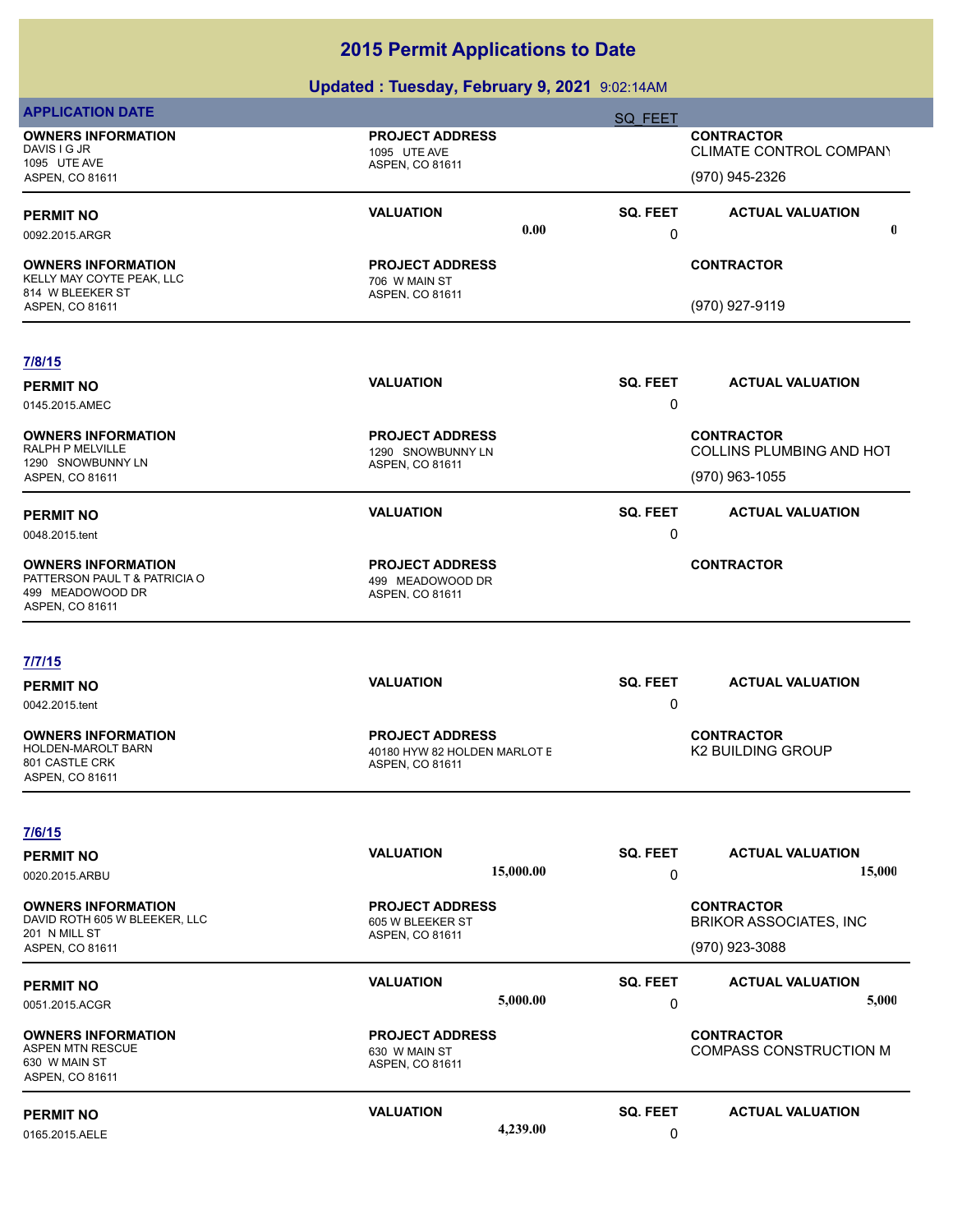| SQ FEET<br><b>OWNERS INFORMATION</b><br><b>PROJECT ADDRESS</b><br><b>CONTRACTOR</b>                                                                                                                                        |             |  |
|----------------------------------------------------------------------------------------------------------------------------------------------------------------------------------------------------------------------------|-------------|--|
| DAVIS I G JR<br>CLIMATE CONTROL COMPANY<br>1095 UTE AVE<br>1095 UTE AVE<br>ASPEN, CO 81611<br>(970) 945-2326<br>ASPEN, CO 81611                                                                                            |             |  |
| <b>VALUATION</b><br>SQ. FEET<br><b>ACTUAL VALUATION</b><br><b>PERMIT NO</b><br>0.00<br>0<br>0092.2015.ARGR                                                                                                                 | $\mathbf 0$ |  |
| <b>CONTRACTOR</b><br><b>OWNERS INFORMATION</b><br><b>PROJECT ADDRESS</b><br>KELLY MAY COYTE PEAK, LLC<br>706 W MAIN ST<br>814 W BLEEKER ST<br>ASPEN, CO 81611                                                              |             |  |
| (970) 927-9119<br>ASPEN, CO 81611                                                                                                                                                                                          |             |  |
| 7/8/15                                                                                                                                                                                                                     |             |  |
| <b>VALUATION</b><br>SQ. FEET<br><b>ACTUAL VALUATION</b><br><b>PERMIT NO</b><br>0<br>0145.2015.AMEC                                                                                                                         |             |  |
| <b>PROJECT ADDRESS</b><br><b>CONTRACTOR</b><br><b>OWNERS INFORMATION</b><br>RALPH P MELVILLE<br>COLLINS PLUMBING AND HOT<br>1290 SNOWBUNNY LN<br>1290 SNOWBUNNY LN<br>ASPEN, CO 81611<br>(970) 963-1055<br>ASPEN, CO 81611 |             |  |
| <b>VALUATION</b><br>SQ. FEET<br><b>ACTUAL VALUATION</b><br><b>PERMIT NO</b><br>0<br>0048.2015.tent                                                                                                                         |             |  |
| <b>CONTRACTOR</b><br><b>OWNERS INFORMATION</b><br><b>PROJECT ADDRESS</b><br>PATTERSON PAUL T & PATRICIA O<br>499 MEADOWOOD DR<br>499 MEADOWOOD DR<br>ASPEN, CO 81611<br>ASPEN, CO 81611                                    |             |  |
| 7/7/15                                                                                                                                                                                                                     |             |  |
| <b>VALUATION</b><br>SQ. FEET<br><b>ACTUAL VALUATION</b><br><b>PERMIT NO</b><br>0<br>0042.2015.tent                                                                                                                         |             |  |
| <b>PROJECT ADDRESS</b><br><b>CONTRACTOR</b><br><b>OWNERS INFORMATION</b><br>HOLDEN-MAROLT BARN<br><b>K2 BUILDING GROUP</b><br>40180 HYW 82 HOLDEN MARLOT E<br>801 CASTLE CRK<br>ASPEN, CO 81611<br>ASPEN, CO 81611         |             |  |
| 7/6/15                                                                                                                                                                                                                     |             |  |
| <b>VALUATION</b><br>SQ. FEET<br><b>ACTUAL VALUATION</b><br><b>PERMIT NO</b><br>15,000.00<br>0<br>0020.2015.ARBU                                                                                                            | 15,000      |  |
| <b>OWNERS INFORMATION</b><br><b>PROJECT ADDRESS</b><br><b>CONTRACTOR</b><br>DAVID ROTH 605 W BLEEKER, LLC<br><b>BRIKOR ASSOCIATES, INC</b><br>605 W BLEEKER ST<br>201 N MILL ST<br>ASPEN, CO 81611                         |             |  |
| (970) 923-3088<br><b>ASPEN, CO 81611</b>                                                                                                                                                                                   |             |  |
| <b>VALUATION</b><br><b>SQ. FEET</b><br><b>ACTUAL VALUATION</b><br><b>PERMIT NO</b><br>5,000.00                                                                                                                             | 5,000       |  |
| 0<br>0051.2015.ACGR                                                                                                                                                                                                        |             |  |
| <b>OWNERS INFORMATION</b><br><b>PROJECT ADDRESS</b><br><b>CONTRACTOR</b><br><b>ASPEN MTN RESCUE</b><br><b>COMPASS CONSTRUCTION M</b><br>630 W MAIN ST<br>630 W MAIN ST<br>ASPEN, CO 81611<br>ASPEN, CO 81611               |             |  |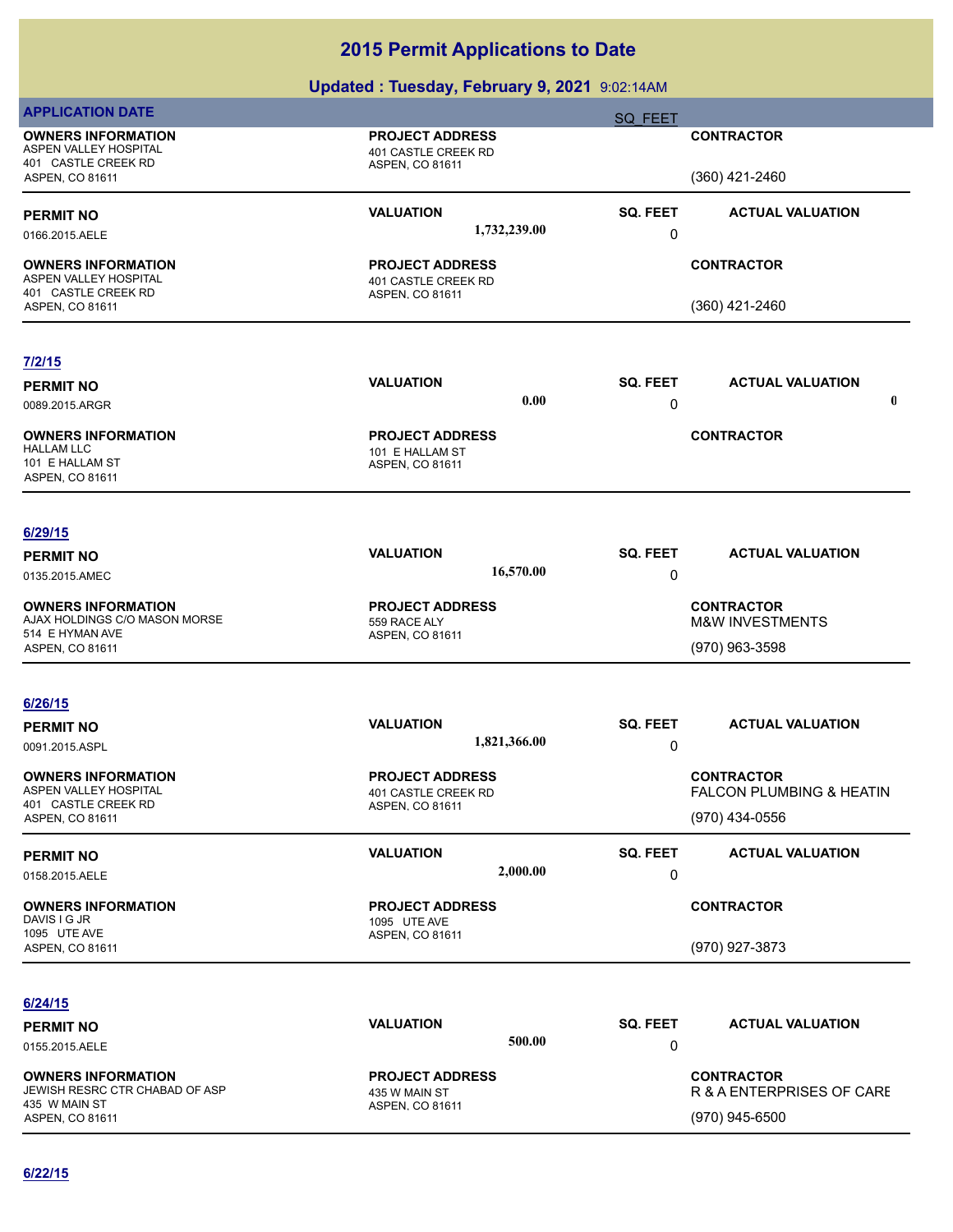| <b>APPLICATION DATE</b>                                                              |                                                                  | SQ FEET                                    |   |  |
|--------------------------------------------------------------------------------------|------------------------------------------------------------------|--------------------------------------------|---|--|
| <b>OWNERS INFORMATION</b><br>ASPEN VALLEY HOSPITAL<br>401 CASTLE CREEK RD            | <b>PROJECT ADDRESS</b><br>401 CASTLE CREEK RD<br>ASPEN, CO 81611 | <b>CONTRACTOR</b>                          |   |  |
| ASPEN, CO 81611                                                                      |                                                                  | (360) 421-2460                             |   |  |
| <b>PERMIT NO</b><br>0166.2015.AELE                                                   | <b>VALUATION</b><br>1,732,239.00                                 | SQ. FEET<br><b>ACTUAL VALUATION</b><br>0   |   |  |
| <b>OWNERS INFORMATION</b><br>ASPEN VALLEY HOSPITAL<br>401 CASTLE CREEK RD            | <b>PROJECT ADDRESS</b><br>401 CASTLE CREEK RD<br>ASPEN, CO 81611 | <b>CONTRACTOR</b>                          |   |  |
| ASPEN, CO 81611                                                                      |                                                                  | (360) 421-2460                             |   |  |
|                                                                                      |                                                                  |                                            |   |  |
| 7/2/15                                                                               |                                                                  |                                            |   |  |
| <b>PERMIT NO</b>                                                                     | <b>VALUATION</b>                                                 | SQ. FEET<br><b>ACTUAL VALUATION</b>        |   |  |
| 0089.2015.ARGR                                                                       | 0.00                                                             | 0                                          | 0 |  |
| <b>OWNERS INFORMATION</b><br><b>HALLAM LLC</b><br>101 E HALLAM ST<br>ASPEN, CO 81611 | <b>PROJECT ADDRESS</b><br>101 E HALLAM ST<br>ASPEN, CO 81611     | <b>CONTRACTOR</b>                          |   |  |
|                                                                                      |                                                                  |                                            |   |  |
| 6/29/15                                                                              | <b>VALUATION</b>                                                 | <b>SQ. FEET</b><br><b>ACTUAL VALUATION</b> |   |  |
| <b>PERMIT NO</b><br>0135.2015.AMEC                                                   | 16,570.00                                                        | 0                                          |   |  |
| <b>OWNERS INFORMATION</b>                                                            | <b>PROJECT ADDRESS</b>                                           | <b>CONTRACTOR</b>                          |   |  |
| AJAX HOLDINGS C/O MASON MORSE<br>514 E HYMAN AVE                                     | 559 RACE ALY                                                     | <b>M&amp;W INVESTMENTS</b>                 |   |  |
| ASPEN, CO 81611                                                                      | ASPEN, CO 81611                                                  | (970) 963-3598                             |   |  |
|                                                                                      |                                                                  |                                            |   |  |
| 6/26/15                                                                              |                                                                  |                                            |   |  |
| <b>PERMIT NO</b><br>0091.2015.ASPL                                                   | <b>VALUATION</b><br>1,821,366.00                                 | SQ. FEET<br><b>ACTUAL VALUATION</b><br>0   |   |  |
| <b>OWNERS INFORMATION</b>                                                            | <b>PROJECT ADDRESS</b>                                           | <b>CONTRACTOR</b>                          |   |  |
| ASPEN VALLEY HOSPITAL<br>401 CASTLE CREEK RD                                         | 401 CASTLE CREEK RD<br>ASPEN, CO 81611                           | FALCON PLUMBING & HEATIN                   |   |  |
| ASPEN, CO 81611                                                                      |                                                                  | (970) 434-0556                             |   |  |
| <b>PERMIT NO</b>                                                                     | <b>VALUATION</b>                                                 | <b>SQ. FEET</b><br><b>ACTUAL VALUATION</b> |   |  |
| 0158.2015.AELE                                                                       | 2,000.00                                                         | 0                                          |   |  |
| <b>OWNERS INFORMATION</b><br>DAVIS I G JR                                            | <b>PROJECT ADDRESS</b><br>1095 UTE AVE                           | <b>CONTRACTOR</b>                          |   |  |
| 1095 UTE AVE<br>ASPEN, CO 81611                                                      | ASPEN, CO 81611                                                  | (970) 927-3873                             |   |  |
|                                                                                      |                                                                  |                                            |   |  |
| 6/24/15                                                                              | <b>VALUATION</b>                                                 | SQ. FEET<br><b>ACTUAL VALUATION</b>        |   |  |
| <b>PERMIT NO</b><br>0155.2015.AELE                                                   | 500.00                                                           | 0                                          |   |  |
| <b>OWNERS INFORMATION</b>                                                            | <b>PROJECT ADDRESS</b>                                           | <b>CONTRACTOR</b>                          |   |  |
| JEWISH RESRC CTR CHABAD OF ASP<br>435 W MAIN ST                                      | 435 W MAIN ST<br>ASPEN, CO 81611                                 | R & A ENTERPRISES OF CARE                  |   |  |
| ASPEN, CO 81611                                                                      |                                                                  | (970) 945-6500                             |   |  |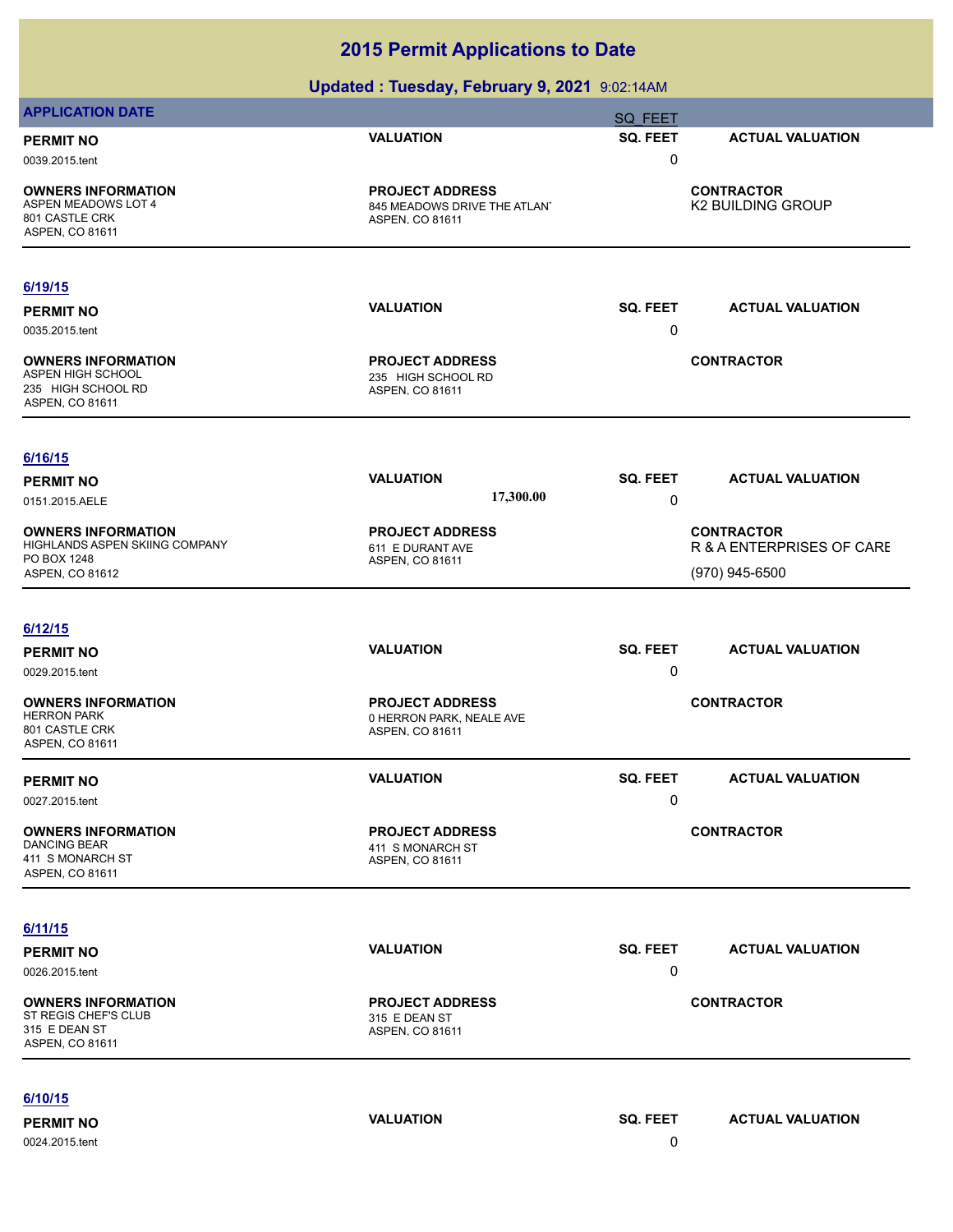### **Updated : Tuesday, February 9, 2021** 9:02:14AM

| <b>APPLICATION DATE</b>                                                                 |                                                                           | <b>SQ FEET</b>  |                                                |
|-----------------------------------------------------------------------------------------|---------------------------------------------------------------------------|-----------------|------------------------------------------------|
| <b>PERMIT NO</b>                                                                        | <b>VALUATION</b>                                                          | SQ. FEET        | <b>ACTUAL VALUATION</b>                        |
| 0039.2015.tent                                                                          |                                                                           | 0               |                                                |
| <b>OWNERS INFORMATION</b><br>ASPEN MEADOWS LOT 4<br>801 CASTLE CRK<br>ASPEN, CO 81611   | <b>PROJECT ADDRESS</b><br>845 MEADOWS DRIVE THE ATLAN'<br>ASPEN, CO 81611 |                 | <b>CONTRACTOR</b><br><b>K2 BUILDING GROUP</b>  |
| 6/19/15                                                                                 |                                                                           |                 |                                                |
| <b>PERMIT NO</b>                                                                        | <b>VALUATION</b>                                                          | SQ. FEET        | <b>ACTUAL VALUATION</b>                        |
| 0035.2015.tent                                                                          |                                                                           | 0               |                                                |
| <b>OWNERS INFORMATION</b><br>ASPEN HIGH SCHOOL<br>235 HIGH SCHOOL RD<br>ASPEN, CO 81611 | <b>PROJECT ADDRESS</b><br>235 HIGH SCHOOL RD<br>ASPEN, CO 81611           |                 | <b>CONTRACTOR</b>                              |
| 6/16/15                                                                                 |                                                                           |                 |                                                |
| <b>PERMIT NO</b>                                                                        | <b>VALUATION</b>                                                          | <b>SQ. FEET</b> | <b>ACTUAL VALUATION</b>                        |
| 0151.2015.AELE                                                                          | 17,300.00                                                                 | 0               |                                                |
| <b>OWNERS INFORMATION</b><br>HIGHLANDS ASPEN SKIING COMPANY                             | <b>PROJECT ADDRESS</b><br>611 E DURANT AVE                                |                 | <b>CONTRACTOR</b><br>R & A ENTERPRISES OF CARE |
| PO BOX 1248<br>ASPEN, CO 81612                                                          | ASPEN, CO 81611                                                           |                 | $(970)$ 945-6500                               |
|                                                                                         |                                                                           |                 |                                                |
| 6/12/15                                                                                 |                                                                           |                 |                                                |
| <b>PERMIT NO</b>                                                                        | <b>VALUATION</b>                                                          | SQ. FEET        | <b>ACTUAL VALUATION</b>                        |
| 0029.2015.tent                                                                          |                                                                           | 0               |                                                |
| <b>OWNERS INFORMATION</b><br><b>HERRON PARK</b><br>801 CASTLE CRK<br>ASPEN, CO 81611    | <b>PROJECT ADDRESS</b><br>0 HERRON PARK, NEALE AVE<br>ASPEN, CO 81611     |                 | <b>CONTRACTOR</b>                              |
| <b>PERMIT NO</b>                                                                        | <b>VALUATION</b>                                                          | SQ. FEET        | <b>ACTUAL VALUATION</b>                        |
| 0027.2015.tent                                                                          |                                                                           | 0               |                                                |
| <b>OWNERS INFORMATION</b><br><b>DANCING BEAR</b><br>411 S MONARCH ST<br>ASPEN, CO 81611 | <b>PROJECT ADDRESS</b><br>411 S MONARCH ST<br>ASPEN, CO 81611             |                 | <b>CONTRACTOR</b>                              |
| 6/11/15                                                                                 |                                                                           |                 |                                                |
| <b>PERMIT NO</b>                                                                        | <b>VALUATION</b>                                                          | SQ. FEET        | <b>ACTUAL VALUATION</b>                        |
| 0026.2015.tent                                                                          |                                                                           | 0               |                                                |
| <b>OWNERS INFORMATION</b><br>ST REGIS CHEF'S CLUB<br>315 E DEAN ST<br>ASPEN, CO 81611   | <b>PROJECT ADDRESS</b><br>315 E DEAN ST<br>ASPEN, CO 81611                |                 | <b>CONTRACTOR</b>                              |
| 6/10/15                                                                                 |                                                                           |                 |                                                |
| <b>PERMIT NO</b>                                                                        | <b>VALUATION</b>                                                          | SQ. FEET        | <b>ACTUAL VALUATION</b>                        |
|                                                                                         |                                                                           |                 |                                                |

0024.2015.tent 0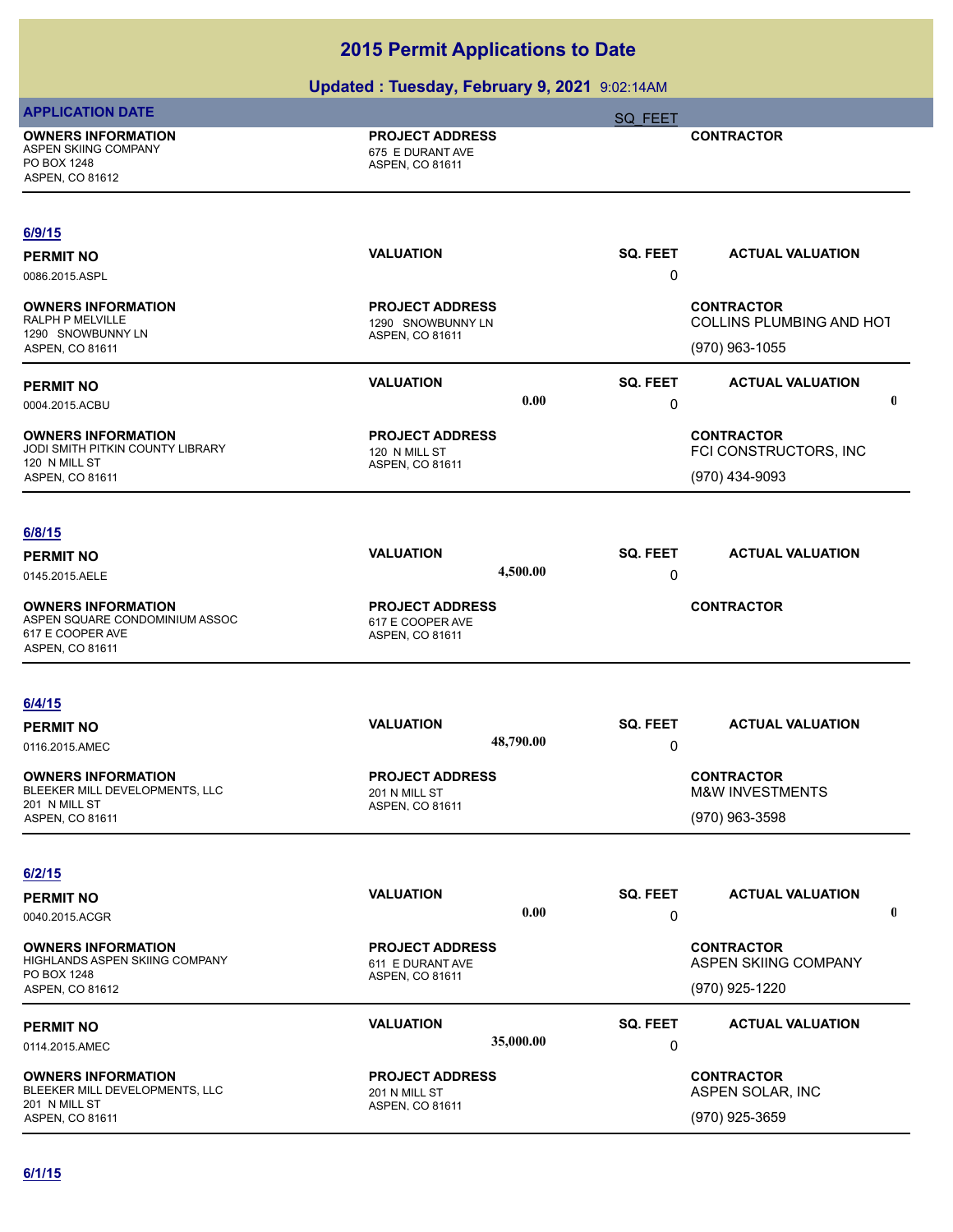| <b>APPLICATION DATE</b>                                                                            |                                                                | <b>SQ FEET</b>       |                                                                 |  |
|----------------------------------------------------------------------------------------------------|----------------------------------------------------------------|----------------------|-----------------------------------------------------------------|--|
| <b>OWNERS INFORMATION</b><br>ASPEN SKIING COMPANY<br>PO BOX 1248<br>ASPEN, CO 81612                | <b>PROJECT ADDRESS</b><br>675 E DURANT AVE<br>ASPEN, CO 81611  |                      | <b>CONTRACTOR</b>                                               |  |
| 6/9/15<br><b>PERMIT NO</b><br>0086.2015.ASPL                                                       | <b>VALUATION</b>                                               | SQ. FEET<br>0        | <b>ACTUAL VALUATION</b>                                         |  |
| <b>OWNERS INFORMATION</b><br>RALPH P MELVILLE<br>1290 SNOWBUNNY LN<br>ASPEN, CO 81611              | <b>PROJECT ADDRESS</b><br>1290 SNOWBUNNY LN<br>ASPEN, CO 81611 |                      | <b>CONTRACTOR</b><br>COLLINS PLUMBING AND HOT<br>(970) 963-1055 |  |
| <b>PERMIT NO</b><br>0004.2015.ACBU                                                                 | <b>VALUATION</b><br>$0.00\,$                                   | SQ. FEET<br>0        | <b>ACTUAL VALUATION</b><br>$\mathbf 0$                          |  |
| <b>OWNERS INFORMATION</b><br>JODI SMITH PITKIN COUNTY LIBRARY<br>120 N MILL ST<br>ASPEN, CO 81611  | <b>PROJECT ADDRESS</b><br>120 N MILL ST<br>ASPEN, CO 81611     |                      | <b>CONTRACTOR</b><br>FCI CONSTRUCTORS, INC<br>(970) 434-9093    |  |
| 6/8/15<br><b>PERMIT NO</b><br>0145.2015.AELE                                                       | <b>VALUATION</b><br>4,500.00                                   | SQ. FEET<br>0        | <b>ACTUAL VALUATION</b>                                         |  |
| <b>OWNERS INFORMATION</b><br>ASPEN SQUARE CONDOMINIUM ASSOC<br>617 E COOPER AVE<br>ASPEN, CO 81611 | <b>PROJECT ADDRESS</b><br>617 E COOPER AVE<br>ASPEN, CO 81611  |                      | <b>CONTRACTOR</b>                                               |  |
| 6/4/15<br><b>PERMIT NO</b><br>0116.2015.AMEC                                                       | <b>VALUATION</b><br>48,790.00                                  | SQ. FEET<br>0        | <b>ACTUAL VALUATION</b>                                         |  |
| <b>OWNERS INFORMATION</b><br>BLEEKER MILL DEVELOPMENTS, LLC<br>201 N MILL ST<br>ASPEN, CO 81611    | <b>PROJECT ADDRESS</b><br>201 N MILL ST<br>ASPEN, CO 81611     |                      | <b>CONTRACTOR</b><br>M&W INVESTMENTS<br>(970) 963-3598          |  |
| 6/2/15<br><b>PERMIT NO</b><br>0040.2015.ACGR                                                       | <b>VALUATION</b><br>0.00                                       | SQ. FEET<br>0        | <b>ACTUAL VALUATION</b><br>$\mathbf 0$                          |  |
| <b>OWNERS INFORMATION</b><br>HIGHLANDS ASPEN SKIING COMPANY<br>PO BOX 1248<br>ASPEN, CO 81612      | <b>PROJECT ADDRESS</b><br>611 E DURANT AVE<br>ASPEN, CO 81611  |                      | <b>CONTRACTOR</b><br>ASPEN SKIING COMPANY<br>(970) 925-1220     |  |
| <b>PERMIT NO</b><br>0114.2015.AMEC                                                                 | <b>VALUATION</b><br>35,000.00                                  | <b>SQ. FEET</b><br>0 | <b>ACTUAL VALUATION</b>                                         |  |
| <b>OWNERS INFORMATION</b><br>BLEEKER MILL DEVELOPMENTS, LLC<br>201 N MILL ST<br>ASPEN, CO 81611    | <b>PROJECT ADDRESS</b><br>201 N MILL ST<br>ASPEN, CO 81611     |                      | <b>CONTRACTOR</b><br>ASPEN SOLAR, INC<br>(970) 925-3659         |  |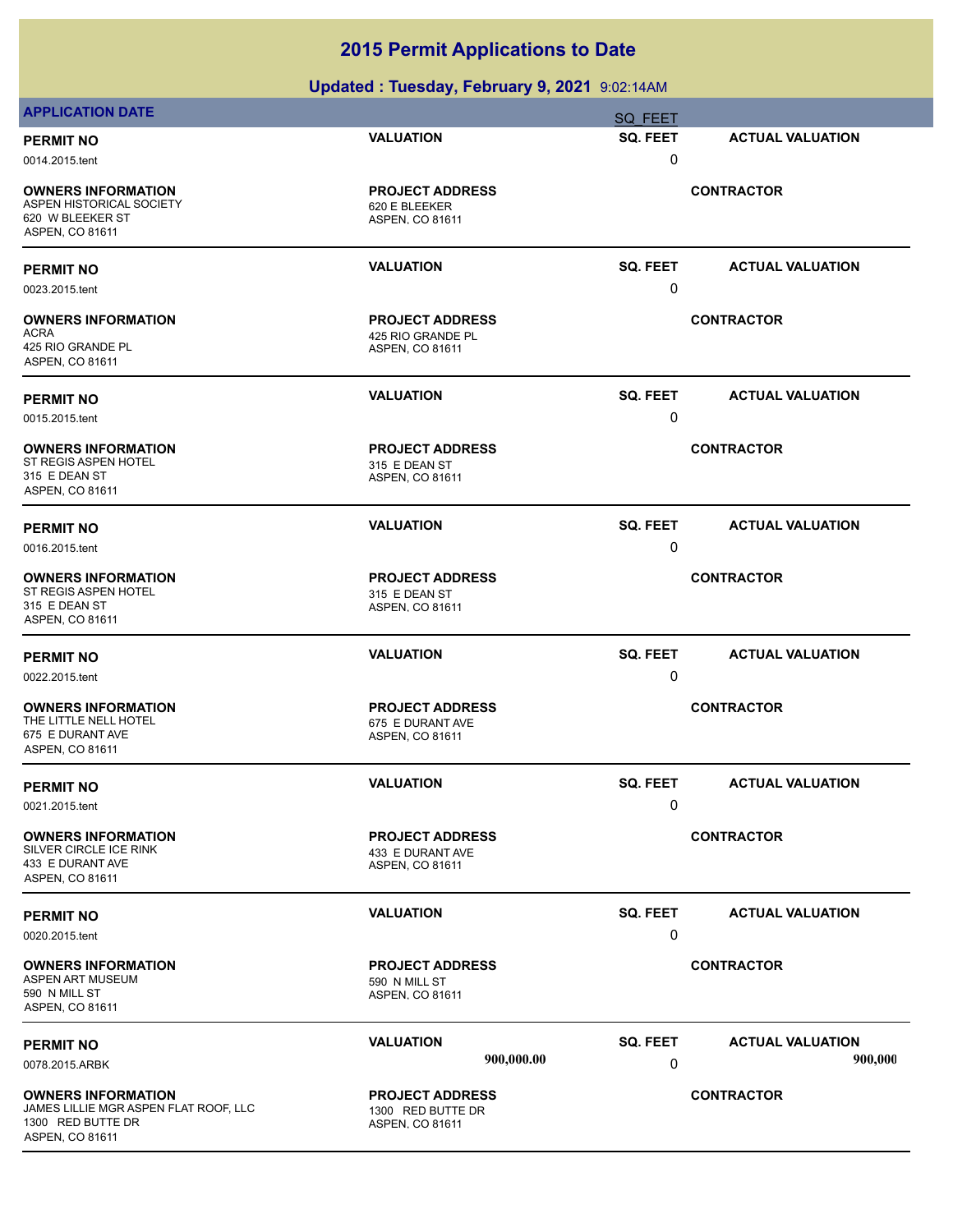| <b>APPLICATION DATE</b>                                                                                    |                                                                      | SQ FEET           |                         |
|------------------------------------------------------------------------------------------------------------|----------------------------------------------------------------------|-------------------|-------------------------|
| <b>PERMIT NO</b>                                                                                           | <b>VALUATION</b>                                                     | SQ. FEET          | <b>ACTUAL VALUATION</b> |
| 0014.2015.tent                                                                                             |                                                                      | 0                 |                         |
| <b>OWNERS INFORMATION</b><br>ASPEN HISTORICAL SOCIETY                                                      | <b>PROJECT ADDRESS</b><br>620 E BLEEKER                              |                   | <b>CONTRACTOR</b>       |
| 620 W BLEEKER ST<br>ASPEN, CO 81611                                                                        | ASPEN, CO 81611                                                      |                   |                         |
| <b>PERMIT NO</b>                                                                                           | <b>VALUATION</b>                                                     | <b>SQ. FEET</b>   | <b>ACTUAL VALUATION</b> |
| 0023.2015.tent                                                                                             |                                                                      | 0                 |                         |
| <b>OWNERS INFORMATION</b><br>ACRA                                                                          | <b>PROJECT ADDRESS</b>                                               |                   | <b>CONTRACTOR</b>       |
| 425 RIO GRANDE PL<br>ASPEN, CO 81611                                                                       | 425 RIO GRANDE PL<br>ASPEN, CO 81611                                 |                   |                         |
| <b>PERMIT NO</b>                                                                                           | <b>VALUATION</b>                                                     | <b>SQ. FEET</b>   | <b>ACTUAL VALUATION</b> |
| 0015.2015.tent                                                                                             |                                                                      | 0                 |                         |
| <b>OWNERS INFORMATION</b><br>ST REGIS ASPEN HOTEL                                                          | <b>PROJECT ADDRESS</b><br>315 E DEAN ST                              |                   | <b>CONTRACTOR</b>       |
| 315 E DEAN ST<br>ASPEN, CO 81611                                                                           | ASPEN, CO 81611                                                      |                   |                         |
| <b>PERMIT NO</b>                                                                                           | <b>VALUATION</b>                                                     | <b>SQ. FEET</b>   | <b>ACTUAL VALUATION</b> |
| 0016.2015.tent                                                                                             |                                                                      | 0                 |                         |
| <b>OWNERS INFORMATION</b><br>ST REGIS ASPEN HOTEL                                                          | <b>PROJECT ADDRESS</b><br>315 E DEAN ST                              |                   | <b>CONTRACTOR</b>       |
| 315 E DEAN ST<br>ASPEN, CO 81611                                                                           | ASPEN, CO 81611                                                      |                   |                         |
| <b>PERMIT NO</b>                                                                                           | <b>VALUATION</b>                                                     | <b>SQ. FEET</b>   | <b>ACTUAL VALUATION</b> |
| 0022.2015.tent                                                                                             |                                                                      | 0                 |                         |
| <b>OWNERS INFORMATION</b><br>THE LITTLE NELL HOTEL<br>675 E DURANT AVE<br>ASPEN, CO 81611                  | <b>PROJECT ADDRESS</b><br>675 E DURANT AVE<br>ASPEN, CO 81611        | <b>CONTRACTOR</b> |                         |
| <b>PERMIT NO</b>                                                                                           | <b>VALUATION</b>                                                     | SQ. FEET          | <b>ACTUAL VALUATION</b> |
| 0021.2015.tent                                                                                             |                                                                      | 0                 |                         |
| <b>OWNERS INFORMATION</b><br>SILVER CIRCLE ICE RINK<br>433 E DURANT AVE<br>ASPEN, CO 81611                 | <b>PROJECT ADDRESS</b><br>433 E DURANT AVE<br><b>ASPEN, CO 81611</b> | <b>CONTRACTOR</b> |                         |
| <b>PERMIT NO</b>                                                                                           | <b>VALUATION</b>                                                     | <b>SQ. FEET</b>   | <b>ACTUAL VALUATION</b> |
| 0020.2015.tent                                                                                             |                                                                      | 0                 |                         |
| <b>OWNERS INFORMATION</b><br>ASPEN ART MUSEUM<br>590 N MILL ST<br>ASPEN, CO 81611                          | <b>PROJECT ADDRESS</b><br>590 N MILL ST<br>ASPEN, CO 81611           |                   | <b>CONTRACTOR</b>       |
| <b>PERMIT NO</b>                                                                                           | <b>VALUATION</b>                                                     | SQ. FEET          | <b>ACTUAL VALUATION</b> |
| 0078.2015.ARBK                                                                                             | 900,000.00                                                           | 0                 | 900,000                 |
| <b>OWNERS INFORMATION</b><br>JAMES LILLIE MGR ASPEN FLAT ROOF, LLC<br>1300 RED BUTTE DR<br>ASPEN, CO 81611 | <b>PROJECT ADDRESS</b><br>1300 RED BUTTE DR<br>ASPEN, CO 81611       |                   | <b>CONTRACTOR</b>       |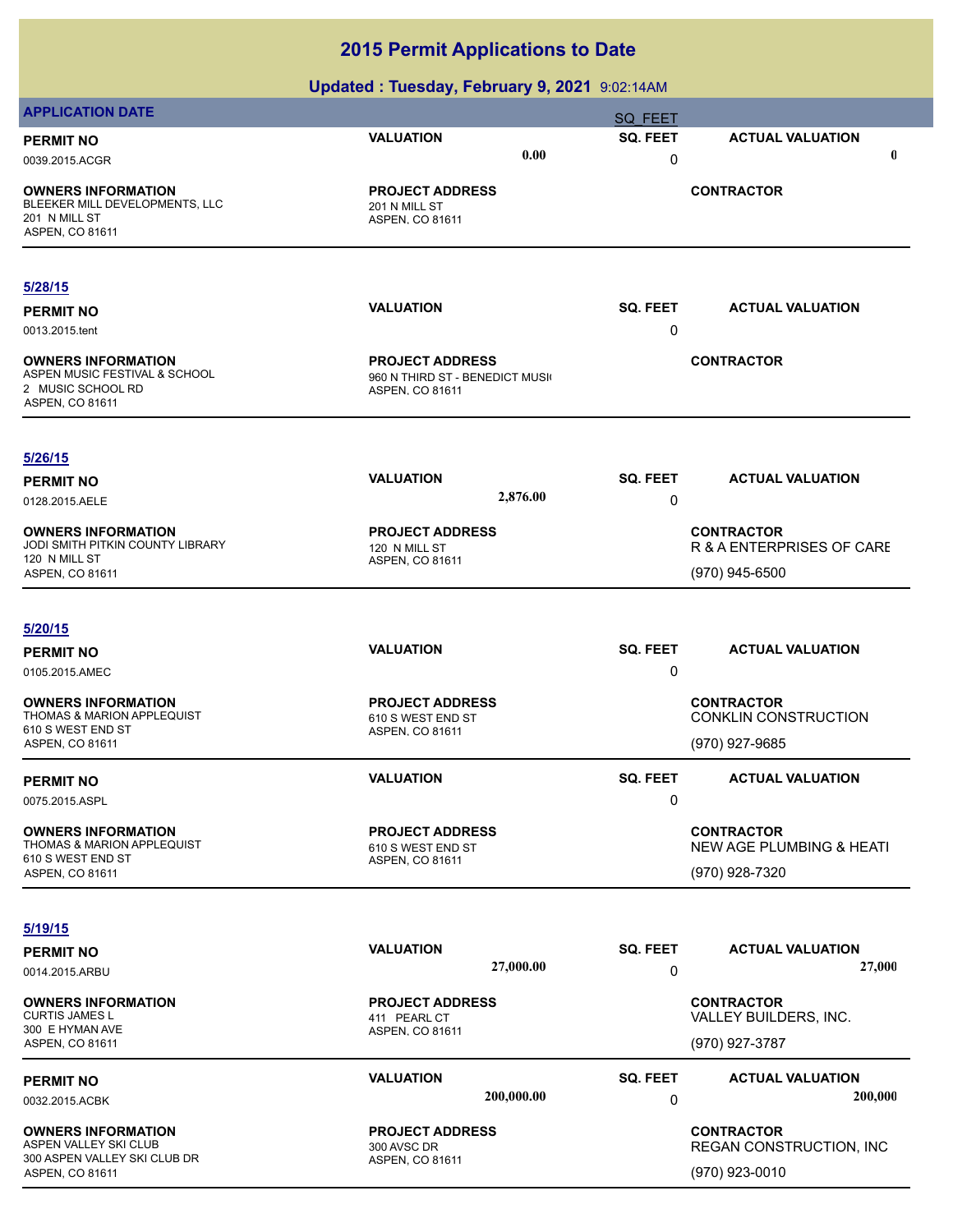| <b>APPLICATION DATE</b>                                                                                    |                                                                             | <b>SQ FEET</b> |                                                                            |
|------------------------------------------------------------------------------------------------------------|-----------------------------------------------------------------------------|----------------|----------------------------------------------------------------------------|
| <b>PERMIT NO</b>                                                                                           | <b>VALUATION</b>                                                            | SQ. FEET       | <b>ACTUAL VALUATION</b>                                                    |
| 0039.2015.ACGR                                                                                             | 0.00                                                                        | 0              | $\mathbf 0$                                                                |
| <b>OWNERS INFORMATION</b><br>BLEEKER MILL DEVELOPMENTS, LLC<br>201 N MILL ST<br>ASPEN, CO 81611            | <b>PROJECT ADDRESS</b><br>201 N MILL ST<br>ASPEN, CO 81611                  |                | <b>CONTRACTOR</b>                                                          |
| 5/28/15                                                                                                    |                                                                             |                |                                                                            |
| <b>PERMIT NO</b><br>0013.2015.tent                                                                         | <b>VALUATION</b>                                                            | SQ. FEET<br>0  | <b>ACTUAL VALUATION</b>                                                    |
| <b>OWNERS INFORMATION</b><br>ASPEN MUSIC FESTIVAL & SCHOOL<br>2 MUSIC SCHOOL RD<br>ASPEN, CO 81611         | <b>PROJECT ADDRESS</b><br>960 N THIRD ST - BENEDICT MUSI<br>ASPEN, CO 81611 |                | <b>CONTRACTOR</b>                                                          |
| 5/26/15                                                                                                    |                                                                             |                |                                                                            |
| <b>PERMIT NO</b><br>0128.2015.AELE                                                                         | <b>VALUATION</b><br>2,876.00                                                | SQ. FEET<br>0  | <b>ACTUAL VALUATION</b>                                                    |
| <b>OWNERS INFORMATION</b><br>JODI SMITH PITKIN COUNTY LIBRARY                                              | <b>PROJECT ADDRESS</b><br>120 N MILL ST                                     |                | <b>CONTRACTOR</b><br>R & A ENTERPRISES OF CARE                             |
| 120 N MILL ST<br>ASPEN, CO 81611                                                                           | ASPEN, CO 81611                                                             |                | (970) 945-6500                                                             |
| 5/20/15                                                                                                    |                                                                             |                |                                                                            |
| <b>PERMIT NO</b><br>0105.2015.AMEC                                                                         | <b>VALUATION</b>                                                            | SQ. FEET<br>0  | <b>ACTUAL VALUATION</b>                                                    |
| <b>OWNERS INFORMATION</b><br><b>THOMAS &amp; MARION APPLEQUIST</b><br>610 S WEST END ST<br>ASPEN, CO 81611 | <b>PROJECT ADDRESS</b><br>610 S WEST END ST<br>ASPEN, CO 81611              |                | <b>CONTRACTOR</b><br><b>CONKLIN CONSTRUCTION</b><br>(970) 927-9685         |
| <b>PERMIT NO</b><br>0075.2015.ASPL                                                                         | <b>VALUATION</b>                                                            | SQ. FEET<br>0  | <b>ACTUAL VALUATION</b>                                                    |
| <b>OWNERS INFORMATION</b><br>THOMAS & MARION APPLEQUIST<br>610 S WEST END ST<br>ASPEN, CO 81611            | <b>PROJECT ADDRESS</b><br>610 S WEST END ST<br>ASPEN, CO 81611              |                | <b>CONTRACTOR</b><br><b>NEW AGE PLUMBING &amp; HEATI</b><br>(970) 928-7320 |
| 5/19/15                                                                                                    |                                                                             |                |                                                                            |
| <b>PERMIT NO</b>                                                                                           | <b>VALUATION</b>                                                            | SQ. FEET       | <b>ACTUAL VALUATION</b>                                                    |
| 0014.2015.ARBU                                                                                             | 27,000.00                                                                   | 0              | 27,000                                                                     |
| <b>OWNERS INFORMATION</b><br><b>CURTIS JAMES L</b><br>300 E HYMAN AVE                                      | <b>PROJECT ADDRESS</b><br>411 PEARL CT<br>ASPEN, CO 81611                   |                | <b>CONTRACTOR</b><br>VALLEY BUILDERS, INC.                                 |
| ASPEN, CO 81611                                                                                            |                                                                             |                | (970) 927-3787                                                             |
| <b>PERMIT NO</b><br>0032.2015.ACBK                                                                         | <b>VALUATION</b><br>200,000.00                                              | SQ. FEET<br>0  | <b>ACTUAL VALUATION</b><br>200,000                                         |
| <b>OWNERS INFORMATION</b><br>ASPEN VALLEY SKI CLUB<br>300 ASPEN VALLEY SKI CLUB DR<br>ASPEN, CO 81611      | <b>PROJECT ADDRESS</b><br>300 AVSC DR<br>ASPEN, CO 81611                    |                | <b>CONTRACTOR</b><br>REGAN CONSTRUCTION, INC<br>(970) 923-0010             |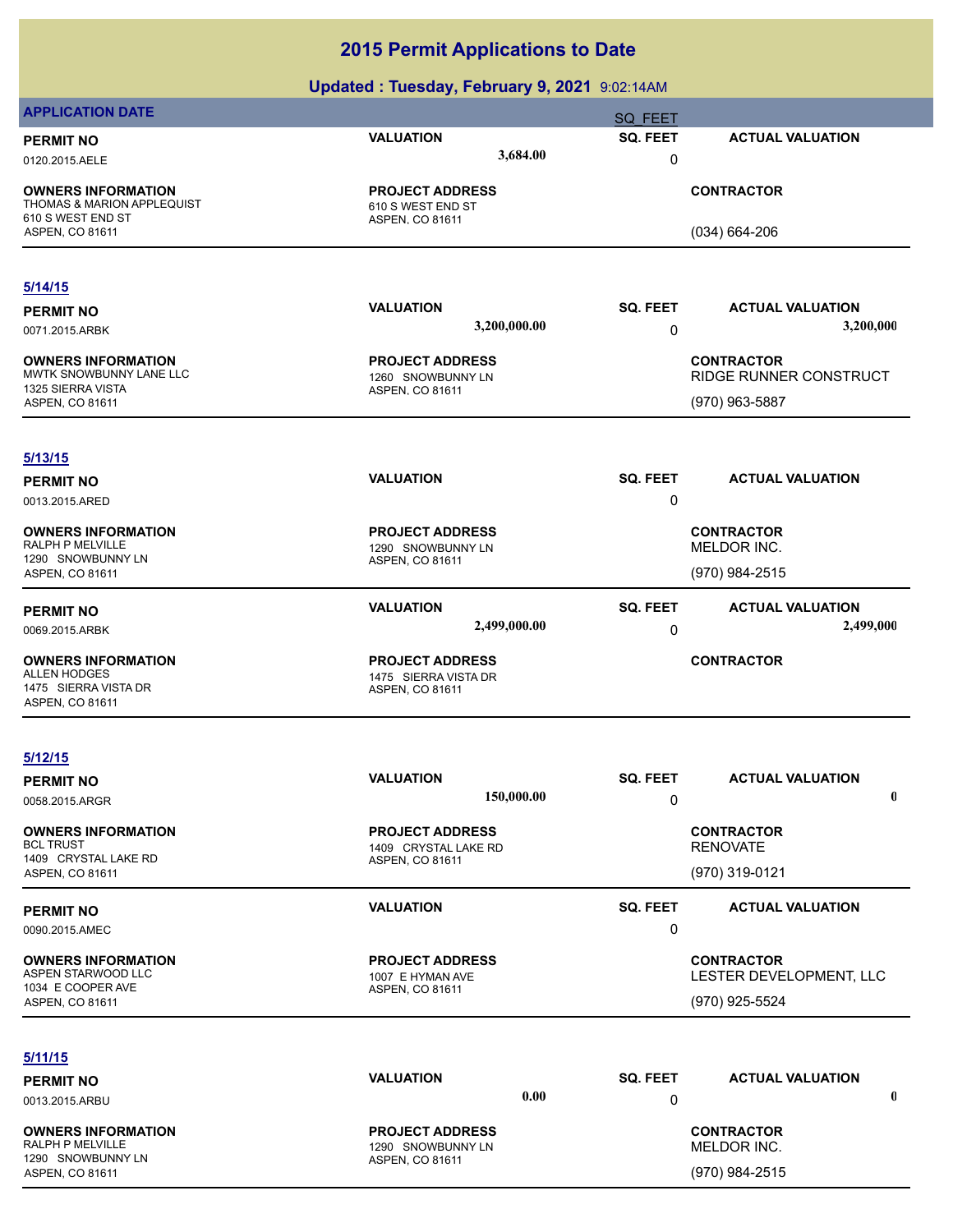|                                                                                         | $\cdots$                                                       |                 |                         |
|-----------------------------------------------------------------------------------------|----------------------------------------------------------------|-----------------|-------------------------|
| <b>APPLICATION DATE</b>                                                                 |                                                                | SQ FEET         |                         |
| <b>PERMIT NO</b>                                                                        | <b>VALUATION</b>                                               | SQ. FEET        | <b>ACTUAL VALUATION</b> |
| 0120.2015.AELE                                                                          | 3,684.00                                                       | 0               |                         |
| <b>OWNERS INFORMATION</b><br><b>THOMAS &amp; MARION APPLEQUIST</b><br>610 S WEST END ST | <b>PROJECT ADDRESS</b><br>610 S WEST END ST<br>ASPEN, CO 81611 |                 | <b>CONTRACTOR</b>       |
| ASPEN, CO 81611                                                                         |                                                                |                 | $(034) 664 - 206$       |
|                                                                                         |                                                                |                 |                         |
| 5/14/15                                                                                 | <b>VALUATION</b>                                               | SQ. FEET        | <b>ACTUAL VALUATION</b> |
| <b>PERMIT NO</b>                                                                        | 3,200,000.00                                                   |                 | 3,200,000               |
| 0071.2015.ARBK                                                                          |                                                                | 0               |                         |
| <b>OWNERS INFORMATION</b><br>MWTK SNOWBUNNY LANE LLC                                    | <b>PROJECT ADDRESS</b>                                         |                 | <b>CONTRACTOR</b>       |
| 1325 SIERRA VISTA                                                                       | 1260 SNOWBUNNY LN<br>ASPEN, CO 81611                           |                 | RIDGE RUNNER CONSTRUCT  |
| ASPEN, CO 81611                                                                         |                                                                |                 | (970) 963-5887          |
|                                                                                         |                                                                |                 |                         |
| 5/13/15                                                                                 |                                                                |                 |                         |
| <b>PERMIT NO</b>                                                                        | <b>VALUATION</b>                                               | <b>SQ. FEET</b> | <b>ACTUAL VALUATION</b> |
| 0013.2015.ARED                                                                          |                                                                | 0               |                         |
| <b>OWNERS INFORMATION</b><br><b>RALPH P MELVILLE</b>                                    | <b>PROJECT ADDRESS</b>                                         |                 | <b>CONTRACTOR</b>       |
| 1290 SNOWBUNNY LN                                                                       | 1290 SNOWBUNNY LN<br>ASPEN, CO 81611                           |                 | MELDOR INC.             |
| ASPEN, CO 81611                                                                         |                                                                |                 | (970) 984-2515          |
| <b>PERMIT NO</b>                                                                        | <b>VALUATION</b>                                               | <b>SQ. FEET</b> | <b>ACTUAL VALUATION</b> |
| 0069.2015.ARBK                                                                          | 2,499,000.00                                                   | 0               | 2,499,000               |
| <b>OWNERS INFORMATION</b>                                                               | <b>PROJECT ADDRESS</b>                                         |                 | <b>CONTRACTOR</b>       |
| <b>ALLEN HODGES</b>                                                                     | 1475 SIERRA VISTA DR                                           |                 |                         |
| 1475 SIERRA VISTA DR<br>ASPEN, CO 81611                                                 | ASPEN, CO 81611                                                |                 |                         |
|                                                                                         |                                                                |                 |                         |
| 5/12/15                                                                                 |                                                                |                 |                         |
| <b>PERMIT NO</b>                                                                        | <b>VALUATION</b>                                               | <b>SQ. FEET</b> | <b>ACTUAL VALUATION</b> |
| 0058.2015.ARGR                                                                          | 150,000.00                                                     | 0               | $\mathbf 0$             |
| <b>OWNERS INFORMATION</b>                                                               | <b>PROJECT ADDRESS</b>                                         |                 | <b>CONTRACTOR</b>       |
| <b>BCL TRUST</b><br>1409 CRYSTAL LAKE RD                                                | 1409 CRYSTAL LAKE RD<br>ASPEN, CO 81611                        |                 | <b>RENOVATE</b>         |
| ASPEN, CO 81611                                                                         |                                                                |                 | (970) 319-0121          |
| <b>PERMIT NO</b>                                                                        | <b>VALUATION</b>                                               | SQ. FEET        | <b>ACTUAL VALUATION</b> |
| 0090.2015.AMEC                                                                          |                                                                | 0               |                         |
| <b>OWNERS INFORMATION</b>                                                               | <b>PROJECT ADDRESS</b>                                         |                 | <b>CONTRACTOR</b>       |
| ASPEN STARWOOD LLC<br>1034 E COOPER AVE                                                 | 1007 E HYMAN AVE                                               |                 | LESTER DEVELOPMENT, LLC |
| ASPEN, CO 81611                                                                         | ASPEN, CO 81611                                                |                 | (970) 925-5524          |
|                                                                                         |                                                                |                 |                         |
| 5/11/15                                                                                 |                                                                |                 |                         |
| <b>PERMIT NO</b>                                                                        | <b>VALUATION</b>                                               | SQ. FEET        | <b>ACTUAL VALUATION</b> |
| 0013.2015.ARBU                                                                          | 0.00                                                           | 0               | 0                       |
| <b>OWNERS INFORMATION</b>                                                               | <b>PROJECT ADDRESS</b>                                         |                 | <b>CONTRACTOR</b>       |
| RALPH P MELVILLE<br>1290 SNOWBUNNY LN                                                   | 1290 SNOWBUNNY LN                                              |                 | MELDOR INC.             |
| ASPEN, CO 81611                                                                         | ASPEN, CO 81611                                                |                 | (970) 984-2515          |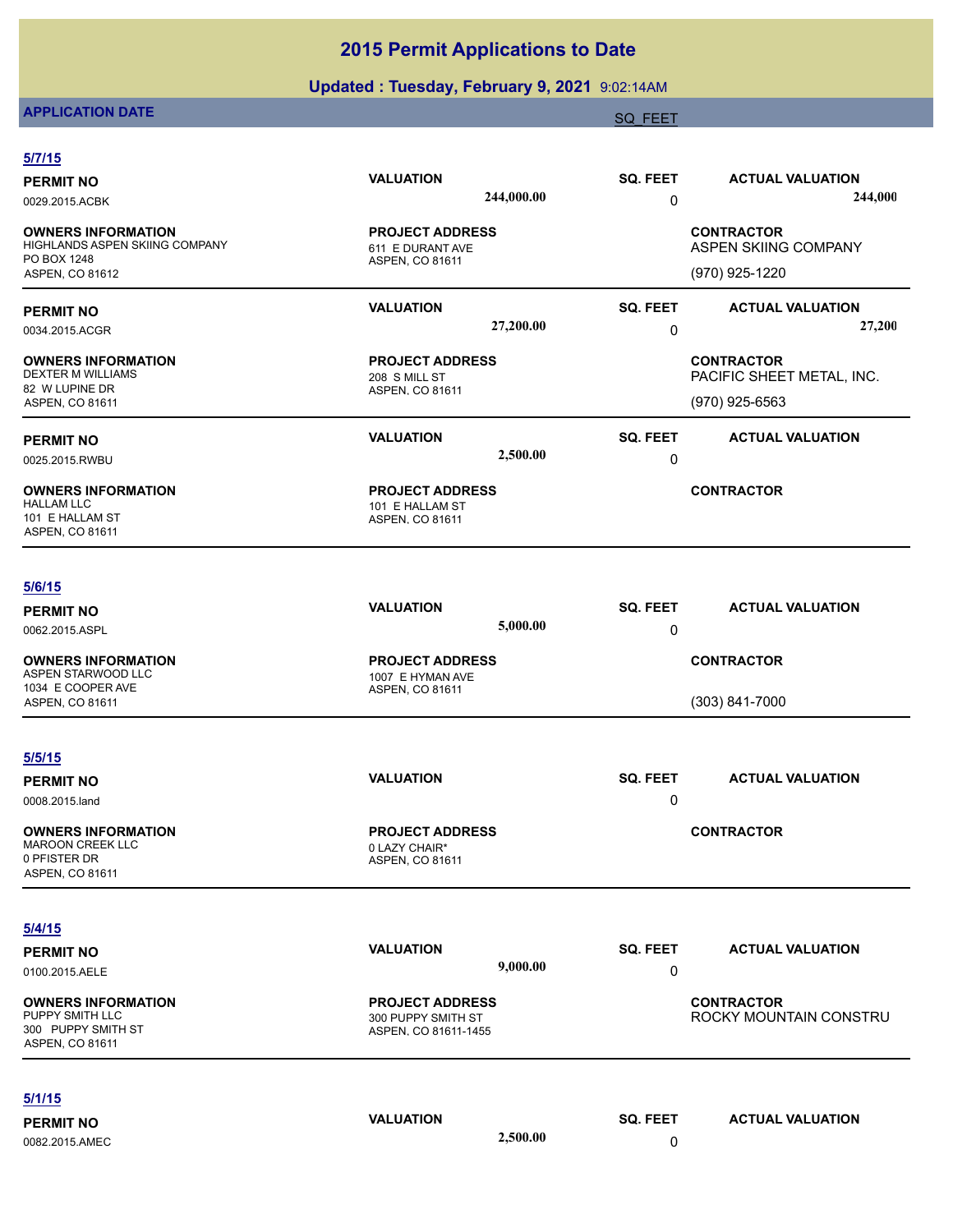## **Updated : Tuesday, February 9, 2021** 9:02:14AM

# **APPLICATION DATE** SOLUTION CONTINUES AND A SOLUTION OF THE SAME SOLUTION OF THE SAME SOLUTION OF THE SAME SOLUTION

| SQ. FEET<br><b>VALUATION</b><br><b>ACTUAL VALUATION</b><br>244,000.00<br>0<br><b>CONTRACTOR</b><br><b>PROJECT ADDRESS</b><br>ASPEN SKIING COMPANY<br>611 E DURANT AVE<br>ASPEN, CO 81611<br>(970) 925-1220<br>SQ. FEET<br><b>VALUATION</b><br><b>ACTUAL VALUATION</b><br>27,200.00<br>0<br><b>PROJECT ADDRESS</b><br><b>CONTRACTOR</b><br>PACIFIC SHEET METAL, INC.<br>208 S MILL ST<br>ASPEN, CO 81611<br>(970) 925-6563<br><b>SQ. FEET</b><br><b>VALUATION</b><br><b>ACTUAL VALUATION</b><br>2,500.00<br>0<br><b>CONTRACTOR</b><br><b>PROJECT ADDRESS</b><br>101 E HALLAM ST<br>ASPEN, CO 81611<br><b>VALUATION</b><br>SQ. FEET<br><b>ACTUAL VALUATION</b><br>5,000.00<br>0<br><b>PROJECT ADDRESS</b><br><b>CONTRACTOR</b><br>1007 E HYMAN AVE<br>ASPEN, CO 81611<br>(303) 841-7000<br><b>SQ. FEET</b><br><b>VALUATION</b><br><b>ACTUAL VALUATION</b><br>0<br><b>PROJECT ADDRESS</b><br><b>CONTRACTOR</b><br>0 LAZY CHAIR*<br>ASPEN, CO 81611<br><b>VALUATION</b><br>SQ. FEET<br><b>ACTUAL VALUATION</b><br>9,000.00<br>0<br><b>CONTRACTOR</b><br><b>PROJECT ADDRESS</b><br>300 PUPPY SMITH ST<br>ASPEN, CO 81611-1455 | 5/7/15           |  |  |                        |
|--------------------------------------------------------------------------------------------------------------------------------------------------------------------------------------------------------------------------------------------------------------------------------------------------------------------------------------------------------------------------------------------------------------------------------------------------------------------------------------------------------------------------------------------------------------------------------------------------------------------------------------------------------------------------------------------------------------------------------------------------------------------------------------------------------------------------------------------------------------------------------------------------------------------------------------------------------------------------------------------------------------------------------------------------------------------------------------------------------------------------|------------------|--|--|------------------------|
| 0029.2015.ACBK<br><b>OWNERS INFORMATION</b><br>HIGHLANDS ASPEN SKIING COMPANY<br>DEXTER M WILLIAMS<br>82 W LUPINE DR<br>ASPEN, CO 81611<br>101 E HALLAM ST<br>ASPEN, CO 81611<br>ASPEN STARWOOD LLC<br>1034 E COOPER AVE<br><b>OWNERS INFORMATION</b><br><b>MAROON CREEK LLC</b><br>ASPEN, CO 81611<br><b>OWNERS INFORMATION</b><br>ASPEN, CO 81611                                                                                                                                                                                                                                                                                                                                                                                                                                                                                                                                                                                                                                                                                                                                                                      | <b>PERMIT NO</b> |  |  |                        |
| PO BOX 1248<br>ASPEN, CO 81612<br><b>PERMIT NO</b><br>0034.2015.ACGR<br><b>OWNERS INFORMATION</b><br><b>PERMIT NO</b><br>0025.2015.RWBU<br><b>OWNERS INFORMATION</b><br><b>HALLAM LLC</b><br>5/6/15<br><b>PERMIT NO</b><br>0062.2015.ASPL<br><b>OWNERS INFORMATION</b><br>ASPEN, CO 81611<br>5/5/15<br><b>PERMIT NO</b><br>0008.2015.land<br>0 PFISTER DR<br>5/4/15<br><b>PERMIT NO</b><br>0100.2015.AELE<br>PUPPY SMITH LLC<br>300 PUPPY SMITH ST                                                                                                                                                                                                                                                                                                                                                                                                                                                                                                                                                                                                                                                                       |                  |  |  | 244,000                |
|                                                                                                                                                                                                                                                                                                                                                                                                                                                                                                                                                                                                                                                                                                                                                                                                                                                                                                                                                                                                                                                                                                                          |                  |  |  |                        |
|                                                                                                                                                                                                                                                                                                                                                                                                                                                                                                                                                                                                                                                                                                                                                                                                                                                                                                                                                                                                                                                                                                                          |                  |  |  |                        |
|                                                                                                                                                                                                                                                                                                                                                                                                                                                                                                                                                                                                                                                                                                                                                                                                                                                                                                                                                                                                                                                                                                                          |                  |  |  |                        |
|                                                                                                                                                                                                                                                                                                                                                                                                                                                                                                                                                                                                                                                                                                                                                                                                                                                                                                                                                                                                                                                                                                                          |                  |  |  | 27,200                 |
|                                                                                                                                                                                                                                                                                                                                                                                                                                                                                                                                                                                                                                                                                                                                                                                                                                                                                                                                                                                                                                                                                                                          |                  |  |  |                        |
|                                                                                                                                                                                                                                                                                                                                                                                                                                                                                                                                                                                                                                                                                                                                                                                                                                                                                                                                                                                                                                                                                                                          |                  |  |  |                        |
|                                                                                                                                                                                                                                                                                                                                                                                                                                                                                                                                                                                                                                                                                                                                                                                                                                                                                                                                                                                                                                                                                                                          |                  |  |  |                        |
|                                                                                                                                                                                                                                                                                                                                                                                                                                                                                                                                                                                                                                                                                                                                                                                                                                                                                                                                                                                                                                                                                                                          |                  |  |  |                        |
|                                                                                                                                                                                                                                                                                                                                                                                                                                                                                                                                                                                                                                                                                                                                                                                                                                                                                                                                                                                                                                                                                                                          |                  |  |  |                        |
|                                                                                                                                                                                                                                                                                                                                                                                                                                                                                                                                                                                                                                                                                                                                                                                                                                                                                                                                                                                                                                                                                                                          |                  |  |  |                        |
|                                                                                                                                                                                                                                                                                                                                                                                                                                                                                                                                                                                                                                                                                                                                                                                                                                                                                                                                                                                                                                                                                                                          |                  |  |  |                        |
|                                                                                                                                                                                                                                                                                                                                                                                                                                                                                                                                                                                                                                                                                                                                                                                                                                                                                                                                                                                                                                                                                                                          |                  |  |  |                        |
|                                                                                                                                                                                                                                                                                                                                                                                                                                                                                                                                                                                                                                                                                                                                                                                                                                                                                                                                                                                                                                                                                                                          |                  |  |  |                        |
|                                                                                                                                                                                                                                                                                                                                                                                                                                                                                                                                                                                                                                                                                                                                                                                                                                                                                                                                                                                                                                                                                                                          |                  |  |  |                        |
|                                                                                                                                                                                                                                                                                                                                                                                                                                                                                                                                                                                                                                                                                                                                                                                                                                                                                                                                                                                                                                                                                                                          |                  |  |  |                        |
|                                                                                                                                                                                                                                                                                                                                                                                                                                                                                                                                                                                                                                                                                                                                                                                                                                                                                                                                                                                                                                                                                                                          |                  |  |  |                        |
|                                                                                                                                                                                                                                                                                                                                                                                                                                                                                                                                                                                                                                                                                                                                                                                                                                                                                                                                                                                                                                                                                                                          |                  |  |  |                        |
|                                                                                                                                                                                                                                                                                                                                                                                                                                                                                                                                                                                                                                                                                                                                                                                                                                                                                                                                                                                                                                                                                                                          |                  |  |  |                        |
|                                                                                                                                                                                                                                                                                                                                                                                                                                                                                                                                                                                                                                                                                                                                                                                                                                                                                                                                                                                                                                                                                                                          |                  |  |  |                        |
|                                                                                                                                                                                                                                                                                                                                                                                                                                                                                                                                                                                                                                                                                                                                                                                                                                                                                                                                                                                                                                                                                                                          |                  |  |  |                        |
|                                                                                                                                                                                                                                                                                                                                                                                                                                                                                                                                                                                                                                                                                                                                                                                                                                                                                                                                                                                                                                                                                                                          |                  |  |  |                        |
|                                                                                                                                                                                                                                                                                                                                                                                                                                                                                                                                                                                                                                                                                                                                                                                                                                                                                                                                                                                                                                                                                                                          |                  |  |  | ROCKY MOUNTAIN CONSTRU |
|                                                                                                                                                                                                                                                                                                                                                                                                                                                                                                                                                                                                                                                                                                                                                                                                                                                                                                                                                                                                                                                                                                                          | 5/1/15           |  |  |                        |
| <b>VALUATION</b><br>SQ. FEET<br><b>ACTUAL VALUATION</b><br><b>PERMIT NO</b>                                                                                                                                                                                                                                                                                                                                                                                                                                                                                                                                                                                                                                                                                                                                                                                                                                                                                                                                                                                                                                              |                  |  |  |                        |
| 2,500.00<br>0<br>0082.2015.AMEC                                                                                                                                                                                                                                                                                                                                                                                                                                                                                                                                                                                                                                                                                                                                                                                                                                                                                                                                                                                                                                                                                          |                  |  |  |                        |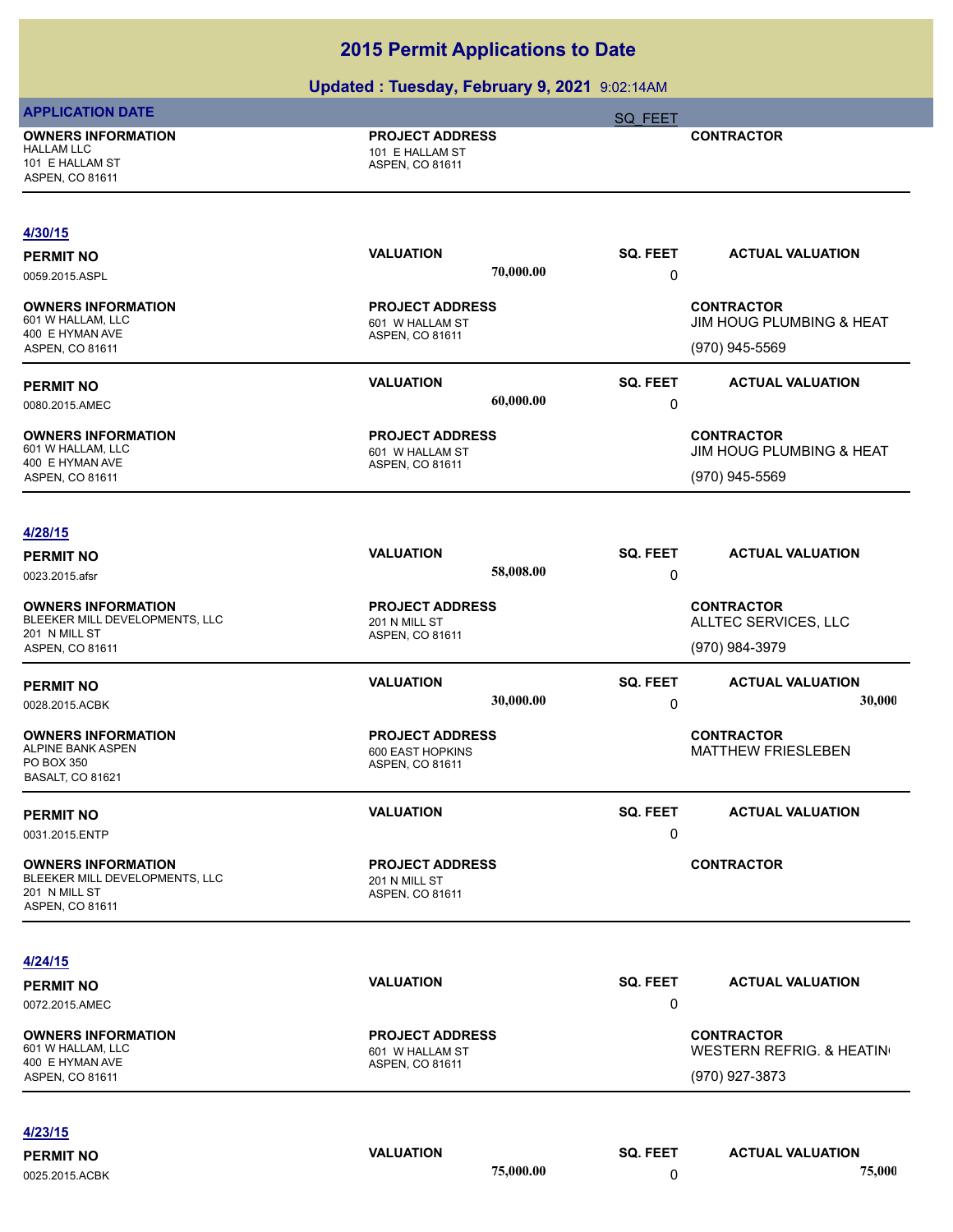|                                                                                                 | <b>opdated: Tuesday, February 9, 2021</b> 9:02:14AM           |                                      |                                                                  |
|-------------------------------------------------------------------------------------------------|---------------------------------------------------------------|--------------------------------------|------------------------------------------------------------------|
| <b>APPLICATION DATE</b>                                                                         |                                                               | SQ FEET                              |                                                                  |
| <b>OWNERS INFORMATION</b><br><b>HALLAM LLC</b><br>101 E HALLAM ST<br>ASPEN, CO 81611            | <b>PROJECT ADDRESS</b><br>101 E HALLAM ST<br>ASPEN, CO 81611  |                                      | <b>CONTRACTOR</b>                                                |
| 4/30/15                                                                                         |                                                               |                                      |                                                                  |
| <b>PERMIT NO</b><br>0059.2015.ASPL                                                              | <b>VALUATION</b>                                              | <b>SQ. FEET</b><br>70,000.00<br>0    | <b>ACTUAL VALUATION</b>                                          |
| <b>OWNERS INFORMATION</b><br>601 W HALLAM, LLC<br>400 E HYMAN AVE<br>ASPEN, CO 81611            | <b>PROJECT ADDRESS</b><br>601 W HALLAM ST<br>ASPEN, CO 81611  |                                      | <b>CONTRACTOR</b><br>JIM HOUG PLUMBING & HEAT<br>(970) 945-5569  |
| <b>PERMIT NO</b><br>0080.2015.AMEC                                                              | <b>VALUATION</b>                                              | SQ. FEET<br>60,000.00<br>0           | <b>ACTUAL VALUATION</b>                                          |
| <b>OWNERS INFORMATION</b><br>601 W HALLAM, LLC<br>400 E HYMAN AVE<br>ASPEN, CO 81611            | <b>PROJECT ADDRESS</b><br>601 W HALLAM ST<br>ASPEN, CO 81611  |                                      | <b>CONTRACTOR</b><br>JIM HOUG PLUMBING & HEAT<br>(970) 945-5569  |
| 4/28/15<br><b>PERMIT NO</b><br>0023.2015.afsr                                                   | <b>VALUATION</b>                                              | SQ. FEET<br>58,008.00<br>0           | <b>ACTUAL VALUATION</b>                                          |
| <b>OWNERS INFORMATION</b><br>BLEEKER MILL DEVELOPMENTS, LLC<br>201 N MILL ST<br>ASPEN, CO 81611 | <b>PROJECT ADDRESS</b><br>201 N MILL ST<br>ASPEN, CO 81611    |                                      | <b>CONTRACTOR</b><br>ALLTEC SERVICES, LLC<br>(970) 984-3979      |
| <b>PERMIT NO</b><br>0028.2015.ACBK                                                              | <b>VALUATION</b>                                              | SQ. FEET<br>30,000.00<br>$\mathbf 0$ | <b>ACTUAL VALUATION</b><br>30,000                                |
| <b>OWNERS INFORMATION</b><br>ALPINE BANK ASPEN<br>PO BOX 350<br><b>BASALT, CO 81621</b>         | <b>PROJECT ADDRESS</b><br>600 EAST HOPKINS<br>ASPEN, CO 81611 |                                      | <b>CONTRACTOR</b><br><b>MATTHEW FRIESLEBEN</b>                   |
| <b>PERMIT NO</b><br>0031.2015.ENTP                                                              | <b>VALUATION</b>                                              | SQ. FEET<br>0                        | <b>ACTUAL VALUATION</b>                                          |
| <b>OWNERS INFORMATION</b><br>BLEEKER MILL DEVELOPMENTS, LLC<br>201 N MILL ST<br>ASPEN, CO 81611 | <b>PROJECT ADDRESS</b><br>201 N MILL ST<br>ASPEN, CO 81611    |                                      | <b>CONTRACTOR</b>                                                |
| 4/24/15<br><b>PERMIT NO</b><br>0072.2015.AMEC                                                   | <b>VALUATION</b>                                              | SQ. FEET<br>0                        | <b>ACTUAL VALUATION</b>                                          |
| <b>OWNERS INFORMATION</b><br>601 W HALLAM, LLC<br>400 E HYMAN AVE<br>ASPEN, CO 81611            | <b>PROJECT ADDRESS</b><br>601 W HALLAM ST<br>ASPEN, CO 81611  |                                      | <b>CONTRACTOR</b><br>WESTERN REFRIG. & HEATING<br>(970) 927-3873 |
| 4/23/15                                                                                         |                                                               |                                      |                                                                  |
| <b>PERMIT NO</b><br>0025.2015.ACBK                                                              | <b>VALUATION</b>                                              | SQ. FEET<br>75,000.00<br>0           | <b>ACTUAL VALUATION</b><br>75,000                                |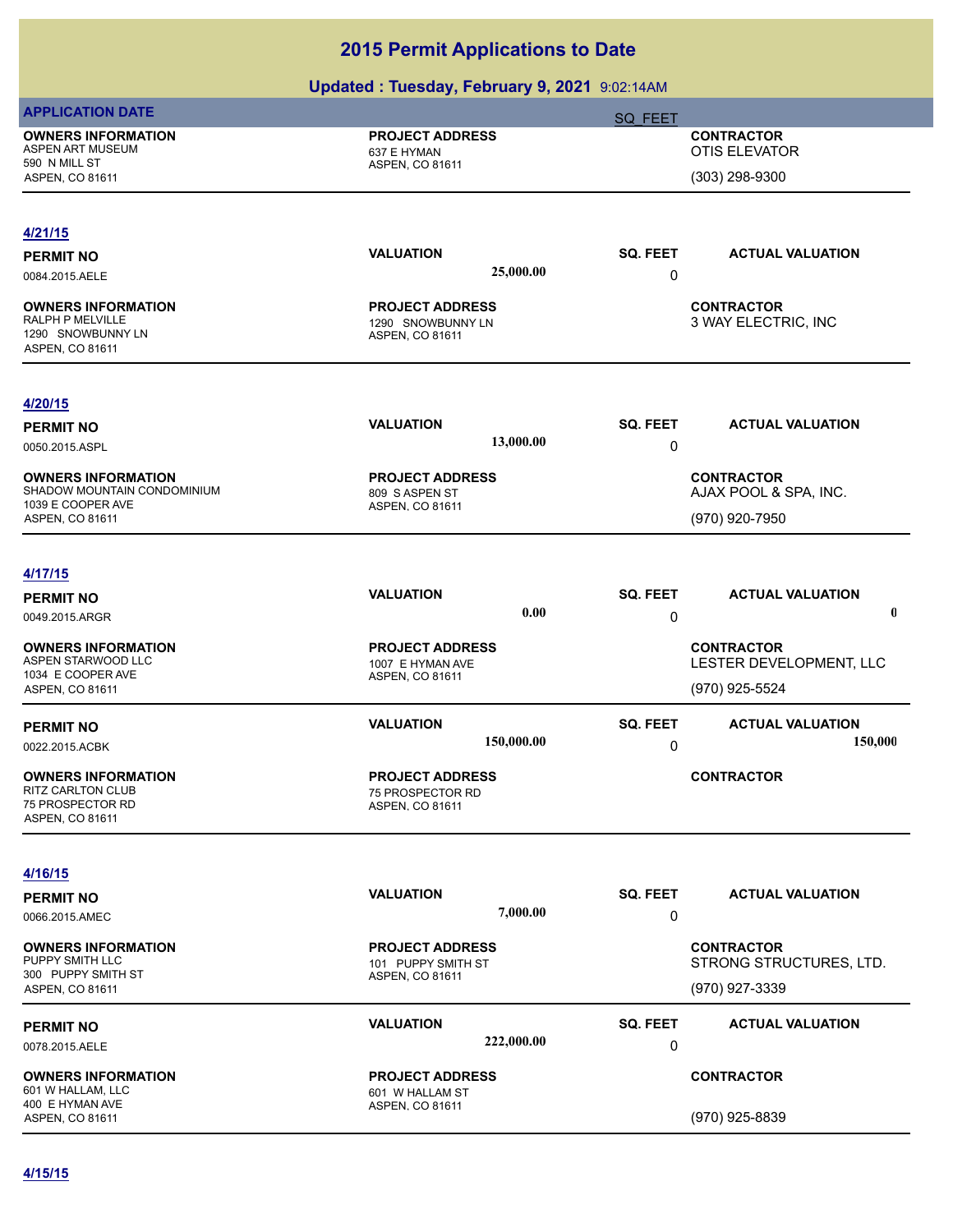| <b>APPLICATION DATE</b>                                                               |                                                                    | SQ FEET                                      |
|---------------------------------------------------------------------------------------|--------------------------------------------------------------------|----------------------------------------------|
| <b>OWNERS INFORMATION</b><br>ASPEN ART MUSEUM<br>590 N MILL ST                        | <b>PROJECT ADDRESS</b><br>637 E HYMAN                              | <b>CONTRACTOR</b><br><b>OTIS ELEVATOR</b>    |
| ASPEN, CO 81611                                                                       | ASPEN, CO 81611                                                    | (303) 298-9300                               |
| 4/21/15                                                                               |                                                                    |                                              |
| <b>PERMIT NO</b>                                                                      | <b>VALUATION</b>                                                   | SQ. FEET<br><b>ACTUAL VALUATION</b>          |
| 0084.2015.AELE                                                                        | 25,000.00                                                          | 0                                            |
| <b>OWNERS INFORMATION</b><br>RALPH P MELVILLE<br>1290 SNOWBUNNY LN<br>ASPEN, CO 81611 | <b>PROJECT ADDRESS</b><br>1290 SNOWBUNNY LN<br>ASPEN, CO 81611     | <b>CONTRACTOR</b><br>3 WAY ELECTRIC, INC     |
| 4/20/15                                                                               |                                                                    |                                              |
| <b>PERMIT NO</b>                                                                      | <b>VALUATION</b>                                                   | SQ. FEET<br><b>ACTUAL VALUATION</b>          |
| 0050.2015.ASPL                                                                        | 13,000.00                                                          | 0                                            |
| <b>OWNERS INFORMATION</b><br>SHADOW MOUNTAIN CONDOMINIUM<br>1039 E COOPER AVE         | <b>PROJECT ADDRESS</b><br>809 S ASPEN ST<br><b>ASPEN, CO 81611</b> | <b>CONTRACTOR</b><br>AJAX POOL & SPA, INC.   |
| ASPEN, CO 81611                                                                       |                                                                    | (970) 920-7950                               |
| 4/17/15                                                                               |                                                                    |                                              |
| <b>PERMIT NO</b>                                                                      | <b>VALUATION</b>                                                   | SQ. FEET<br><b>ACTUAL VALUATION</b>          |
| 0049.2015.ARGR                                                                        | 0.00                                                               | $\mathbf 0$<br>0                             |
| <b>OWNERS INFORMATION</b>                                                             | <b>PROJECT ADDRESS</b>                                             | <b>CONTRACTOR</b>                            |
| ASPEN STARWOOD LLC                                                                    | 1007 E HYMAN AVE                                                   | LESTER DEVELOPMENT, LLC                      |
| 1034 E COOPER AVE<br>ASPEN, CO 81611                                                  | ASPEN, CO 81611                                                    | (970) 925-5524                               |
| <b>PERMIT NO</b>                                                                      | <b>VALUATION</b>                                                   | SQ. FEET<br><b>ACTUAL VALUATION</b>          |
| 0022.2015.ACBK                                                                        | 150,000.00                                                         | 150,000<br>0                                 |
| <b>OWNERS INFORMATION</b><br>RITZ CARLTON CLUB<br>75 PROSPECTOR RD<br>ASPEN, CO 81611 | <b>PROJECT ADDRESS</b><br>75 PROSPECTOR RD<br>ASPEN, CO 81611      | <b>CONTRACTOR</b>                            |
| 4/16/15                                                                               |                                                                    |                                              |
| <b>PERMIT NO</b>                                                                      | <b>VALUATION</b>                                                   | SQ. FEET<br><b>ACTUAL VALUATION</b>          |
| 0066.2015.AMEC                                                                        | 7,000.00                                                           | 0                                            |
| <b>OWNERS INFORMATION</b><br>PUPPY SMITH LLC                                          | <b>PROJECT ADDRESS</b><br>101 PUPPY SMITH ST                       | <b>CONTRACTOR</b><br>STRONG STRUCTURES, LTD. |
| 300 PUPPY SMITH ST<br>ASPEN, CO 81611                                                 | ASPEN, CO 81611                                                    | (970) 927-3339                               |
| <b>PERMIT NO</b>                                                                      | <b>VALUATION</b>                                                   | SQ. FEET<br><b>ACTUAL VALUATION</b>          |
| 0078.2015.AELE                                                                        | 222,000.00                                                         | 0                                            |
| <b>OWNERS INFORMATION</b><br>601 W HALLAM, LLC<br>400 E HYMAN AVE                     | <b>PROJECT ADDRESS</b><br>601 W HALLAM ST                          | <b>CONTRACTOR</b>                            |
| ASPEN, CO 81611                                                                       | ASPEN, CO 81611                                                    | (970) 925-8839                               |
|                                                                                       |                                                                    |                                              |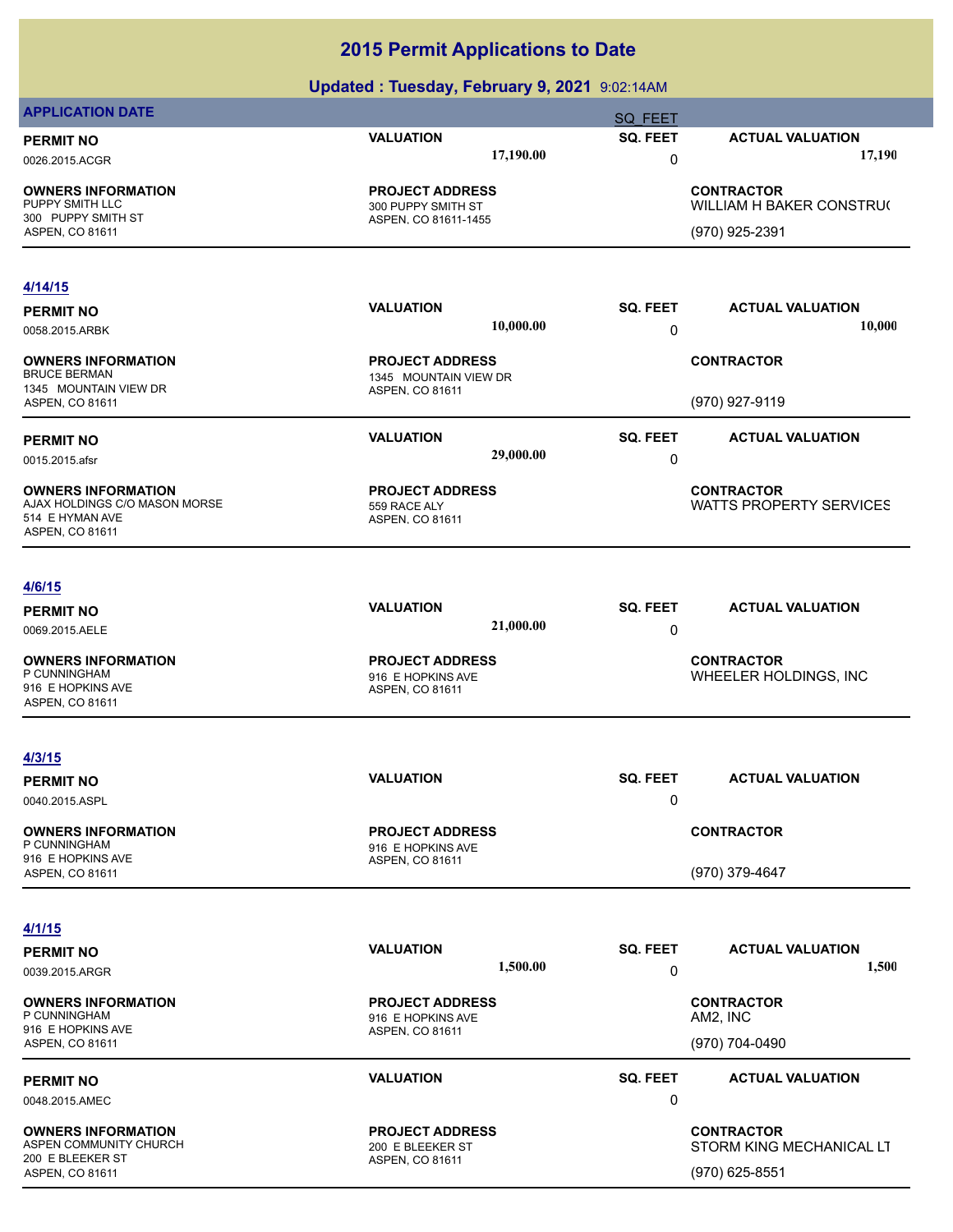| <b>APPLICATION DATE</b>                             |                                                 |           | <b>SQ FEET</b>  |                                               |
|-----------------------------------------------------|-------------------------------------------------|-----------|-----------------|-----------------------------------------------|
| <b>PERMIT NO</b>                                    | <b>VALUATION</b>                                |           | SQ. FEET        | <b>ACTUAL VALUATION</b>                       |
| 0026.2015.ACGR                                      |                                                 | 17,190.00 | 0               | 17,190                                        |
| <b>OWNERS INFORMATION</b>                           | <b>PROJECT ADDRESS</b>                          |           |                 | <b>CONTRACTOR</b>                             |
| PUPPY SMITH LLC<br>300 PUPPY SMITH ST               | 300 PUPPY SMITH ST<br>ASPEN, CO 81611-1455      |           |                 | WILLIAM H BAKER CONSTRU(                      |
| ASPEN, CO 81611                                     |                                                 |           |                 | (970) 925-2391                                |
|                                                     |                                                 |           |                 |                                               |
| 4/14/15                                             | <b>VALUATION</b>                                |           | SQ. FEET        | <b>ACTUAL VALUATION</b>                       |
| <b>PERMIT NO</b><br>0058.2015.ARBK                  |                                                 | 10,000.00 | 0               | 10,000                                        |
|                                                     |                                                 |           |                 |                                               |
| <b>OWNERS INFORMATION</b><br><b>BRUCE BERMAN</b>    | <b>PROJECT ADDRESS</b><br>1345 MOUNTAIN VIEW DR |           |                 | <b>CONTRACTOR</b>                             |
| 1345 MOUNTAIN VIEW DR                               | ASPEN, CO 81611                                 |           |                 |                                               |
| ASPEN, CO 81611                                     |                                                 |           |                 | (970) 927-9119                                |
| <b>PERMIT NO</b>                                    | <b>VALUATION</b>                                |           | <b>SQ. FEET</b> | <b>ACTUAL VALUATION</b>                       |
| 0015.2015.afsr                                      |                                                 | 29,000.00 | 0               |                                               |
| <b>OWNERS INFORMATION</b>                           | <b>PROJECT ADDRESS</b>                          |           |                 | <b>CONTRACTOR</b>                             |
| AJAX HOLDINGS C/O MASON MORSE<br>514 E HYMAN AVE    | 559 RACE ALY<br>ASPEN, CO 81611                 |           |                 | <b>WATTS PROPERTY SERVICES</b>                |
| ASPEN, CO 81611                                     |                                                 |           |                 |                                               |
|                                                     |                                                 |           |                 |                                               |
| <u>4/6/15</u>                                       | <b>VALUATION</b>                                |           | SQ. FEET        | <b>ACTUAL VALUATION</b>                       |
| <b>PERMIT NO</b><br>0069.2015.AELE                  |                                                 | 21,000.00 | 0               |                                               |
| <b>OWNERS INFORMATION</b>                           | <b>PROJECT ADDRESS</b>                          |           |                 | <b>CONTRACTOR</b>                             |
| P CUNNINGHAM                                        | 916 E HOPKINS AVE                               |           |                 | WHEELER HOLDINGS, INC                         |
| 916 E HOPKINS AVE<br>ASPEN, CO 81611                | ASPEN, CO 81611                                 |           |                 |                                               |
|                                                     |                                                 |           |                 |                                               |
| 4/3/15                                              |                                                 |           |                 |                                               |
| <b>PERMIT NO</b>                                    | <b>VALUATION</b>                                |           | SQ. FEET        | <b>ACTUAL VALUATION</b>                       |
| 0040.2015.ASPL                                      |                                                 |           | 0               |                                               |
| <b>OWNERS INFORMATION</b>                           | <b>PROJECT ADDRESS</b>                          |           |                 | <b>CONTRACTOR</b>                             |
| P CUNNINGHAM<br>916 E HOPKINS AVE                   | 916 E HOPKINS AVE<br>ASPEN, CO 81611            |           |                 |                                               |
| ASPEN, CO 81611                                     |                                                 |           |                 | (970) 379-4647                                |
|                                                     |                                                 |           |                 |                                               |
| 4/1/15<br><b>PERMIT NO</b>                          | <b>VALUATION</b>                                |           | SQ. FEET        | <b>ACTUAL VALUATION</b>                       |
| 0039.2015.ARGR                                      |                                                 | 1,500.00  | 0               | 1,500                                         |
|                                                     |                                                 |           |                 |                                               |
| <b>OWNERS INFORMATION</b><br>P CUNNINGHAM           | <b>PROJECT ADDRESS</b><br>916 E HOPKINS AVE     |           |                 | <b>CONTRACTOR</b><br>AM2, INC                 |
| 916 E HOPKINS AVE<br>ASPEN, CO 81611                | ASPEN, CO 81611                                 |           |                 | (970) 704-0490                                |
|                                                     |                                                 |           |                 |                                               |
| <b>PERMIT NO</b>                                    | <b>VALUATION</b>                                |           | SQ. FEET<br>0   | <b>ACTUAL VALUATION</b>                       |
| 0048.2015.AMEC                                      |                                                 |           |                 |                                               |
| <b>OWNERS INFORMATION</b><br>ASPEN COMMUNITY CHURCH | <b>PROJECT ADDRESS</b><br>200 E BLEEKER ST      |           |                 | <b>CONTRACTOR</b><br>STORM KING MECHANICAL LT |
| 200 E BLEEKER ST<br>ASPEN, CO 81611                 | ASPEN, CO 81611                                 |           |                 | $(970)$ 625-8551                              |
|                                                     |                                                 |           |                 |                                               |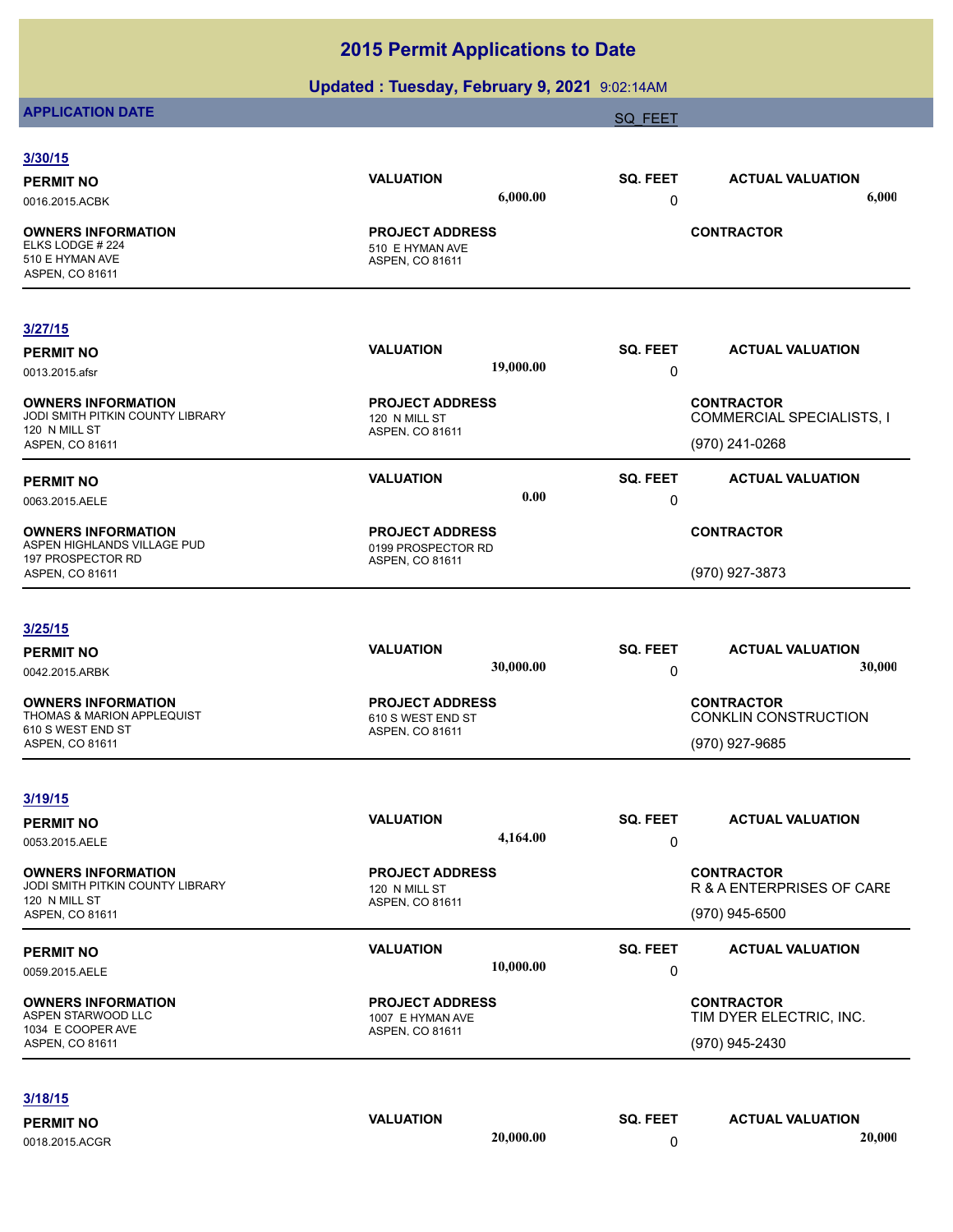## **Updated : Tuesday, February 9, 2021** 9:02:14AM

# **APPLICATION DATE** SOLUTION CONTINUES AND A SOLUTION OF THE SAME SOLUTION OF THE SAME SOLUTION OF THE SAME SOLUTION

| 3/30/15                                                                             |                                                              |           |                      |                                                       |  |
|-------------------------------------------------------------------------------------|--------------------------------------------------------------|-----------|----------------------|-------------------------------------------------------|--|
| <b>PERMIT NO</b>                                                                    | <b>VALUATION</b>                                             |           | SQ. FEET             | <b>ACTUAL VALUATION</b>                               |  |
| 0016.2015.ACBK                                                                      |                                                              | 6,000.00  | 0                    | 6,000                                                 |  |
| <b>OWNERS INFORMATION</b><br>ELKS LODGE # 224<br>510 E HYMAN AVE<br>ASPEN, CO 81611 | <b>PROJECT ADDRESS</b><br>510 E HYMAN AVE<br>ASPEN, CO 81611 |           |                      | <b>CONTRACTOR</b>                                     |  |
| 3/27/15                                                                             |                                                              |           |                      |                                                       |  |
| <b>PERMIT NO</b>                                                                    | <b>VALUATION</b>                                             |           | SQ. FEET             | <b>ACTUAL VALUATION</b>                               |  |
| 0013.2015.afsr                                                                      |                                                              | 19,000.00 | 0                    |                                                       |  |
| <b>OWNERS INFORMATION</b><br>JODI SMITH PITKIN COUNTY LIBRARY<br>120 N MILL ST      | <b>PROJECT ADDRESS</b><br>120 N MILL ST<br>ASPEN, CO 81611   |           |                      | <b>CONTRACTOR</b><br><b>COMMERCIAL SPECIALISTS, I</b> |  |
| ASPEN, CO 81611                                                                     |                                                              |           |                      | (970) 241-0268                                        |  |
| <b>PERMIT NO</b><br>0063.2015.AELE                                                  | <b>VALUATION</b>                                             | 0.00      | SQ. FEET<br>0        | <b>ACTUAL VALUATION</b>                               |  |
| <b>OWNERS INFORMATION</b><br>ASPEN HIGHLANDS VILLAGE PUD                            | <b>PROJECT ADDRESS</b>                                       |           |                      | <b>CONTRACTOR</b>                                     |  |
| 197 PROSPECTOR RD<br>ASPEN, CO 81611                                                | 0199 PROSPECTOR RD<br>ASPEN, CO 81611                        |           | (970) 927-3873       |                                                       |  |
| 3/25/15                                                                             |                                                              |           |                      |                                                       |  |
| <b>PERMIT NO</b>                                                                    | <b>VALUATION</b>                                             |           | SQ. FEET             | <b>ACTUAL VALUATION</b>                               |  |
| 0042.2015.ARBK                                                                      |                                                              | 30,000.00 | 0                    | 30,000                                                |  |
| <b>OWNERS INFORMATION</b><br><b>THOMAS &amp; MARION APPLEQUIST</b>                  | <b>PROJECT ADDRESS</b><br>610 S WEST END ST                  |           |                      | <b>CONTRACTOR</b><br>CONKLIN CONSTRUCTION             |  |
| 610 S WEST END ST<br>ASPEN, CO 81611                                                | ASPEN, CO 81611                                              |           |                      | (970) 927-9685                                        |  |
| 3/19/15                                                                             |                                                              |           |                      |                                                       |  |
| <b>PERMIT NO</b><br>0053.2015.AELE                                                  | <b>VALUATION</b>                                             | 4,164.00  | <b>SQ. FEET</b><br>0 | <b>ACTUAL VALUATION</b>                               |  |
| <b>OWNERS INFORMATION</b><br>JODI SMITH PITKIN COUNTY LIBRARY                       | <b>PROJECT ADDRESS</b><br>120 N MILL ST                      |           |                      | <b>CONTRACTOR</b><br>R & A ENTERPRISES OF CARE        |  |
| 120 N MILL ST<br><b>ASPEN, CO 81611</b>                                             | ASPEN, CO 81611                                              |           |                      | (970) 945-6500                                        |  |
| <b>PERMIT NO</b><br>0059.2015.AELE                                                  | <b>VALUATION</b>                                             | 10,000.00 | SQ. FEET<br>0        | <b>ACTUAL VALUATION</b>                               |  |
| <b>OWNERS INFORMATION</b>                                                           | <b>PROJECT ADDRESS</b>                                       |           |                      | <b>CONTRACTOR</b>                                     |  |
| ASPEN STARWOOD LLC<br>1034 E COOPER AVE                                             | 1007 E HYMAN AVE                                             |           |                      | TIM DYER ELECTRIC, INC.                               |  |
| ASPEN, CO 81611                                                                     | ASPEN, CO 81611                                              |           |                      | (970) 945-2430                                        |  |
|                                                                                     |                                                              |           |                      |                                                       |  |
| 3/18/15                                                                             |                                                              |           |                      |                                                       |  |
| <b>PERMIT NO</b>                                                                    | <b>VALUATION</b>                                             |           | SQ. FEET             | <b>ACTUAL VALUATION</b>                               |  |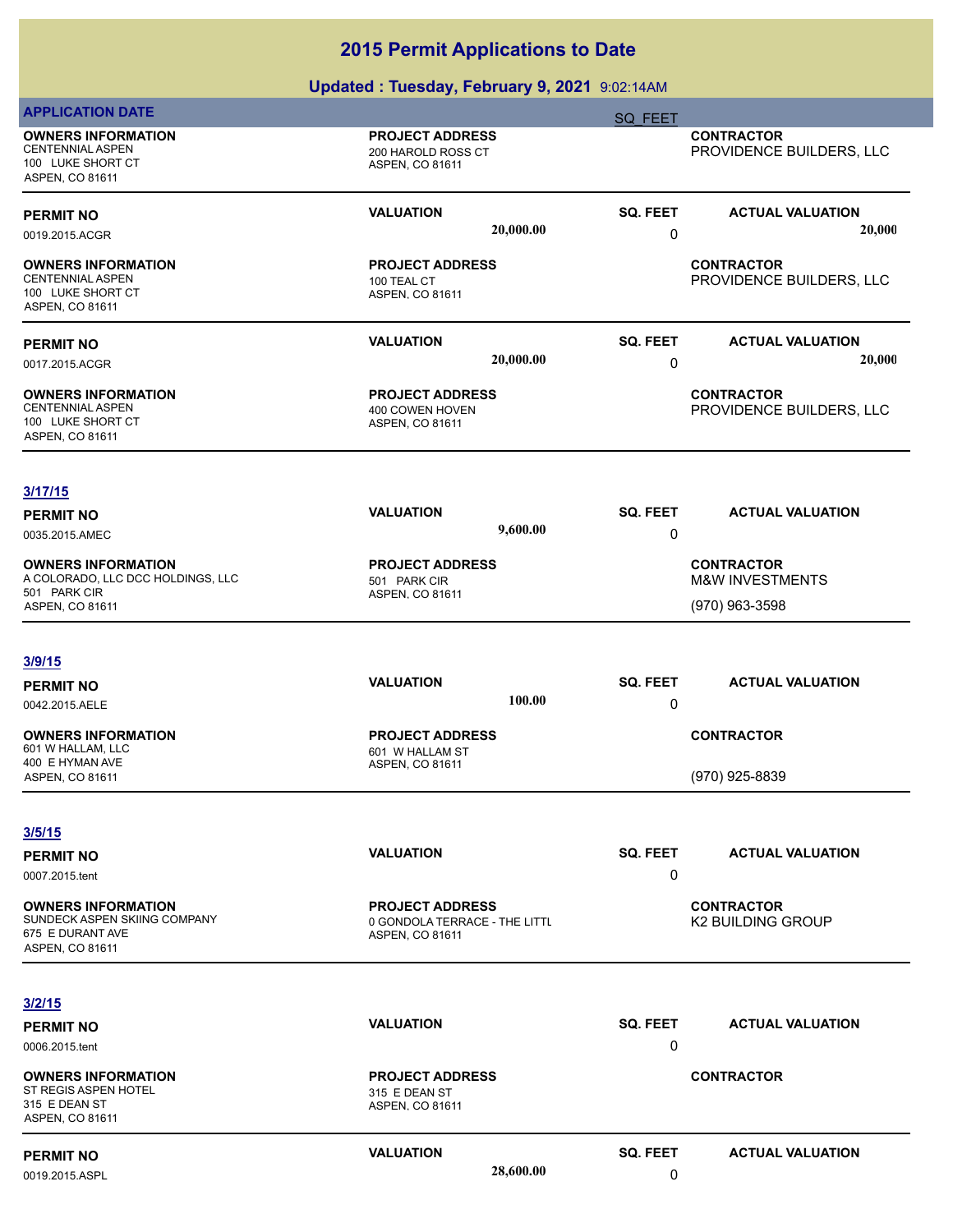| <b>APPLICATION DATE</b>                                                                             |                                                                            | SQ FEET              |                                                                   |
|-----------------------------------------------------------------------------------------------------|----------------------------------------------------------------------------|----------------------|-------------------------------------------------------------------|
| <b>OWNERS INFORMATION</b><br><b>CENTENNIAL ASPEN</b><br>100 LUKE SHORT CT<br>ASPEN, CO 81611        | <b>PROJECT ADDRESS</b><br>200 HAROLD ROSS CT<br>ASPEN, CO 81611            |                      | <b>CONTRACTOR</b><br>PROVIDENCE BUILDERS, LLC                     |
| <b>PERMIT NO</b><br>0019.2015.ACGR                                                                  | <b>VALUATION</b><br>20,000.00                                              | <b>SQ. FEET</b><br>0 | <b>ACTUAL VALUATION</b><br>20,000                                 |
| <b>OWNERS INFORMATION</b><br><b>CENTENNIAL ASPEN</b><br>100 LUKE SHORT CT<br><b>ASPEN, CO 81611</b> | <b>PROJECT ADDRESS</b><br>100 TEAL CT<br>ASPEN, CO 81611                   |                      | <b>CONTRACTOR</b><br>PROVIDENCE BUILDERS, LLC                     |
| <b>PERMIT NO</b><br>0017.2015.ACGR                                                                  | <b>VALUATION</b><br>20,000.00                                              | SQ. FEET<br>0        | <b>ACTUAL VALUATION</b><br>20,000                                 |
| <b>OWNERS INFORMATION</b><br><b>CENTENNIAL ASPEN</b><br>100 LUKE SHORT CT<br>ASPEN, CO 81611        | <b>PROJECT ADDRESS</b><br>400 COWEN HOVEN<br>ASPEN, CO 81611               |                      | <b>CONTRACTOR</b><br>PROVIDENCE BUILDERS, LLC                     |
| 3/17/15<br><b>PERMIT NO</b><br>0035.2015.AMEC                                                       | <b>VALUATION</b><br>9,600.00                                               | SQ. FEET<br>0        | <b>ACTUAL VALUATION</b>                                           |
| <b>OWNERS INFORMATION</b><br>A COLORADO, LLC DCC HOLDINGS, LLC<br>501 PARK CIR<br>ASPEN, CO 81611   | <b>PROJECT ADDRESS</b><br>501 PARK CIR<br>ASPEN, CO 81611                  |                      | <b>CONTRACTOR</b><br><b>M&amp;W INVESTMENTS</b><br>(970) 963-3598 |
| 3/9/15<br><b>PERMIT NO</b>                                                                          | <b>VALUATION</b>                                                           | SQ. FEET             | <b>ACTUAL VALUATION</b>                                           |
| 0042.2015.AELE                                                                                      | 100.00                                                                     | 0                    |                                                                   |
| <b>OWNERS INFORMATION</b><br>601 W HALLAM, LLC<br>400 E HYMAN AVE<br>ASPEN, CO 81611                | <b>PROJECT ADDRESS</b><br>601 W HALLAM ST<br>ASPEN, CO 81611               |                      | <b>CONTRACTOR</b><br>(970) 925-8839                               |
| 3/5/15<br><b>PERMIT NO</b><br>0007.2015.tent                                                        | <b>VALUATION</b>                                                           | SQ. FEET<br>0        | <b>ACTUAL VALUATION</b>                                           |
| <b>OWNERS INFORMATION</b><br>SUNDECK ASPEN SKIING COMPANY<br>675 E DURANT AVE<br>ASPEN, CO 81611    | <b>PROJECT ADDRESS</b><br>0 GONDOLA TERRACE - THE LITTL<br>ASPEN, CO 81611 |                      | <b>CONTRACTOR</b><br><b>K2 BUILDING GROUP</b>                     |
| 3/2/15                                                                                              |                                                                            |                      |                                                                   |
| <b>PERMIT NO</b><br>0006.2015.tent                                                                  | <b>VALUATION</b>                                                           | SQ. FEET<br>0        | <b>ACTUAL VALUATION</b>                                           |
| <b>OWNERS INFORMATION</b><br>ST REGIS ASPEN HOTEL<br>315 E DEAN ST<br>ASPEN, CO 81611               | <b>PROJECT ADDRESS</b><br>315 E DEAN ST<br>ASPEN, CO 81611                 |                      | <b>CONTRACTOR</b>                                                 |
| <b>PERMIT NO</b><br>0019.2015.ASPL                                                                  | <b>VALUATION</b><br>28,600.00                                              | SQ. FEET<br>0        | <b>ACTUAL VALUATION</b>                                           |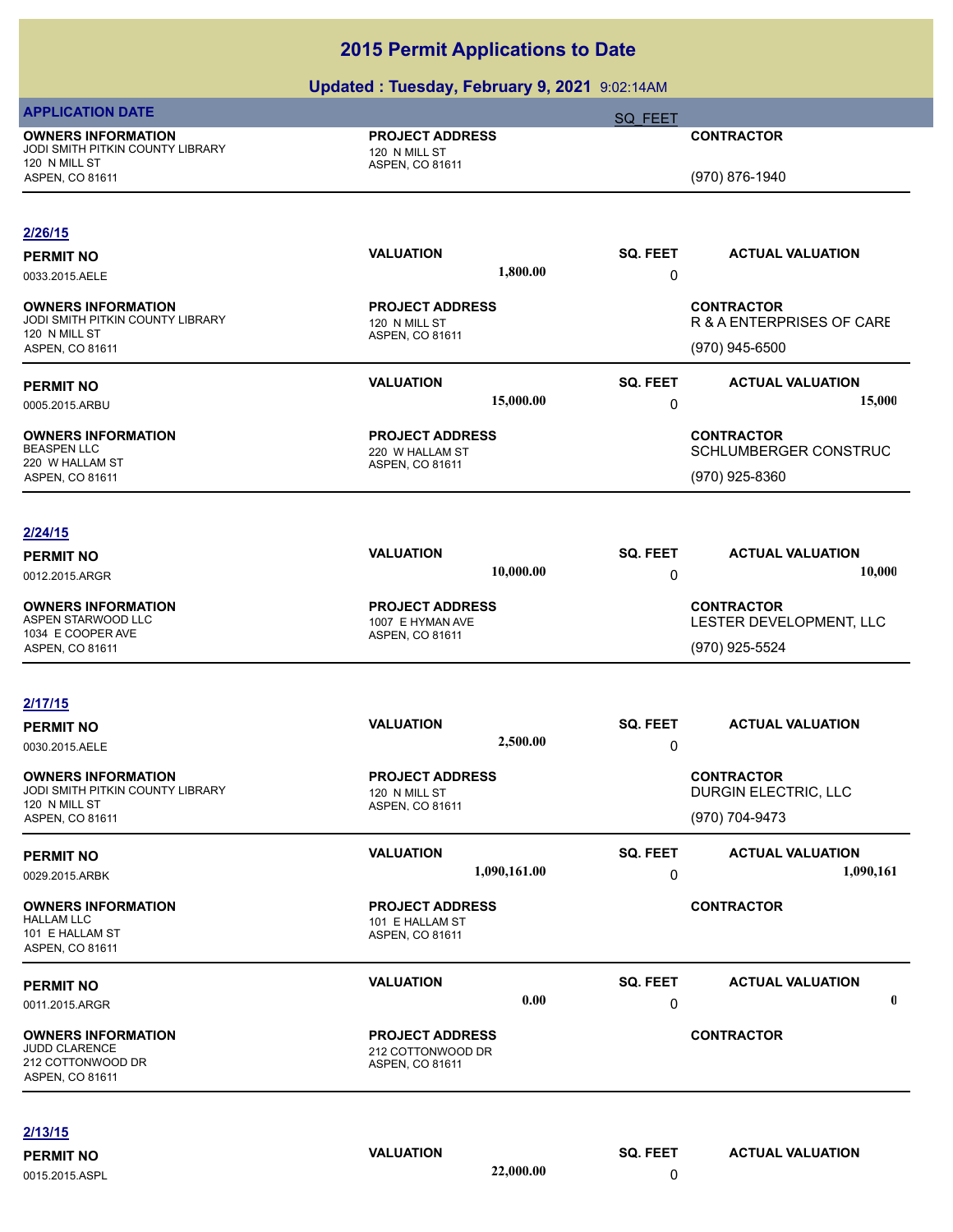|                                                                                                   | $\sigma$ padica: racoday, robradiy $\sigma$ , $\sigma$ of robration |                 |                                                                  |
|---------------------------------------------------------------------------------------------------|---------------------------------------------------------------------|-----------------|------------------------------------------------------------------|
| <b>APPLICATION DATE</b>                                                                           |                                                                     | <b>SQ FEET</b>  |                                                                  |
| <b>OWNERS INFORMATION</b><br>JODI SMITH PITKIN COUNTY LIBRARY<br>120 N MILL ST                    | <b>PROJECT ADDRESS</b><br>120 N MILL ST<br>ASPEN, CO 81611          |                 | <b>CONTRACTOR</b>                                                |
| ASPEN, CO 81611                                                                                   |                                                                     |                 | (970) 876-1940                                                   |
| 2/26/15                                                                                           | <b>VALUATION</b>                                                    |                 | <b>ACTUAL VALUATION</b>                                          |
| <b>PERMIT NO</b><br>0033.2015.AELE                                                                | 1,800.00                                                            | SQ. FEET<br>0   |                                                                  |
| <b>OWNERS INFORMATION</b><br>JODI SMITH PITKIN COUNTY LIBRARY<br>120 N MILL ST<br>ASPEN, CO 81611 | <b>PROJECT ADDRESS</b><br>120 N MILL ST<br>ASPEN, CO 81611          |                 | <b>CONTRACTOR</b><br>R & A ENTERPRISES OF CARE<br>(970) 945-6500 |
| <b>PERMIT NO</b>                                                                                  | <b>VALUATION</b>                                                    | <b>SQ. FEET</b> | <b>ACTUAL VALUATION</b>                                          |
| 0005.2015.ARBU                                                                                    | 15,000.00                                                           | 0               | 15,000                                                           |
| <b>OWNERS INFORMATION</b><br><b>BEASPEN LLC</b><br>220 W HALLAM ST                                | <b>PROJECT ADDRESS</b><br>220 W HALLAM ST<br>ASPEN, CO 81611        |                 | <b>CONTRACTOR</b><br>SCHLUMBERGER CONSTRUC                       |
| ASPEN, CO 81611                                                                                   |                                                                     |                 | (970) 925-8360                                                   |
| 2/24/15                                                                                           |                                                                     |                 |                                                                  |
| <b>PERMIT NO</b>                                                                                  | <b>VALUATION</b><br>10,000.00                                       | SQ. FEET        | <b>ACTUAL VALUATION</b><br>10,000                                |
| 0012.2015.ARGR                                                                                    |                                                                     | 0               |                                                                  |
| <b>OWNERS INFORMATION</b><br>ASPEN STARWOOD LLC                                                   | <b>PROJECT ADDRESS</b><br>1007 E HYMAN AVE                          |                 | <b>CONTRACTOR</b><br>LESTER DEVELOPMENT, LLC                     |
| 1034 E COOPER AVE<br>ASPEN, CO 81611                                                              | ASPEN, CO 81611                                                     |                 | (970) 925-5524                                                   |
|                                                                                                   |                                                                     |                 |                                                                  |
| 2/17/15                                                                                           |                                                                     |                 |                                                                  |
| <b>PERMIT NO</b>                                                                                  | <b>VALUATION</b>                                                    | SQ. FEET        | <b>ACTUAL VALUATION</b>                                          |
| 0030.2015.AELE                                                                                    | 2,500.00                                                            | 0               |                                                                  |
| <b>OWNERS INFORMATION</b><br>JODI SMITH PITKIN COUNTY LIBRARY<br>120 N MILL ST                    | <b>PROJECT ADDRESS</b><br>120 N MILL ST<br>ASPEN, CO 81611          |                 | <b>CONTRACTOR</b><br>DURGIN ELECTRIC, LLC                        |
| ASPEN, CO 81611                                                                                   |                                                                     |                 | (970) 704-9473                                                   |
| <b>PERMIT NO</b>                                                                                  | <b>VALUATION</b>                                                    | <b>SQ. FEET</b> | <b>ACTUAL VALUATION</b>                                          |
| 0029.2015.ARBK                                                                                    | 1,090,161.00                                                        | 0               | 1,090,161                                                        |
| <b>OWNERS INFORMATION</b><br><b>HALLAM LLC</b><br>101 E HALLAM ST<br>ASPEN, CO 81611              | <b>PROJECT ADDRESS</b><br>101 E HALLAM ST<br>ASPEN, CO 81611        |                 | <b>CONTRACTOR</b>                                                |
| <b>PERMIT NO</b>                                                                                  | <b>VALUATION</b>                                                    | <b>SQ. FEET</b> | <b>ACTUAL VALUATION</b>                                          |
| 0011.2015.ARGR                                                                                    | 0.00                                                                | 0               | $\boldsymbol{0}$                                                 |
| <b>OWNERS INFORMATION</b><br><b>JUDD CLARENCE</b><br>212 COTTONWOOD DR<br>ASPEN, CO 81611         | <b>PROJECT ADDRESS</b><br>212 COTTONWOOD DR<br>ASPEN, CO 81611      |                 | <b>CONTRACTOR</b>                                                |
| 2/13/15                                                                                           |                                                                     |                 |                                                                  |
| <b>PERMIT NO</b>                                                                                  | <b>VALUATION</b>                                                    | SQ. FEET        | <b>ACTUAL VALUATION</b>                                          |
| 0015.2015.ASPL                                                                                    | 22,000.00                                                           | $\Omega$        |                                                                  |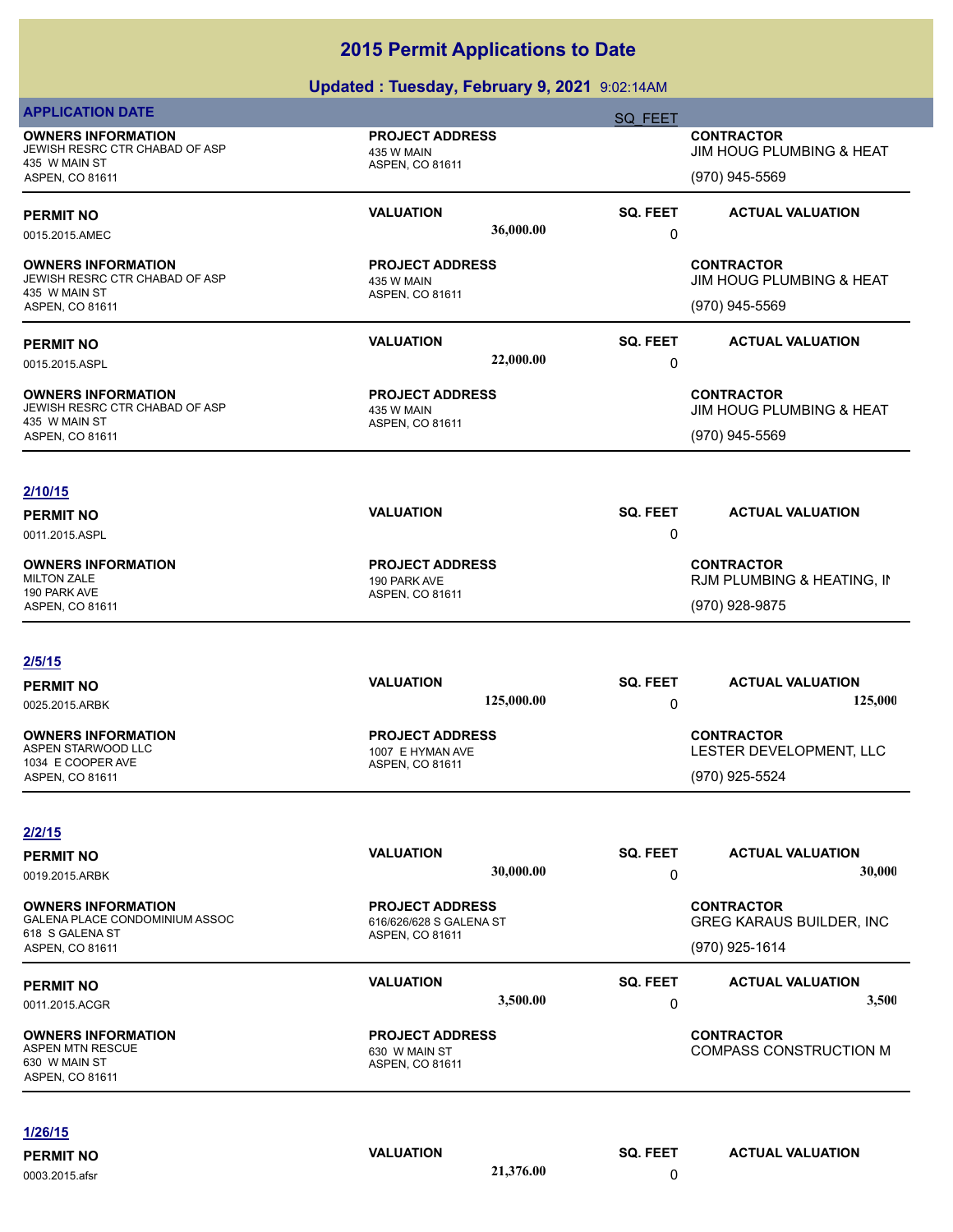| <b>APPLICATION DATE</b>                                                                                   |                                                                             | <b>SQ FEET</b>       |                                                                           |
|-----------------------------------------------------------------------------------------------------------|-----------------------------------------------------------------------------|----------------------|---------------------------------------------------------------------------|
| <b>OWNERS INFORMATION</b><br>JEWISH RESRC CTR CHABAD OF ASP<br>435 W MAIN ST<br>ASPEN, CO 81611           | <b>PROJECT ADDRESS</b><br>435 W MAIN<br>ASPEN, CO 81611                     |                      | <b>CONTRACTOR</b><br>JIM HOUG PLUMBING & HEAT<br>(970) 945-5569           |
| <b>PERMIT NO</b><br>0015.2015.AMEC                                                                        | <b>VALUATION</b><br>36,000.00                                               | <b>SQ. FEET</b><br>0 | <b>ACTUAL VALUATION</b>                                                   |
| <b>OWNERS INFORMATION</b><br>JEWISH RESRC CTR CHABAD OF ASP<br>435 W MAIN ST<br>ASPEN, CO 81611           | <b>PROJECT ADDRESS</b><br>435 W MAIN<br>ASPEN, CO 81611                     |                      | <b>CONTRACTOR</b><br>JIM HOUG PLUMBING & HEAT<br>(970) 945-5569           |
| <b>PERMIT NO</b><br>0015.2015.ASPL                                                                        | <b>VALUATION</b><br>22,000.00                                               | SQ. FEET<br>0        | <b>ACTUAL VALUATION</b>                                                   |
| <b>OWNERS INFORMATION</b><br>JEWISH RESRC CTR CHABAD OF ASP<br>435 W MAIN ST<br>ASPEN, CO 81611           | <b>PROJECT ADDRESS</b><br>435 W MAIN<br>ASPEN, CO 81611                     |                      | <b>CONTRACTOR</b><br>JIM HOUG PLUMBING & HEAT<br>(970) 945-5569           |
| 2/10/15<br><b>PERMIT NO</b><br>0011.2015.ASPL                                                             | <b>VALUATION</b>                                                            | SQ. FEET<br>0        | <b>ACTUAL VALUATION</b>                                                   |
| <b>OWNERS INFORMATION</b><br><b>MILTON ZALE</b><br>190 PARK AVE<br>ASPEN, CO 81611                        | <b>PROJECT ADDRESS</b><br>190 PARK AVE<br>ASPEN, CO 81611                   |                      | <b>CONTRACTOR</b><br>RJM PLUMBING & HEATING, IN<br>(970) 928-9875         |
| 2/5/15<br><b>PERMIT NO</b>                                                                                | <b>VALUATION</b>                                                            | <b>SQ. FEET</b>      | <b>ACTUAL VALUATION</b>                                                   |
| 0025.2015.ARBK<br><b>OWNERS INFORMATION</b><br>ASPEN STARWOOD LLC<br>1034 E COOPER AVE<br>ASPEN, CO 81611 | 125,000.00<br><b>PROJECT ADDRESS</b><br>1007 E HYMAN AVE<br>ASPEN, CO 81611 | 0                    | 125,000<br><b>CONTRACTOR</b><br>LESTER DEVELOPMENT, LLC<br>(970) 925-5524 |
| 2/2/15<br><b>PERMIT NO</b><br>0019.2015.ARBK                                                              | <b>VALUATION</b><br>30,000.00                                               | SQ. FEET<br>0        | <b>ACTUAL VALUATION</b><br>30,000                                         |
| <b>OWNERS INFORMATION</b><br>GALENA PLACE CONDOMINIUM ASSOC<br>618 S GALENA ST<br>ASPEN, CO 81611         | <b>PROJECT ADDRESS</b><br>616/626/628 S GALENA ST<br>ASPEN, CO 81611        |                      | <b>CONTRACTOR</b><br><b>GREG KARAUS BUILDER, INC</b><br>(970) 925-1614    |
| <b>PERMIT NO</b><br>0011.2015.ACGR                                                                        | <b>VALUATION</b><br>3,500.00                                                | SQ. FEET<br>0        | <b>ACTUAL VALUATION</b><br>3,500                                          |
| <b>OWNERS INFORMATION</b><br><b>ASPEN MTN RESCUE</b><br>630 W MAIN ST<br>ASPEN, CO 81611                  | <b>PROJECT ADDRESS</b><br>630 W MAIN ST<br>ASPEN, CO 81611                  |                      | <b>CONTRACTOR</b><br><b>COMPASS CONSTRUCTION M</b>                        |
| 1/26/15<br><b>PERMIT NO</b>                                                                               | <b>VALUATION</b>                                                            | SQ. FEET             | <b>ACTUAL VALUATION</b>                                                   |
| 0003.2015.afsr                                                                                            | 21,376.00                                                                   | 0                    |                                                                           |